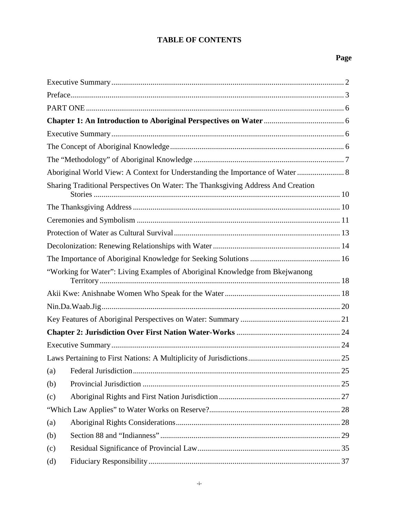# **TABLE OF CONTENTS**

# Page

|     | Aboriginal World View: A Context for Understanding the Importance of Water  8    |  |
|-----|----------------------------------------------------------------------------------|--|
|     | Sharing Traditional Perspectives On Water: The Thanksgiving Address And Creation |  |
|     |                                                                                  |  |
|     |                                                                                  |  |
|     |                                                                                  |  |
|     |                                                                                  |  |
|     |                                                                                  |  |
|     | "Working for Water": Living Examples of Aboriginal Knowledge from Bkejwanong     |  |
|     |                                                                                  |  |
|     |                                                                                  |  |
|     |                                                                                  |  |
|     |                                                                                  |  |
|     |                                                                                  |  |
|     |                                                                                  |  |
|     |                                                                                  |  |
|     |                                                                                  |  |
| (b) |                                                                                  |  |
| (c) |                                                                                  |  |
|     |                                                                                  |  |
| (a) |                                                                                  |  |
| (b) |                                                                                  |  |
| (c) |                                                                                  |  |
| (d) |                                                                                  |  |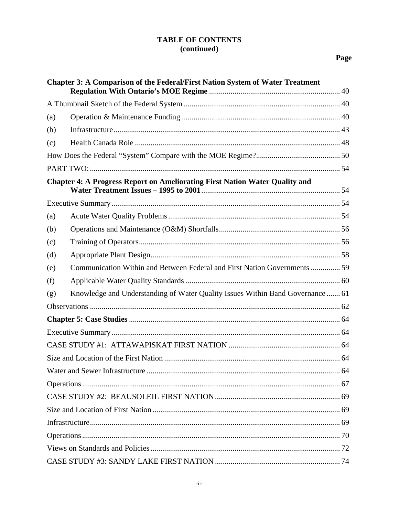# **TABLE OF CONTENTS** (continued)

| <b>Chapter 3: A Comparison of the Federal/First Nation System of Water Treatment</b> |                                                                                    |  |  |
|--------------------------------------------------------------------------------------|------------------------------------------------------------------------------------|--|--|
|                                                                                      |                                                                                    |  |  |
| (a)                                                                                  |                                                                                    |  |  |
| (b)                                                                                  |                                                                                    |  |  |
| (c)                                                                                  |                                                                                    |  |  |
|                                                                                      |                                                                                    |  |  |
|                                                                                      |                                                                                    |  |  |
|                                                                                      | <b>Chapter 4: A Progress Report on Ameliorating First Nation Water Quality and</b> |  |  |
|                                                                                      |                                                                                    |  |  |
| (a)                                                                                  |                                                                                    |  |  |
| (b)                                                                                  |                                                                                    |  |  |
| (c)                                                                                  |                                                                                    |  |  |
| (d)                                                                                  |                                                                                    |  |  |
| (e)                                                                                  | Communication Within and Between Federal and First Nation Governments  59          |  |  |
| (f)                                                                                  |                                                                                    |  |  |
| (g)                                                                                  | Knowledge and Understanding of Water Quality Issues Within Band Governance  61     |  |  |
|                                                                                      |                                                                                    |  |  |
|                                                                                      |                                                                                    |  |  |
|                                                                                      |                                                                                    |  |  |
|                                                                                      |                                                                                    |  |  |
|                                                                                      |                                                                                    |  |  |
|                                                                                      |                                                                                    |  |  |
|                                                                                      |                                                                                    |  |  |
|                                                                                      |                                                                                    |  |  |
|                                                                                      |                                                                                    |  |  |
|                                                                                      |                                                                                    |  |  |
|                                                                                      |                                                                                    |  |  |
|                                                                                      |                                                                                    |  |  |
|                                                                                      |                                                                                    |  |  |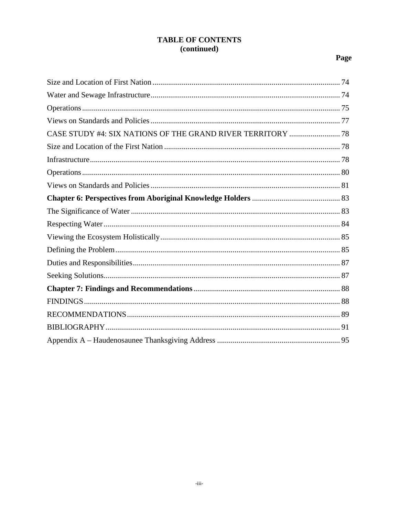# **TABLE OF CONTENTS** (continued)

# Page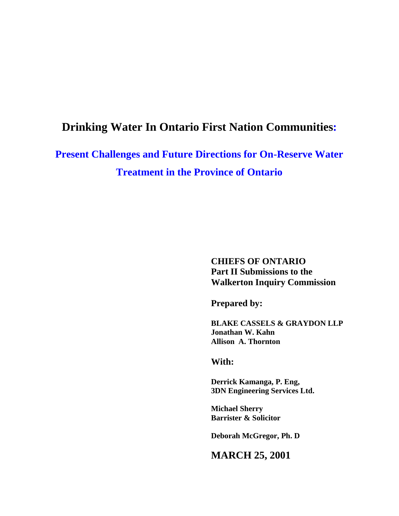# **Drinking Water In Ontario First Nation Communities:**

**Present Challenges and Future Directions for On-Reserve Water Treatment in the Province of Ontario** 

> **CHIEFS OF ONTARIO Part II Submissions to the Walkerton Inquiry Commission**

**Prepared by:** 

**BLAKE CASSELS & GRAYDON LLP Jonathan W. Kahn Allison A. Thornton** 

**With:** 

**Derrick Kamanga, P. Eng, 3DN Engineering Services Ltd.** 

**Michael Sherry Barrister & Solicitor** 

**Deborah McGregor, Ph. D** 

**MARCH 25, 2001**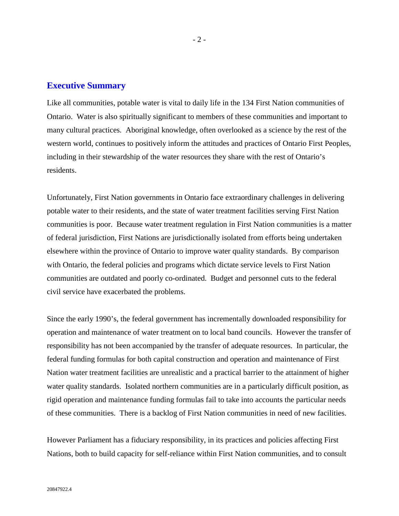# **Executive Summary**

Like all communities, potable water is vital to daily life in the 134 First Nation communities of Ontario. Water is also spiritually significant to members of these communities and important to many cultural practices. Aboriginal knowledge, often overlooked as a science by the rest of the western world, continues to positively inform the attitudes and practices of Ontario First Peoples, including in their stewardship of the water resources they share with the rest of Ontario's residents.

Unfortunately, First Nation governments in Ontario face extraordinary challenges in delivering potable water to their residents, and the state of water treatment facilities serving First Nation communities is poor. Because water treatment regulation in First Nation communities is a matter of federal jurisdiction, First Nations are jurisdictionally isolated from efforts being undertaken elsewhere within the province of Ontario to improve water quality standards. By comparison with Ontario, the federal policies and programs which dictate service levels to First Nation communities are outdated and poorly co-ordinated. Budget and personnel cuts to the federal civil service have exacerbated the problems.

Since the early 1990's, the federal government has incrementally downloaded responsibility for operation and maintenance of water treatment on to local band councils. However the transfer of responsibility has not been accompanied by the transfer of adequate resources. In particular, the federal funding formulas for both capital construction and operation and maintenance of First Nation water treatment facilities are unrealistic and a practical barrier to the attainment of higher water quality standards. Isolated northern communities are in a particularly difficult position, as rigid operation and maintenance funding formulas fail to take into accounts the particular needs of these communities. There is a backlog of First Nation communities in need of new facilities.

However Parliament has a fiduciary responsibility, in its practices and policies affecting First Nations, both to build capacity for self-reliance within First Nation communities, and to consult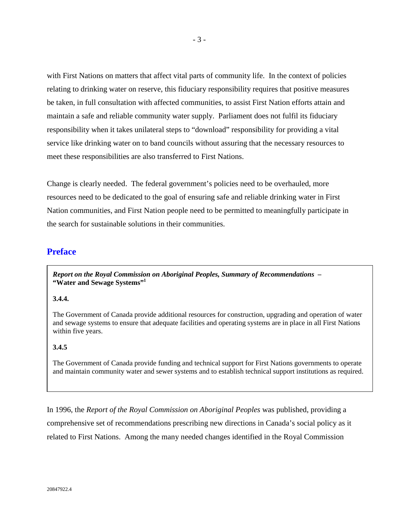with First Nations on matters that affect vital parts of community life. In the context of policies relating to drinking water on reserve, this fiduciary responsibility requires that positive measures be taken, in full consultation with affected communities, to assist First Nation efforts attain and maintain a safe and reliable community water supply. Parliament does not fulfil its fiduciary responsibility when it takes unilateral steps to "download" responsibility for providing a vital service like drinking water on to band councils without assuring that the necessary resources to meet these responsibilities are also transferred to First Nations.

Change is clearly needed. The federal government's policies need to be overhauled, more resources need to be dedicated to the goal of ensuring safe and reliable drinking water in First Nation communities, and First Nation people need to be permitted to meaningfully participate in the search for sustainable solutions in their communities.

# **Preface**

*Report on the Royal Commission on Aboriginal Peoples, Summary of Recommendations* **– "Water and Sewage Systems"1**

### **3.4.4.**

The Government of Canada provide additional resources for construction, upgrading and operation of water and sewage systems to ensure that adequate facilities and operating systems are in place in all First Nations within five years.

# **3.4.5**

The Government of Canada provide funding and technical support for First Nations governments to operate and maintain community water and sewer systems and to establish technical support institutions as required.

In 1996, the *Report of the Royal Commission on Aboriginal Peoples* was published, providing a comprehensive set of recommendations prescribing new directions in Canada's social policy as it related to First Nations. Among the many needed changes identified in the Royal Commission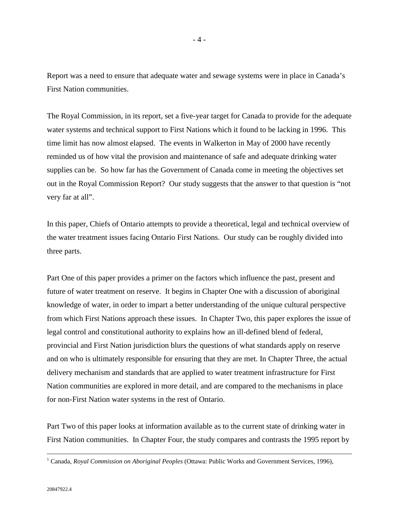Report was a need to ensure that adequate water and sewage systems were in place in Canada's First Nation communities.

The Royal Commission, in its report, set a five-year target for Canada to provide for the adequate water systems and technical support to First Nations which it found to be lacking in 1996. This time limit has now almost elapsed. The events in Walkerton in May of 2000 have recently reminded us of how vital the provision and maintenance of safe and adequate drinking water supplies can be. So how far has the Government of Canada come in meeting the objectives set out in the Royal Commission Report? Our study suggests that the answer to that question is "not very far at all".

In this paper, Chiefs of Ontario attempts to provide a theoretical, legal and technical overview of the water treatment issues facing Ontario First Nations. Our study can be roughly divided into three parts.

Part One of this paper provides a primer on the factors which influence the past, present and future of water treatment on reserve. It begins in Chapter One with a discussion of aboriginal knowledge of water, in order to impart a better understanding of the unique cultural perspective from which First Nations approach these issues. In Chapter Two, this paper explores the issue of legal control and constitutional authority to explains how an ill-defined blend of federal, provincial and First Nation jurisdiction blurs the questions of what standards apply on reserve and on who is ultimately responsible for ensuring that they are met. In Chapter Three, the actual delivery mechanism and standards that are applied to water treatment infrastructure for First Nation communities are explored in more detail, and are compared to the mechanisms in place for non-First Nation water systems in the rest of Ontario.

Part Two of this paper looks at information available as to the current state of drinking water in First Nation communities. In Chapter Four, the study compares and contrasts the 1995 report by

 $\frac{1}{1}$ Canada, *Royal Commission on Aboriginal Peoples* (Ottawa: Public Works and Government Services, 1996),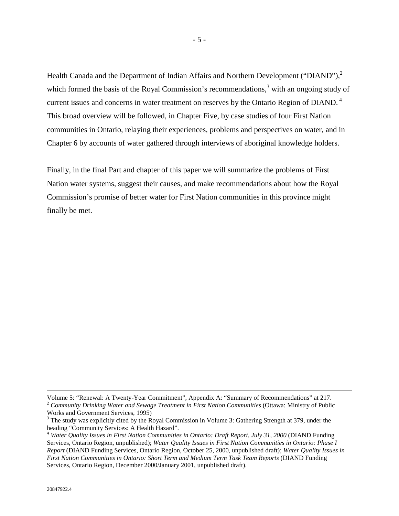Health Canada and the Department of Indian Affairs and Northern Development ("DIAND"),<sup>2</sup> which formed the basis of the Royal Commission's recommendations, $3$  with an ongoing study of current issues and concerns in water treatment on reserves by the Ontario Region of DIAND.<sup>4</sup> This broad overview will be followed, in Chapter Five, by case studies of four First Nation communities in Ontario, relaying their experiences, problems and perspectives on water, and in Chapter 6 by accounts of water gathered through interviews of aboriginal knowledge holders.

Finally, in the final Part and chapter of this paper we will summarize the problems of First Nation water systems, suggest their causes, and make recommendations about how the Royal Commission's promise of better water for First Nation communities in this province might finally be met.

Volume 5: "Renewal: A Twenty-Year Commitment", Appendix A: "Summary of Recommendations" at 217. <sup>2</sup> *Community Drinking Water and Sewage Treatment in First Nation Communities* (Ottawa: Ministry of Public Works and Government Services, 1995)

 $3$  The study was explicitly cited by the Royal Commission in Volume 3: Gathering Strength at 379, under the heading "Community Services: A Health Hazard".

<sup>4</sup> *Water Quality Issues in First Nation Communities in Ontario: Draft Report, July 31, 2000* (DIAND Funding Services, Ontario Region, unpublished); *Water Quality Issues in First Nation Communities in Ontario: Phase I Report* (DIAND Funding Services, Ontario Region, October 25, 2000, unpublished draft); *Water Quality Issues in First Nation Communities in Ontario: Short Term and Medium Term Task Team Reports* (DIAND Funding Services, Ontario Region, December 2000/January 2001, unpublished draft).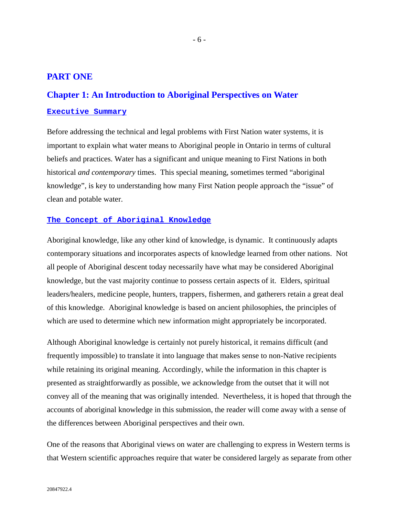# **PART ONE**

# **Chapter 1: An Introduction to Aboriginal Perspectives on Water**

#### **Executive Summary**

Before addressing the technical and legal problems with First Nation water systems, it is important to explain what water means to Aboriginal people in Ontario in terms of cultural beliefs and practices. Water has a significant and unique meaning to First Nations in both historical *and contemporary* times. This special meaning, sometimes termed "aboriginal knowledge", is key to understanding how many First Nation people approach the "issue" of clean and potable water.

# **The Concept of Aboriginal Knowledge**

Aboriginal knowledge, like any other kind of knowledge, is dynamic. It continuously adapts contemporary situations and incorporates aspects of knowledge learned from other nations. Not all people of Aboriginal descent today necessarily have what may be considered Aboriginal knowledge, but the vast majority continue to possess certain aspects of it. Elders, spiritual leaders/healers, medicine people, hunters, trappers, fishermen, and gatherers retain a great deal of this knowledge. Aboriginal knowledge is based on ancient philosophies, the principles of which are used to determine which new information might appropriately be incorporated.

Although Aboriginal knowledge is certainly not purely historical, it remains difficult (and frequently impossible) to translate it into language that makes sense to non-Native recipients while retaining its original meaning. Accordingly, while the information in this chapter is presented as straightforwardly as possible, we acknowledge from the outset that it will not convey all of the meaning that was originally intended. Nevertheless, it is hoped that through the accounts of aboriginal knowledge in this submission, the reader will come away with a sense of the differences between Aboriginal perspectives and their own.

One of the reasons that Aboriginal views on water are challenging to express in Western terms is that Western scientific approaches require that water be considered largely as separate from other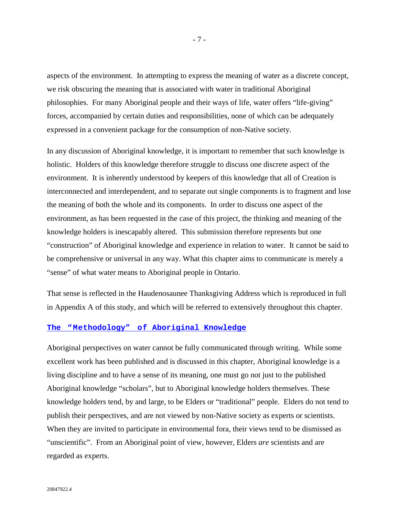aspects of the environment. In attempting to express the meaning of water as a discrete concept, we risk obscuring the meaning that is associated with water in traditional Aboriginal philosophies. For many Aboriginal people and their ways of life, water offers "life-giving" forces, accompanied by certain duties and responsibilities, none of which can be adequately expressed in a convenient package for the consumption of non-Native society.

In any discussion of Aboriginal knowledge, it is important to remember that such knowledge is holistic. Holders of this knowledge therefore struggle to discuss one discrete aspect of the environment. It is inherently understood by keepers of this knowledge that all of Creation is interconnected and interdependent, and to separate out single components is to fragment and lose the meaning of both the whole and its components. In order to discuss one aspect of the environment, as has been requested in the case of this project, the thinking and meaning of the knowledge holders is inescapably altered. This submission therefore represents but one "construction" of Aboriginal knowledge and experience in relation to water. It cannot be said to be comprehensive or universal in any way. What this chapter aims to communicate is merely a "sense" of what water means to Aboriginal people in Ontario.

That sense is reflected in the Haudenosaunee Thanksgiving Address which is reproduced in full in Appendix A of this study, and which will be referred to extensively throughout this chapter.

#### **The "Methodology" of Aboriginal Knowledge**

Aboriginal perspectives on water cannot be fully communicated through writing. While some excellent work has been published and is discussed in this chapter, Aboriginal knowledge is a living discipline and to have a sense of its meaning, one must go not just to the published Aboriginal knowledge "scholars", but to Aboriginal knowledge holders themselves. These knowledge holders tend, by and large, to be Elders or "traditional" people. Elders do not tend to publish their perspectives, and are not viewed by non-Native society as experts or scientists. When they are invited to participate in environmental fora, their views tend to be dismissed as "unscientific". From an Aboriginal point of view, however, Elders *are* scientists and are regarded as experts.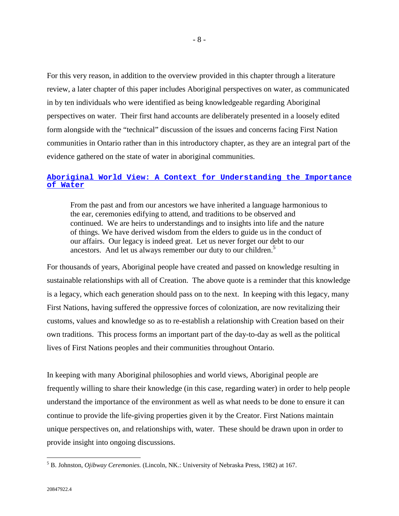For this very reason, in addition to the overview provided in this chapter through a literature review, a later chapter of this paper includes Aboriginal perspectives on water, as communicated in by ten individuals who were identified as being knowledgeable regarding Aboriginal perspectives on water. Their first hand accounts are deliberately presented in a loosely edited form alongside with the "technical" discussion of the issues and concerns facing First Nation communities in Ontario rather than in this introductory chapter, as they are an integral part of the evidence gathered on the state of water in aboriginal communities.

# **Aboriginal World View: A Context for Understanding the Importance of Water**

From the past and from our ancestors we have inherited a language harmonious to the ear, ceremonies edifying to attend, and traditions to be observed and continued. We are heirs to understandings and to insights into life and the nature of things. We have derived wisdom from the elders to guide us in the conduct of our affairs. Our legacy is indeed great. Let us never forget our debt to our ancestors. And let us always remember our duty to our children.<sup>5</sup>

For thousands of years, Aboriginal people have created and passed on knowledge resulting in sustainable relationships with all of Creation. The above quote is a reminder that this knowledge is a legacy, which each generation should pass on to the next. In keeping with this legacy, many First Nations, having suffered the oppressive forces of colonization, are now revitalizing their customs, values and knowledge so as to re-establish a relationship with Creation based on their own traditions. This process forms an important part of the day-to-day as well as the political lives of First Nations peoples and their communities throughout Ontario.

In keeping with many Aboriginal philosophies and world views, Aboriginal people are frequently willing to share their knowledge (in this case, regarding water) in order to help people understand the importance of the environment as well as what needs to be done to ensure it can continue to provide the life-giving properties given it by the Creator. First Nations maintain unique perspectives on, and relationships with, water. These should be drawn upon in order to provide insight into ongoing discussions.

<sup>5</sup> B. Johnston, *Ojibway Ceremonies.* (Lincoln, NK.: University of Nebraska Press, 1982) at 167.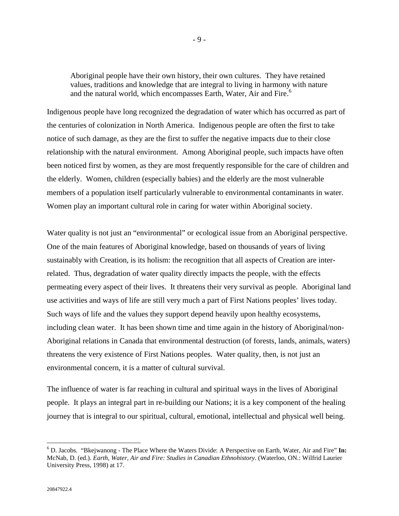Aboriginal people have their own history, their own cultures. They have retained values, traditions and knowledge that are integral to living in harmony with nature and the natural world, which encompasses Earth, Water, Air and Fire.<sup>6</sup>

Indigenous people have long recognized the degradation of water which has occurred as part of the centuries of colonization in North America. Indigenous people are often the first to take notice of such damage, as they are the first to suffer the negative impacts due to their close relationship with the natural environment. Among Aboriginal people, such impacts have often been noticed first by women, as they are most frequently responsible for the care of children and the elderly. Women, children (especially babies) and the elderly are the most vulnerable members of a population itself particularly vulnerable to environmental contaminants in water. Women play an important cultural role in caring for water within Aboriginal society.

Water quality is not just an "environmental" or ecological issue from an Aboriginal perspective. One of the main features of Aboriginal knowledge, based on thousands of years of living sustainably with Creation, is its holism: the recognition that all aspects of Creation are interrelated. Thus, degradation of water quality directly impacts the people, with the effects permeating every aspect of their lives. It threatens their very survival as people. Aboriginal land use activities and ways of life are still very much a part of First Nations peoples' lives today. Such ways of life and the values they support depend heavily upon healthy ecosystems, including clean water. It has been shown time and time again in the history of Aboriginal/non-Aboriginal relations in Canada that environmental destruction (of forests, lands, animals, waters) threatens the very existence of First Nations peoples. Water quality, then, is not just an environmental concern, it is a matter of cultural survival.

The influence of water is far reaching in cultural and spiritual ways in the lives of Aboriginal people. It plays an integral part in re-building our Nations; it is a key component of the healing journey that is integral to our spiritual, cultural, emotional, intellectual and physical well being.

<sup>6</sup> D. Jacobs. "Bkejwanong - The Place Where the Waters Divide: A Perspective on Earth, Water, Air and Fire" **In:** McNab, D. (ed.). *Earth, Water, Air and Fire: Studies in Canadian Ethnohistory.* (Waterloo, ON.: Wilfrid Laurier University Press, 1998) at 17.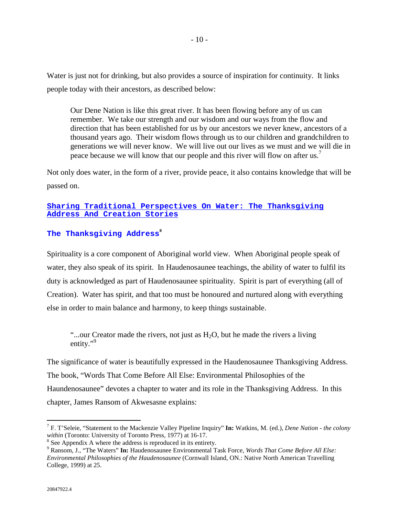Water is just not for drinking, but also provides a source of inspiration for continuity. It links people today with their ancestors, as described below:

Our Dene Nation is like this great river. It has been flowing before any of us can remember. We take our strength and our wisdom and our ways from the flow and direction that has been established for us by our ancestors we never knew, ancestors of a thousand years ago. Their wisdom flows through us to our children and grandchildren to generations we will never know. We will live out our lives as we must and we will die in peace because we will know that our people and this river will flow on after us.<sup>7</sup>

Not only does water, in the form of a river, provide peace, it also contains knowledge that will be passed on.

# **Sharing Traditional Perspectives On Water: The Thanksgiving Address And Creation Stories**

# $\mathbf{T}$ he Thanksgiving Address<sup>8</sup>

Spirituality is a core component of Aboriginal world view. When Aboriginal people speak of water, they also speak of its spirit. In Haudenosaunee teachings, the ability of water to fulfil its duty is acknowledged as part of Haudenosaunee spirituality. Spirit is part of everything (all of Creation). Water has spirit, and that too must be honoured and nurtured along with everything else in order to main balance and harmony, to keep things sustainable.

"...our Creator made the rivers, not just as  $H_2O$ , but he made the rivers a living entity."<sup>9</sup>

The significance of water is beautifully expressed in the Haudenosaunee Thanksgiving Address. The book, "Words That Come Before All Else: Environmental Philosophies of the Haundenosaunee" devotes a chapter to water and its role in the Thanksgiving Address. In this chapter, James Ransom of Akwesasne explains:

<sup>7</sup> F. T'Seleie, "Statement to the Mackenzie Valley Pipeline Inquiry" **In:** Watkins, M. (ed.), *Dene Nation - the colony within* (Toronto: University of Toronto Press, 1977) at 16-17.

 $8$  See Appendix A where the address is reproduced in its entirety.

<sup>9</sup> Ransom, J., "The Waters" **In:** Haudenosaunee Environmental Task Force, *Words That Come Before All Else: Environmental Philosophies of the Haudenosaunee* (Cornwall Island, ON.: Native North American Travelling College, 1999) at 25.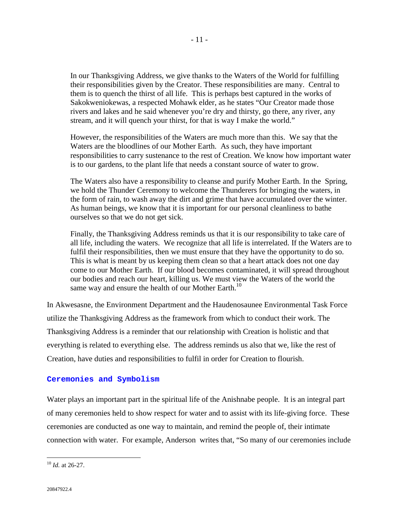In our Thanksgiving Address, we give thanks to the Waters of the World for fulfilling their responsibilities given by the Creator. These responsibilities are many. Central to them is to quench the thirst of all life. This is perhaps best captured in the works of Sakokweniokewas, a respected Mohawk elder, as he states "Our Creator made those rivers and lakes and he said whenever you're dry and thirsty, go there, any river, any stream, and it will quench your thirst, for that is way I make the world."

However, the responsibilities of the Waters are much more than this. We say that the Waters are the bloodlines of our Mother Earth. As such, they have important responsibilities to carry sustenance to the rest of Creation. We know how important water is to our gardens, to the plant life that needs a constant source of water to grow.

The Waters also have a responsibility to cleanse and purify Mother Earth. In the Spring, we hold the Thunder Ceremony to welcome the Thunderers for bringing the waters, in the form of rain, to wash away the dirt and grime that have accumulated over the winter. As human beings, we know that it is important for our personal cleanliness to bathe ourselves so that we do not get sick.

Finally, the Thanksgiving Address reminds us that it is our responsibility to take care of all life, including the waters. We recognize that all life is interrelated. If the Waters are to fulfil their responsibilities, then we must ensure that they have the opportunity to do so. This is what is meant by us keeping them clean so that a heart attack does not one day come to our Mother Earth. If our blood becomes contaminated, it will spread throughout our bodies and reach our heart, killing us. We must view the Waters of the world the same way and ensure the health of our Mother Earth.<sup>10</sup>

In Akwesasne, the Environment Department and the Haudenosaunee Environmental Task Force utilize the Thanksgiving Address as the framework from which to conduct their work. The Thanksgiving Address is a reminder that our relationship with Creation is holistic and that everything is related to everything else. The address reminds us also that we, like the rest of Creation, have duties and responsibilities to fulfil in order for Creation to flourish.

#### **Ceremonies and Symbolism**

Water plays an important part in the spiritual life of the Anishnabe people. It is an integral part of many ceremonies held to show respect for water and to assist with its life-giving force. These ceremonies are conducted as one way to maintain, and remind the people of, their intimate connection with water. For example, Anderson writes that, "So many of our ceremonies include

<sup>10</sup> *Id.* at 26-27.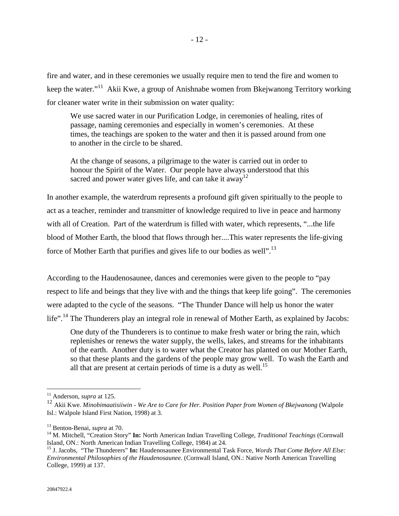fire and water, and in these ceremonies we usually require men to tend the fire and women to keep the water."11 Akii Kwe, a group of Anishnabe women from Bkejwanong Territory working for cleaner water write in their submission on water quality:

We use sacred water in our Purification Lodge, in ceremonies of healing, rites of passage, naming ceremonies and especially in women's ceremonies. At these times, the teachings are spoken to the water and then it is passed around from one to another in the circle to be shared.

At the change of seasons, a pilgrimage to the water is carried out in order to honour the Spirit of the Water. Our people have always understood that this sacred and power water gives life, and can take it away<sup>12</sup>

In another example, the waterdrum represents a profound gift given spiritually to the people to act as a teacher, reminder and transmitter of knowledge required to live in peace and harmony with all of Creation. Part of the waterdrum is filled with water, which represents, "...the life blood of Mother Earth, the blood that flows through her....This water represents the life-giving force of Mother Earth that purifies and gives life to our bodies as well".13

According to the Haudenosaunee, dances and ceremonies were given to the people to "pay respect to life and beings that they live with and the things that keep life going". The ceremonies were adapted to the cycle of the seasons. "The Thunder Dance will help us honor the water life".<sup>14</sup> The Thunderers play an integral role in renewal of Mother Earth, as explained by Jacobs:

One duty of the Thunderers is to continue to make fresh water or bring the rain, which replenishes or renews the water supply, the wells, lakes, and streams for the inhabitants of the earth. Another duty is to water what the Creator has planted on our Mother Earth, so that these plants and the gardens of the people may grow well. To wash the Earth and all that are present at certain periods of time is a duty as well.<sup>15</sup>

<sup>11</sup> Anderson, *supra* at 125.

<sup>12</sup> Akii Kwe. *Minobimaatisiiwin - We Are to Care for Her. Position Paper from Women of Bkejwanong* (Walpole Isl.: Walpole Island First Nation, 1998) at 3.

<sup>&</sup>lt;sup>13</sup> Benton-Benai, *supra* at 70.<br><sup>14</sup> M. Mitchell, "Creation Story" **In:** North American Indian Travelling College, *Traditional Teachings* (Cornwall Island, ON.: North American Indian Travelling College, 1984) at 24.

<sup>15</sup> J. Jacobs, "The Thunderers" **In:** Haudenosaunee Environmental Task Force, *Words That Come Before All Else: Environmental Philosophies of the Haudenosaunee.* (Cornwall Island, ON.: Native North American Travelling College, 1999) at 137.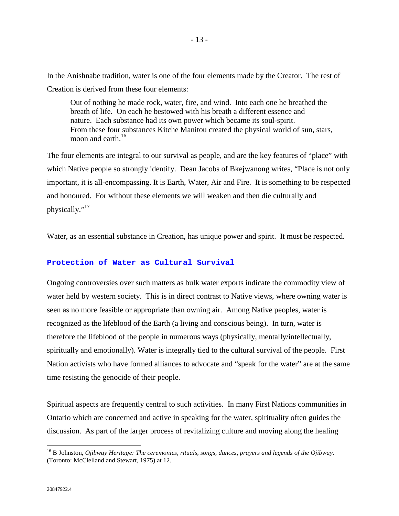In the Anishnabe tradition, water is one of the four elements made by the Creator. The rest of Creation is derived from these four elements:

Out of nothing he made rock, water, fire, and wind. Into each one he breathed the breath of life. On each he bestowed with his breath a different essence and nature. Each substance had its own power which became its soul-spirit. From these four substances Kitche Manitou created the physical world of sun, stars, moon and earth.<sup>16</sup>

The four elements are integral to our survival as people, and are the key features of "place" with which Native people so strongly identify. Dean Jacobs of Bkejwanong writes, "Place is not only important, it is all-encompassing. It is Earth, Water, Air and Fire. It is something to be respected and honoured. For without these elements we will weaken and then die culturally and physically."<sup>17</sup>

Water, as an essential substance in Creation, has unique power and spirit. It must be respected.

# **Protection of Water as Cultural Survival**

Ongoing controversies over such matters as bulk water exports indicate the commodity view of water held by western society. This is in direct contrast to Native views, where owning water is seen as no more feasible or appropriate than owning air. Among Native peoples, water is recognized as the lifeblood of the Earth (a living and conscious being). In turn, water is therefore the lifeblood of the people in numerous ways (physically, mentally/intellectually, spiritually and emotionally). Water is integrally tied to the cultural survival of the people. First Nation activists who have formed alliances to advocate and "speak for the water" are at the same time resisting the genocide of their people.

Spiritual aspects are frequently central to such activities. In many First Nations communities in Ontario which are concerned and active in speaking for the water, spirituality often guides the discussion. As part of the larger process of revitalizing culture and moving along the healing

<sup>16</sup> B Johnston, *Ojibway Heritage: The ceremonies, rituals, songs, dances, prayers and legends of the Ojibway.* (Toronto: McClelland and Stewart, 1975) at 12.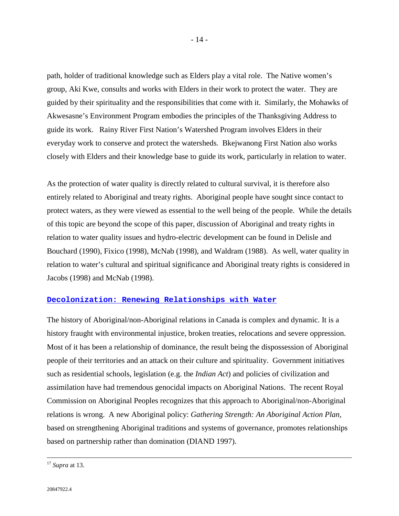path, holder of traditional knowledge such as Elders play a vital role. The Native women's group, Aki Kwe, consults and works with Elders in their work to protect the water. They are guided by their spirituality and the responsibilities that come with it. Similarly, the Mohawks of Akwesasne's Environment Program embodies the principles of the Thanksgiving Address to guide its work. Rainy River First Nation's Watershed Program involves Elders in their everyday work to conserve and protect the watersheds. Bkejwanong First Nation also works closely with Elders and their knowledge base to guide its work, particularly in relation to water.

As the protection of water quality is directly related to cultural survival, it is therefore also entirely related to Aboriginal and treaty rights. Aboriginal people have sought since contact to protect waters, as they were viewed as essential to the well being of the people. While the details of this topic are beyond the scope of this paper, discussion of Aboriginal and treaty rights in relation to water quality issues and hydro-electric development can be found in Delisle and Bouchard (1990), Fixico (1998), McNab (1998), and Waldram (1988). As well, water quality in relation to water's cultural and spiritual significance and Aboriginal treaty rights is considered in Jacobs (1998) and McNab (1998).

# **Decolonization: Renewing Relationships with Water**

The history of Aboriginal/non-Aboriginal relations in Canada is complex and dynamic. It is a history fraught with environmental injustice, broken treaties, relocations and severe oppression. Most of it has been a relationship of dominance, the result being the dispossession of Aboriginal people of their territories and an attack on their culture and spirituality. Government initiatives such as residential schools, legislation (e.g. the *Indian Act*) and policies of civilization and assimilation have had tremendous genocidal impacts on Aboriginal Nations. The recent Royal Commission on Aboriginal Peoples recognizes that this approach to Aboriginal/non-Aboriginal relations is wrong. A new Aboriginal policy: *Gathering Strength: An Aboriginal Action Plan,* based on strengthening Aboriginal traditions and systems of governance, promotes relationships based on partnership rather than domination (DIAND 1997).

 <sup>17</sup> *Supra* at 13.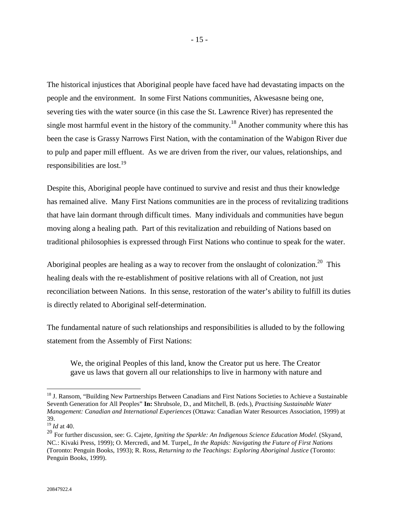The historical injustices that Aboriginal people have faced have had devastating impacts on the people and the environment. In some First Nations communities, Akwesasne being one, severing ties with the water source (in this case the St. Lawrence River) has represented the single most harmful event in the history of the community.<sup>18</sup> Another community where this has been the case is Grassy Narrows First Nation, with the contamination of the Wabigon River due to pulp and paper mill effluent. As we are driven from the river, our values, relationships, and responsibilities are lost.<sup>19</sup>

Despite this, Aboriginal people have continued to survive and resist and thus their knowledge has remained alive. Many First Nations communities are in the process of revitalizing traditions that have lain dormant through difficult times. Many individuals and communities have begun moving along a healing path. Part of this revitalization and rebuilding of Nations based on traditional philosophies is expressed through First Nations who continue to speak for the water.

Aboriginal peoples are healing as a way to recover from the onslaught of colonization.<sup>20</sup> This healing deals with the re-establishment of positive relations with all of Creation, not just reconciliation between Nations. In this sense, restoration of the water's ability to fulfill its duties is directly related to Aboriginal self-determination.

The fundamental nature of such relationships and responsibilities is alluded to by the following statement from the Assembly of First Nations:

We, the original Peoples of this land, know the Creator put us here. The Creator gave us laws that govern all our relationships to live in harmony with nature and

<sup>&</sup>lt;sup>18</sup> J. Ransom, "Building New Partnerships Between Canadians and First Nations Societies to Achieve a Sustainable Seventh Generation for All Peoples" **In:** Shrubsole, D., and Mitchell, B. (eds.), *Practising Sustainable Water Management: Canadian and International Experiences* (Ottawa: Canadian Water Resources Association, 1999) at 39.

<sup>19</sup> *Id* at 40.

<sup>20</sup> For further discussion, see: G. Cajete, *Igniting the Sparkle: An Indigenous Science Education Model.* (Skyand, NC.: Kivaki Press, 1999); O. Mercredi, and M. Turpel,, *In the Rapids: Navigating the Future of First Nations* (Toronto: Penguin Books, 1993); R. Ross, *Returning to the Teachings: Exploring Aboriginal Justice* (Toronto: Penguin Books, 1999).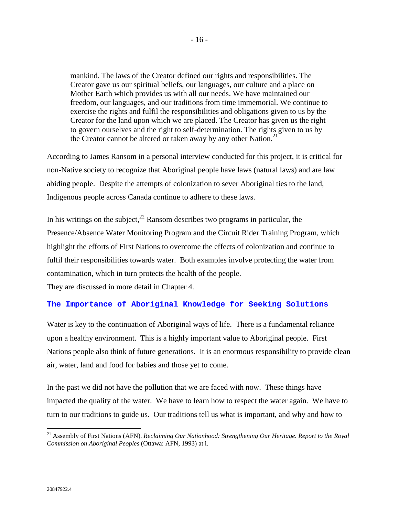mankind. The laws of the Creator defined our rights and responsibilities. The Creator gave us our spiritual beliefs, our languages, our culture and a place on Mother Earth which provides us with all our needs. We have maintained our freedom, our languages, and our traditions from time immemorial. We continue to exercise the rights and fulfil the responsibilities and obligations given to us by the Creator for the land upon which we are placed. The Creator has given us the right to govern ourselves and the right to self-determination. The rights given to us by the Creator cannot be altered or taken away by any other Nation. $2<sup>1</sup>$ 

According to James Ransom in a personal interview conducted for this project, it is critical for non-Native society to recognize that Aboriginal people have laws (natural laws) and are law abiding people. Despite the attempts of colonization to sever Aboriginal ties to the land, Indigenous people across Canada continue to adhere to these laws.

In his writings on the subject,  $^{22}$  Ransom describes two programs in particular, the Presence/Absence Water Monitoring Program and the Circuit Rider Training Program, which highlight the efforts of First Nations to overcome the effects of colonization and continue to fulfil their responsibilities towards water. Both examples involve protecting the water from contamination, which in turn protects the health of the people.

They are discussed in more detail in Chapter 4.

# **The Importance of Aboriginal Knowledge for Seeking Solutions**

Water is key to the continuation of Aboriginal ways of life. There is a fundamental reliance upon a healthy environment. This is a highly important value to Aboriginal people. First Nations people also think of future generations. It is an enormous responsibility to provide clean air, water, land and food for babies and those yet to come.

In the past we did not have the pollution that we are faced with now. These things have impacted the quality of the water. We have to learn how to respect the water again. We have to turn to our traditions to guide us. Our traditions tell us what is important, and why and how to

<sup>&</sup>lt;sup>21</sup> Assembly of First Nations (AFN). *Reclaiming Our Nationhood: Strengthening Our Heritage. Report to the Royal Commission on Aboriginal Peoples* (Ottawa: AFN, 1993) at i.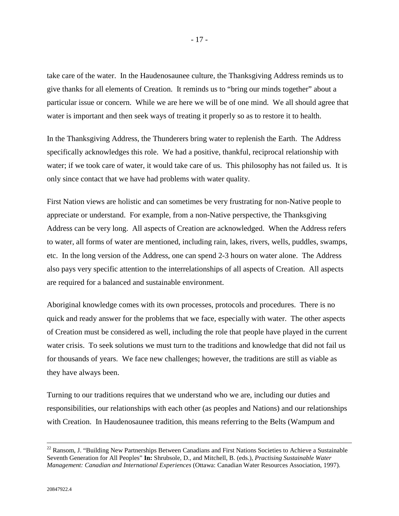take care of the water. In the Haudenosaunee culture, the Thanksgiving Address reminds us to give thanks for all elements of Creation. It reminds us to "bring our minds together" about a particular issue or concern. While we are here we will be of one mind. We all should agree that water is important and then seek ways of treating it properly so as to restore it to health.

In the Thanksgiving Address, the Thunderers bring water to replenish the Earth. The Address specifically acknowledges this role. We had a positive, thankful, reciprocal relationship with water; if we took care of water, it would take care of us. This philosophy has not failed us. It is only since contact that we have had problems with water quality.

First Nation views are holistic and can sometimes be very frustrating for non-Native people to appreciate or understand. For example, from a non-Native perspective, the Thanksgiving Address can be very long. All aspects of Creation are acknowledged. When the Address refers to water, all forms of water are mentioned, including rain, lakes, rivers, wells, puddles, swamps, etc. In the long version of the Address, one can spend 2-3 hours on water alone. The Address also pays very specific attention to the interrelationships of all aspects of Creation. All aspects are required for a balanced and sustainable environment.

Aboriginal knowledge comes with its own processes, protocols and procedures. There is no quick and ready answer for the problems that we face, especially with water. The other aspects of Creation must be considered as well, including the role that people have played in the current water crisis. To seek solutions we must turn to the traditions and knowledge that did not fail us for thousands of years. We face new challenges; however, the traditions are still as viable as they have always been.

Turning to our traditions requires that we understand who we are, including our duties and responsibilities, our relationships with each other (as peoples and Nations) and our relationships with Creation. In Haudenosaunee tradition, this means referring to the Belts (Wampum and

<sup>&</sup>lt;sup>22</sup> Ransom, J. "Building New Partnerships Between Canadians and First Nations Societies to Achieve a Sustainable Seventh Generation for All Peoples" **In:** Shrubsole, D., and Mitchell, B. (eds.), *Practising Sustainable Water Management: Canadian and International Experiences* (Ottawa: Canadian Water Resources Association, 1997).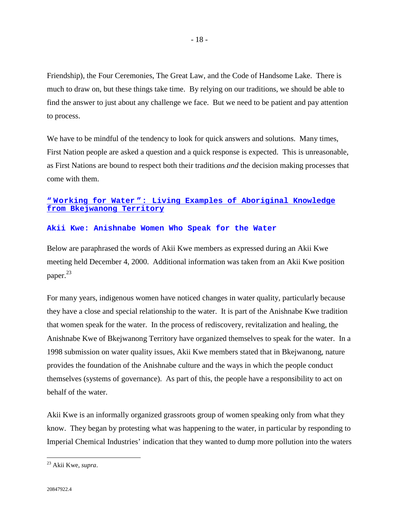Friendship), the Four Ceremonies, The Great Law, and the Code of Handsome Lake. There is much to draw on, but these things take time. By relying on our traditions, we should be able to find the answer to just about any challenge we face. But we need to be patient and pay attention to process.

We have to be mindful of the tendency to look for quick answers and solutions. Many times, First Nation people are asked a question and a quick response is expected. This is unreasonable, as First Nations are bound to respect both their traditions *and* the decision making processes that come with them.

# **" Working for Water ": Living Examples of Aboriginal Knowledge from Bkejwanong Territory**

#### **Akii Kwe: Anishnabe Women Who Speak for the Water**

Below are paraphrased the words of Akii Kwe members as expressed during an Akii Kwe meeting held December 4, 2000. Additional information was taken from an Akii Kwe position paper.<sup>23</sup>

For many years, indigenous women have noticed changes in water quality, particularly because they have a close and special relationship to the water. It is part of the Anishnabe Kwe tradition that women speak for the water. In the process of rediscovery, revitalization and healing, the Anishnabe Kwe of Bkejwanong Territory have organized themselves to speak for the water. In a 1998 submission on water quality issues, Akii Kwe members stated that in Bkejwanong, nature provides the foundation of the Anishnabe culture and the ways in which the people conduct themselves (systems of governance). As part of this, the people have a responsibility to act on behalf of the water.

Akii Kwe is an informally organized grassroots group of women speaking only from what they know. They began by protesting what was happening to the water, in particular by responding to Imperial Chemical Industries' indication that they wanted to dump more pollution into the waters

<sup>23</sup> Akii Kwe, *supra*.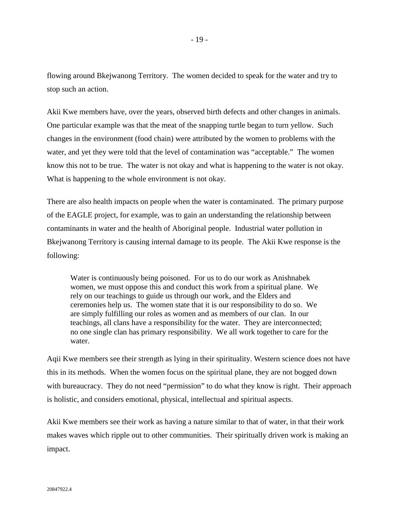flowing around Bkejwanong Territory. The women decided to speak for the water and try to stop such an action.

Akii Kwe members have, over the years, observed birth defects and other changes in animals. One particular example was that the meat of the snapping turtle began to turn yellow. Such changes in the environment (food chain) were attributed by the women to problems with the water, and yet they were told that the level of contamination was "acceptable." The women know this not to be true. The water is not okay and what is happening to the water is not okay. What is happening to the whole environment is not okay.

There are also health impacts on people when the water is contaminated. The primary purpose of the EAGLE project, for example, was to gain an understanding the relationship between contaminants in water and the health of Aboriginal people. Industrial water pollution in Bkejwanong Territory is causing internal damage to its people. The Akii Kwe response is the following:

Water is continuously being poisoned. For us to do our work as Anishnabek women, we must oppose this and conduct this work from a spiritual plane. We rely on our teachings to guide us through our work, and the Elders and ceremonies help us. The women state that it is our responsibility to do so. We are simply fulfilling our roles as women and as members of our clan. In our teachings, all clans have a responsibility for the water. They are interconnected; no one single clan has primary responsibility. We all work together to care for the water.

Aqii Kwe members see their strength as lying in their spirituality. Western science does not have this in its methods. When the women focus on the spiritual plane, they are not bogged down with bureaucracy. They do not need "permission" to do what they know is right. Their approach is holistic, and considers emotional, physical, intellectual and spiritual aspects.

Akii Kwe members see their work as having a nature similar to that of water, in that their work makes waves which ripple out to other communities. Their spiritually driven work is making an impact.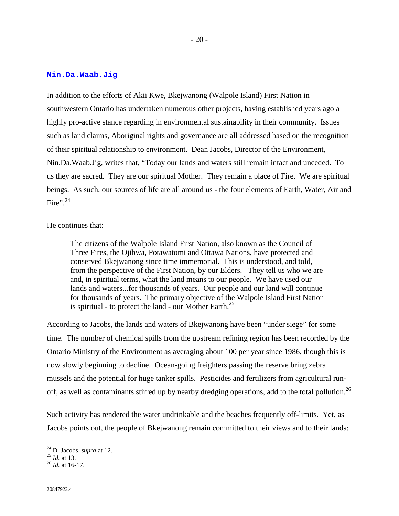#### **Nin.Da.Waab.Jig**

In addition to the efforts of Akii Kwe, Bkejwanong (Walpole Island) First Nation in southwestern Ontario has undertaken numerous other projects, having established years ago a highly pro-active stance regarding in environmental sustainability in their community. Issues such as land claims, Aboriginal rights and governance are all addressed based on the recognition of their spiritual relationship to environment. Dean Jacobs, Director of the Environment, Nin.Da.Waab.Jig, writes that, "Today our lands and waters still remain intact and unceded. To us they are sacred. They are our spiritual Mother. They remain a place of Fire. We are spiritual beings. As such, our sources of life are all around us - the four elements of Earth, Water, Air and Fire".<sup>24</sup>

### He continues that:

The citizens of the Walpole Island First Nation, also known as the Council of Three Fires, the Ojibwa, Potawatomi and Ottawa Nations, have protected and conserved Bkejwanong since time immemorial. This is understood, and told, from the perspective of the First Nation, by our Elders. They tell us who we are and, in spiritual terms, what the land means to our people. We have used our lands and waters...for thousands of years. Our people and our land will continue for thousands of years. The primary objective of the Walpole Island First Nation is spiritual - to protect the land - our Mother Earth.<sup>25</sup>

According to Jacobs, the lands and waters of Bkejwanong have been "under siege" for some time. The number of chemical spills from the upstream refining region has been recorded by the Ontario Ministry of the Environment as averaging about 100 per year since 1986, though this is now slowly beginning to decline. Ocean-going freighters passing the reserve bring zebra mussels and the potential for huge tanker spills. Pesticides and fertilizers from agricultural runoff, as well as contaminants stirred up by nearby dredging operations, add to the total pollution.<sup>26</sup>

Such activity has rendered the water undrinkable and the beaches frequently off-limits. Yet, as Jacobs points out, the people of Bkejwanong remain committed to their views and to their lands:

<sup>24</sup> D. Jacobs, *supra* at 12. 25 *Id.* at 13. 26 *Id.* at 16-17.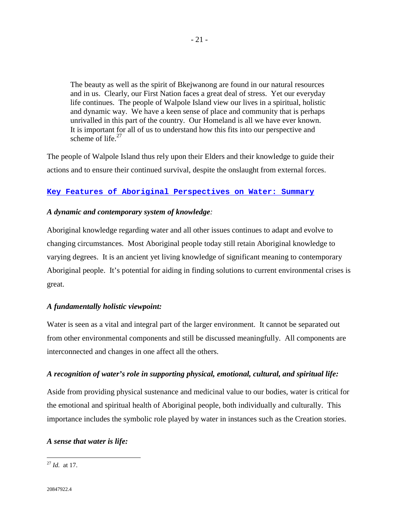The beauty as well as the spirit of Bkejwanong are found in our natural resources and in us. Clearly, our First Nation faces a great deal of stress. Yet our everyday life continues. The people of Walpole Island view our lives in a spiritual, holistic and dynamic way. We have a keen sense of place and community that is perhaps unrivalled in this part of the country. Our Homeland is all we have ever known. It is important for all of us to understand how this fits into our perspective and scheme of life.<sup>27</sup>

The people of Walpole Island thus rely upon their Elders and their knowledge to guide their actions and to ensure their continued survival, despite the onslaught from external forces.

# **Key Features of Aboriginal Perspectives on Water: Summary**

# *A dynamic and contemporary system of knowledge:*

Aboriginal knowledge regarding water and all other issues continues to adapt and evolve to changing circumstances. Most Aboriginal people today still retain Aboriginal knowledge to varying degrees. It is an ancient yet living knowledge of significant meaning to contemporary Aboriginal people. It's potential for aiding in finding solutions to current environmental crises is great.

# *A fundamentally holistic viewpoint:*

Water is seen as a vital and integral part of the larger environment. It cannot be separated out from other environmental components and still be discussed meaningfully. All components are interconnected and changes in one affect all the others.

# *A recognition of water's role in supporting physical, emotional, cultural, and spiritual life:*

Aside from providing physical sustenance and medicinal value to our bodies, water is critical for the emotional and spiritual health of Aboriginal people, both individually and culturally. This importance includes the symbolic role played by water in instances such as the Creation stories.

# *A sense that water is life:*

<sup>27</sup> *Id.* at 17.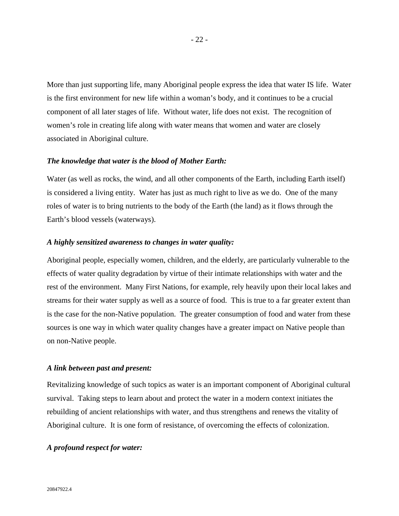More than just supporting life, many Aboriginal people express the idea that water IS life. Water is the first environment for new life within a woman's body, and it continues to be a crucial component of all later stages of life. Without water, life does not exist. The recognition of women's role in creating life along with water means that women and water are closely associated in Aboriginal culture.

#### *The knowledge that water is the blood of Mother Earth:*

Water (as well as rocks, the wind, and all other components of the Earth, including Earth itself) is considered a living entity. Water has just as much right to live as we do. One of the many roles of water is to bring nutrients to the body of the Earth (the land) as it flows through the Earth's blood vessels (waterways).

#### *A highly sensitized awareness to changes in water quality:*

Aboriginal people, especially women, children, and the elderly, are particularly vulnerable to the effects of water quality degradation by virtue of their intimate relationships with water and the rest of the environment. Many First Nations, for example, rely heavily upon their local lakes and streams for their water supply as well as a source of food. This is true to a far greater extent than is the case for the non-Native population. The greater consumption of food and water from these sources is one way in which water quality changes have a greater impact on Native people than on non-Native people.

#### *A link between past and present:*

Revitalizing knowledge of such topics as water is an important component of Aboriginal cultural survival. Taking steps to learn about and protect the water in a modern context initiates the rebuilding of ancient relationships with water, and thus strengthens and renews the vitality of Aboriginal culture. It is one form of resistance, of overcoming the effects of colonization.

# *A profound respect for water:*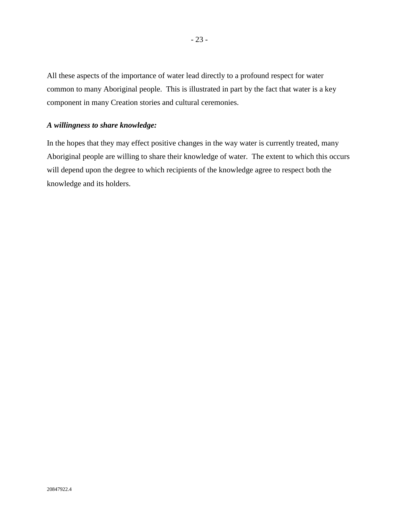All these aspects of the importance of water lead directly to a profound respect for water common to many Aboriginal people. This is illustrated in part by the fact that water is a key component in many Creation stories and cultural ceremonies.

### *A willingness to share knowledge:*

In the hopes that they may effect positive changes in the way water is currently treated, many Aboriginal people are willing to share their knowledge of water. The extent to which this occurs will depend upon the degree to which recipients of the knowledge agree to respect both the knowledge and its holders.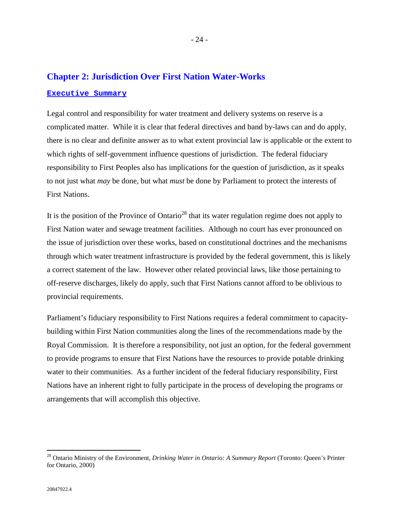# **Chapter 2: Jurisdiction Over First Nation Water-Works Executive Summary**

Legal control and responsibility for water treatment and delivery systems on reserve is a complicated matter. While it is clear that federal directives and band by-laws can and do apply, there is no clear and definite answer as to what extent provincial law is applicable or the extent to which rights of self-government influence questions of jurisdiction. The federal fiduciary responsibility to First Peoples also has implications for the question of jurisdiction, as it speaks to not just what *may* be done, but what *must* be done by Parliament to protect the interests of First Nations.

It is the position of the Province of Ontario<sup>28</sup> that its water regulation regime does not apply to First Nation water and sewage treatment facilities. Although no court has ever pronounced on the issue of jurisdiction over these works, based on constitutional doctrines and the mechanisms through which water treatment infrastructure is provided by the federal government, this is likely a correct statement of the law. However other related provincial laws, like those pertaining to off-reserve discharges, likely do apply, such that First Nations cannot afford to be oblivious to provincial requirements.

Parliament's fiduciary responsibility to First Nations requires a federal commitment to capacitybuilding within First Nation communities along the lines of the recommendations made by the Royal Commission. It is therefore a responsibility, not just an option, for the federal government to provide programs to ensure that First Nations have the resources to provide potable drinking water to their communities. As a further incident of the federal fiduciary responsibility, First Nations have an inherent right to fully participate in the process of developing the programs or arrangements that will accomplish this objective.

<sup>28</sup> Ontario Ministry of the Environment, *Drinking Water in Ontario: A Summary Report* (Toronto: Queen's Printer for Ontario, 2000)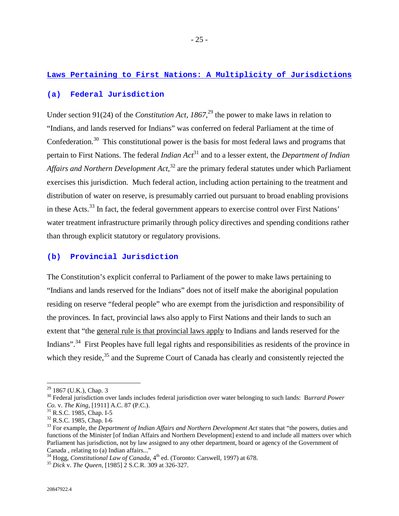# **Laws Pertaining to First Nations: A Multiplicity of Jurisdictions**

# **(a) Federal Jurisdiction**

Under section 91(24) of the *Constitution Act, 1867*<sup>29</sup>, the power to make laws in relation to "Indians, and lands reserved for Indians" was conferred on federal Parliament at the time of Confederation.<sup>30</sup> This constitutional power is the basis for most federal laws and programs that pertain to First Nations. The federal *Indian Act*31 and to a lesser extent, the *Department of Indian Affairs and Northern Development Act*, 32 are the primary federal statutes under which Parliament exercises this jurisdiction. Much federal action, including action pertaining to the treatment and distribution of water on reserve, is presumably carried out pursuant to broad enabling provisions in these Acts.<sup>33</sup> In fact, the federal government appears to exercise control over First Nations' water treatment infrastructure primarily through policy directives and spending conditions rather than through explicit statutory or regulatory provisions.

# **(b) Provincial Jurisdiction**

The Constitution's explicit conferral to Parliament of the power to make laws pertaining to "Indians and lands reserved for the Indians" does not of itself make the aboriginal population residing on reserve "federal people" who are exempt from the jurisdiction and responsibility of the provinces*.* In fact, provincial laws also apply to First Nations and their lands to such an extent that "the general rule is that provincial laws apply to Indians and lands reserved for the Indians".<sup>34</sup> First Peoples have full legal rights and responsibilities as residents of the province in which they reside,<sup>35</sup> and the Supreme Court of Canada has clearly and consistently rejected the

 $29$  1867 (U.K.), Chap. 3

<sup>30</sup> Federal jurisdiction over lands includes federal jurisdiction over water belonging to such lands: B*urrard Power Co. v. The King*, [1911] A.C. 87 (P.C.).<sup>31</sup> R.S.C. 1985, Chap. I-5

<sup>32</sup> R.S.C. 1985, Chap. I-6

<sup>33</sup> For example, the *Department of Indian Affairs and Northern Development Act* states that "the powers, duties and functions of the Minister [of Indian Affairs and Northern Development] extend to and include all matters over which Parliament has jurisdiction, not by law assigned to any other department, board or agency of the Government of Canada , relating to (a) Indian affairs..."

<sup>&</sup>lt;sup>34</sup> Hogg, *Constitutional Law of Canada*, 4<sup>th</sup> ed. (Toronto: Carswell, 1997) at 678.<br><sup>35</sup> *Dick v. The Queen*, [1985] 2 S.C.R. 309 at 326-327.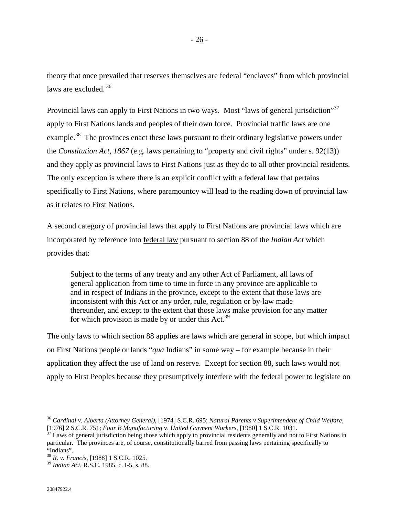theory that once prevailed that reserves themselves are federal "enclaves" from which provincial laws are excluded.<sup>36</sup>

Provincial laws can apply to First Nations in two ways. Most "laws of general jurisdiction"<sup>37</sup> apply to First Nations lands and peoples of their own force. Provincial traffic laws are one example.<sup>38</sup> The provinces enact these laws pursuant to their ordinary legislative powers under the *Constitution Act, 1867* (e.g. laws pertaining to "property and civil rights" under s. 92(13)) and they apply as provincial laws to First Nations just as they do to all other provincial residents. The only exception is where there is an explicit conflict with a federal law that pertains specifically to First Nations, where paramountcy will lead to the reading down of provincial law as it relates to First Nations.

A second category of provincial laws that apply to First Nations are provincial laws which are incorporated by reference into federal law pursuant to section 88 of the *Indian Act* which provides that:

Subject to the terms of any treaty and any other Act of Parliament, all laws of general application from time to time in force in any province are applicable to and in respect of Indians in the province, except to the extent that those laws are inconsistent with this Act or any order, rule, regulation or by-law made thereunder, and except to the extent that those laws make provision for any matter for which provision is made by or under this  $Act.^{39}$ 

The only laws to which section 88 applies are laws which are general in scope, but which impact on First Nations people or lands "*qua* Indians" in some way – for example because in their application they affect the use of land on reserve. Except for section 88, such laws would not apply to First Peoples because they presumptively interfere with the federal power to legislate on

<sup>36</sup> *Cardinal v. Alberta (Attorney General)*, [1974] S.C.R. 695; *Natural Parents v Superintendent of Child Welfare*,

<sup>&</sup>lt;sup>37</sup> Laws of general jurisdiction being those which apply to provincial residents generally and not to First Nations in particular. The provinces are, of course, constitutionally barred from passing laws pertaining specifically to "Indians".

<sup>38</sup> *R. v. Francis*, [1988] 1 S.C.R. 1025.

<sup>39</sup> *Indian Act*, R.S.C. 1985, c. I-5, s. 88.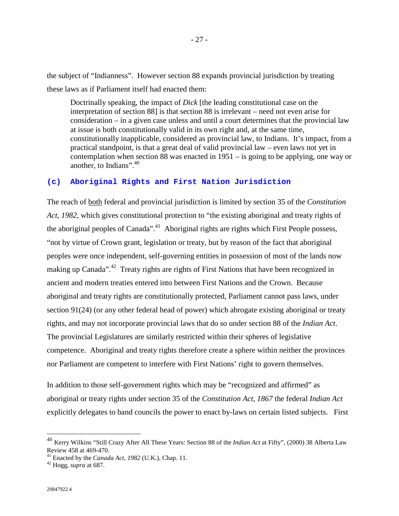the subject of "Indianness". However section 88 expands provincial jurisdiction by treating these laws as if Parliament itself had enacted them:

Doctrinally speaking, the impact of *Dick* [the leading constitutional case on the interpretation of section 88] is that section 88 is irrelevant – need not even arise for consideration – in a given case unless and until a court determines that the provincial law at issue is both constitutionally valid in its own right and, at the same time, constitutionally inapplicable, considered as provincial law, to Indians. It's impact, from a practical standpoint, is that a great deal of valid provincial law – even laws not yet in contemplation when section 88 was enacted in 1951 – is going to be applying, one way or another, to Indians". $40$ 

### **(c) Aboriginal Rights and First Nation Jurisdiction**

The reach of both federal and provincial jurisdiction is limited by section 35 of the *Constitution Act, 1982,* which gives constitutional protection to "the existing aboriginal and treaty rights of the aboriginal peoples of Canada".<sup>41</sup> Aboriginal rights are rights which First People possess, "not by virtue of Crown grant, legislation or treaty, but by reason of the fact that aboriginal peoples were once independent, self-governing entities in possession of most of the lands now making up Canada".<sup>42</sup> Treaty rights are rights of First Nations that have been recognized in ancient and modern treaties entered into between First Nations and the Crown. Because aboriginal and treaty rights are constitutionally protected, Parliament cannot pass laws, under section 91(24) (or any other federal head of power) which abrogate existing aboriginal or treaty rights, and may not incorporate provincial laws that do so under section 88 of the *Indian Act*. The provincial Legislatures are similarly restricted within their spheres of legislative competence. Aboriginal and treaty rights therefore create a sphere within neither the provinces nor Parliament are competent to interfere with First Nations' right to govern themselves.

In addition to those self-government rights which may be "recognized and affirmed" as aboriginal or treaty rights under section 35 of the *Constitution Act, 1867* the federal *Indian Act* explicitly delegates to band councils the power to enact by-laws on certain listed subjects. First

<sup>40</sup> Kerry Wilkins "Still Crazy After All These Years: Section 88 of the *Indian Act* at Fifty", (2000) 38 Alberta Law Review 458 at 469-470.

<sup>41</sup> Enacted by the *Canada Act, 1982* (U.K.), Chap. 11. 42 Hogg, *supra* at 687.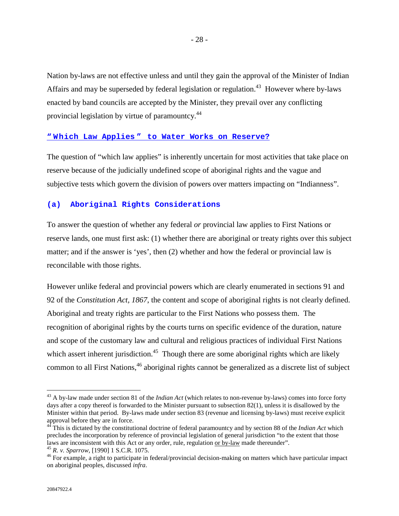Nation by-laws are not effective unless and until they gain the approval of the Minister of Indian Affairs and may be superseded by federal legislation or regulation.<sup>43</sup> However where by-laws enacted by band councils are accepted by the Minister, they prevail over any conflicting provincial legislation by virtue of paramountcy.<sup>44</sup>

# **" Which Law Applies " to Water Works on Reserve?**

The question of "which law applies" is inherently uncertain for most activities that take place on reserve because of the judicially undefined scope of aboriginal rights and the vague and subjective tests which govern the division of powers over matters impacting on "Indianness".

#### **(a) Aboriginal Rights Considerations**

To answer the question of whether any federal *or* provincial law applies to First Nations or reserve lands, one must first ask: (1) whether there are aboriginal or treaty rights over this subject matter; and if the answer is 'yes', then (2) whether and how the federal or provincial law is reconcilable with those rights.

However unlike federal and provincial powers which are clearly enumerated in sections 91 and 92 of the *Constitution Act, 1867*, the content and scope of aboriginal rights is not clearly defined. Aboriginal and treaty rights are particular to the First Nations who possess them. The recognition of aboriginal rights by the courts turns on specific evidence of the duration, nature and scope of the customary law and cultural and religious practices of individual First Nations which assert inherent jurisdiction.<sup>45</sup> Though there are some aboriginal rights which are likely common to all First Nations,<sup>46</sup> aboriginal rights cannot be generalized as a discrete list of subject

<sup>43</sup> A by-law made under section 81 of the *Indian Act* (which relates to non-revenue by-laws) comes into force forty days after a copy thereof is forwarded to the Minister pursuant to subsection 82(1), unless it is disallowed by the Minister within that period. By-laws made under section 83 (revenue and licensing by-laws) must receive explicit approval before they are in force.

<sup>44</sup> This is dictated by the constitutional doctrine of federal paramountcy and by section 88 of the *Indian Act* which precludes the incorporation by reference of provincial legislation of general jurisdiction "to the extent that those laws are inconsistent with this Act or any order, rule, regulation <u>or by-law</u> made thereunder".<br><sup>45</sup> R. v. Sparrow, [1990] 1 S.C.R. 1075.<br><sup>46</sup> For example, a right to participate in federal/provincial decision-making on

on aboriginal peoples, discussed *infra*.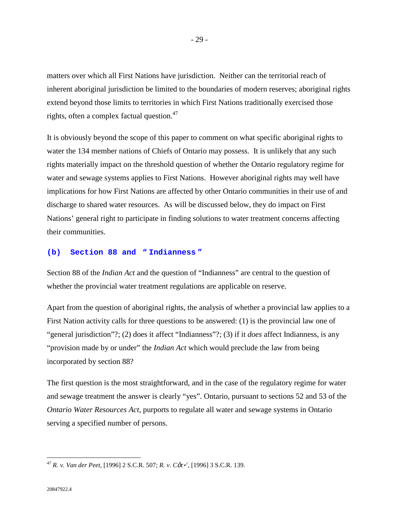matters over which all First Nations have jurisdiction. Neither can the territorial reach of inherent aboriginal jurisdiction be limited to the boundaries of modern reserves; aboriginal rights extend beyond those limits to territories in which First Nations traditionally exercised those rights, often a complex factual question. $47$ 

It is obviously beyond the scope of this paper to comment on what specific aboriginal rights to water the 134 member nations of Chiefs of Ontario may possess. It is unlikely that any such rights materially impact on the threshold question of whether the Ontario regulatory regime for water and sewage systems applies to First Nations. However aboriginal rights may well have implications for how First Nations are affected by other Ontario communities in their use of and discharge to shared water resources. As will be discussed below, they do impact on First Nations' general right to participate in finding solutions to water treatment concerns affecting their communities.

# **(b) Section 88 and " Indianness "**

Section 88 of the *Indian Act* and the question of "Indianness" are central to the question of whether the provincial water treatment regulations are applicable on reserve.

Apart from the question of aboriginal rights, the analysis of whether a provincial law applies to a First Nation activity calls for three questions to be answered: (1) is the provincial law one of "general jurisdiction"?; (2) does it affect "Indianness"?; (3) if it *does* affect Indianness, is any "provision made by or under" the *Indian Act* which would preclude the law from being incorporated by section 88?

The first question is the most straightforward, and in the case of the regulatory regime for water and sewage treatment the answer is clearly "yes". Ontario, pursuant to sections 52 and 53 of the *Ontario Water Resources Act,* purports to regulate all water and sewage systems in Ontario serving a specified number of persons.

<sup>47</sup> *R. v. Van der Peet,* [1996] 2 S.C.R. 507; *R. v. C*ô*t*!*,* [1996] 3 S.C.R. 139.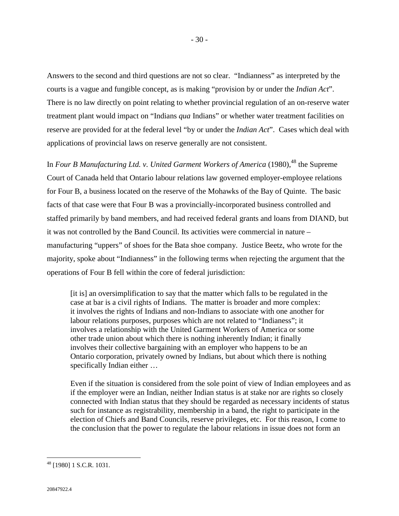Answers to the second and third questions are not so clear. "Indianness" as interpreted by the courts is a vague and fungible concept, as is making "provision by or under the *Indian Act*". There is no law directly on point relating to whether provincial regulation of an on-reserve water treatment plant would impact on "Indians *qua* Indians" or whether water treatment facilities on reserve are provided for at the federal level "by or under the *Indian Act*". Cases which deal with applications of provincial laws on reserve generally are not consistent.

In *Four B Manufacturing Ltd. v. United Garment Workers of America* (1980),<sup>48</sup> the Supreme Court of Canada held that Ontario labour relations law governed employer-employee relations for Four B, a business located on the reserve of the Mohawks of the Bay of Quinte. The basic facts of that case were that Four B was a provincially-incorporated business controlled and staffed primarily by band members, and had received federal grants and loans from DIAND, but it was not controlled by the Band Council. Its activities were commercial in nature – manufacturing "uppers" of shoes for the Bata shoe company. Justice Beetz, who wrote for the majority, spoke about "Indianness" in the following terms when rejecting the argument that the operations of Four B fell within the core of federal jurisdiction:

[it is] an oversimplification to say that the matter which falls to be regulated in the case at bar is a civil rights of Indians. The matter is broader and more complex: it involves the rights of Indians and non-Indians to associate with one another for labour relations purposes, purposes which are not related to "Indianess"; it involves a relationship with the United Garment Workers of America or some other trade union about which there is nothing inherently Indian; it finally involves their collective bargaining with an employer who happens to be an Ontario corporation, privately owned by Indians, but about which there is nothing specifically Indian either …

Even if the situation is considered from the sole point of view of Indian employees and as if the employer were an Indian, neither Indian status is at stake nor are rights so closely connected with Indian status that they should be regarded as necessary incidents of status such for instance as registrability, membership in a band, the right to participate in the election of Chiefs and Band Councils, reserve privileges, etc. For this reason, I come to the conclusion that the power to regulate the labour relations in issue does not form an

 $48$  [1980] 1 S.C.R. 1031.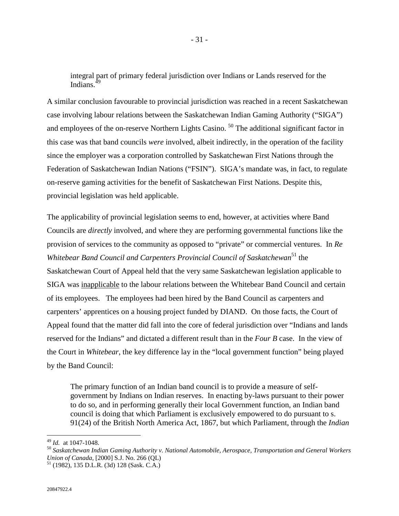integral part of primary federal jurisdiction over Indians or Lands reserved for the Indians $49$ 

A similar conclusion favourable to provincial jurisdiction was reached in a recent Saskatchewan case involving labour relations between the Saskatchewan Indian Gaming Authority ("SIGA") and employees of the on-reserve Northern Lights Casino.<sup>50</sup> The additional significant factor in this case was that band councils *were* involved, albeit indirectly, in the operation of the facility since the employer was a corporation controlled by Saskatchewan First Nations through the Federation of Saskatchewan Indian Nations ("FSIN"). SIGA's mandate was, in fact, to regulate on-reserve gaming activities for the benefit of Saskatchewan First Nations. Despite this, provincial legislation was held applicable.

The applicability of provincial legislation seems to end, however, at activities where Band Councils are *directly* involved, and where they are performing governmental functions like the provision of services to the community as opposed to "private" or commercial ventures. In *Re Whitebear Band Council and Carpenters Provincial Council of Saskatchewan*<sup>51</sup> the Saskatchewan Court of Appeal held that the very same Saskatchewan legislation applicable to SIGA was inapplicable to the labour relations between the Whitebear Band Council and certain of its employees. The employees had been hired by the Band Council as carpenters and carpenters' apprentices on a housing project funded by DIAND. On those facts, the Court of Appeal found that the matter did fall into the core of federal jurisdiction over "Indians and lands reserved for the Indians" and dictated a different result than in the *Four B* case. In the view of the Court in *Whitebear*, the key difference lay in the "local government function" being played by the Band Council:

The primary function of an Indian band council is to provide a measure of selfgovernment by Indians on Indian reserves. In enacting by-laws pursuant to their power to do so, and in performing generally their local Government function, an Indian band council is doing that which Parliament is exclusively empowered to do pursuant to s. 91(24) of the British North America Act, 1867, but which Parliament, through the *Indian* 

<sup>&</sup>lt;sup>49</sup> Id. at 1047-1048.<br><sup>50</sup> Saskatchewan Indian Gaming Authority v. National Automobile, Aerospace, Transportation and General Workers<br>Union of Canada, [2000] S.J. No. 266 (QL)

<sup>&</sup>lt;sup>51</sup> (1982), 135 D.L.R. (3d) 128 (Sask. C.A.)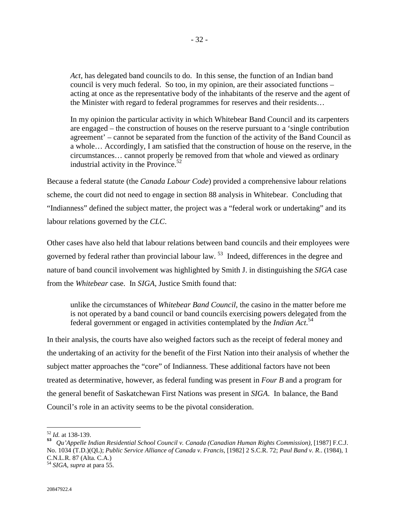*Act*, has delegated band councils to do. In this sense, the function of an Indian band council is very much federal. So too, in my opinion, are their associated functions – acting at once as the representative body of the inhabitants of the reserve and the agent of the Minister with regard to federal programmes for reserves and their residents…

In my opinion the particular activity in which Whitebear Band Council and its carpenters are engaged – the construction of houses on the reserve pursuant to a 'single contribution agreement' – cannot be separated from the function of the activity of the Band Council as a whole… Accordingly, I am satisfied that the construction of house on the reserve, in the circumstances… cannot properly be removed from that whole and viewed as ordinary industrial activity in the Province.<sup>52</sup>

Because a federal statute (the *Canada Labour Code*) provided a comprehensive labour relations scheme, the court did not need to engage in section 88 analysis in Whitebear. Concluding that "Indianness" defined the subject matter, the project was a "federal work or undertaking" and its labour relations governed by the *CLC*.

Other cases have also held that labour relations between band councils and their employees were governed by federal rather than provincial labour law. 53 Indeed, differences in the degree and nature of band council involvement was highlighted by Smith J. in distinguishing the *SIGA* case from the *Whitebear* case. In *SIGA,* Justice Smith found that:

unlike the circumstances of *Whitebear Band Council*, the casino in the matter before me is not operated by a band council or band councils exercising powers delegated from the federal government or engaged in activities contemplated by the *Indian Act*. 54

In their analysis, the courts have also weighed factors such as the receipt of federal money and the undertaking of an activity for the benefit of the First Nation into their analysis of whether the subject matter approaches the "core" of Indianness. These additional factors have not been treated as determinative, however, as federal funding was present in *Four B* and a program for the general benefit of Saskatchewan First Nations was present in *SIGA*. In balance, the Band Council's role in an activity seems to be the pivotal consideration.

 $52$  *Id.* at 138-139.

<sup>52</sup> *Id.* at 138-139. **<sup>53</sup>** *Qu'Appelle Indian Residential School Council v. Canada (Canadian Human Rights Commission)*, [1987] F.C.J. No. 1034 (T.D.)(QL); *Public Service Alliance of Canada v. Francis*, [1982] 2 S.C.R. 72; *Paul Band v. R*.. (1984), 1 C.N.L.R. 87 (Alta. C.A.) <sup>54</sup> *SIGA*, *supra* at para 55.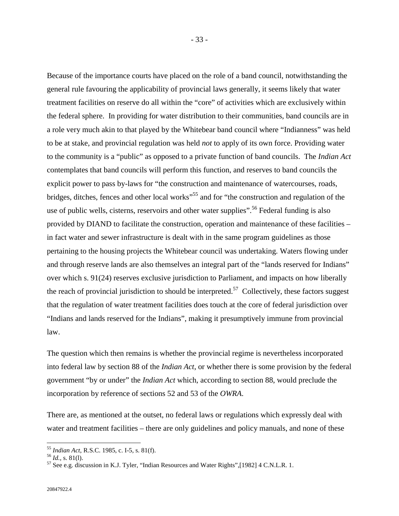Because of the importance courts have placed on the role of a band council, notwithstanding the general rule favouring the applicability of provincial laws generally, it seems likely that water treatment facilities on reserve do all within the "core" of activities which are exclusively within the federal sphere. In providing for water distribution to their communities, band councils are in a role very much akin to that played by the Whitebear band council where "Indianness" was held to be at stake, and provincial regulation was held *not* to apply of its own force. Providing water to the community is a "public" as opposed to a private function of band councils. The *Indian Act* contemplates that band councils will perform this function, and reserves to band councils the explicit power to pass by-laws for "the construction and maintenance of watercourses, roads, bridges, ditches, fences and other local works<sup>55</sup> and for "the construction and regulation of the use of public wells, cisterns, reservoirs and other water supplies".<sup>56</sup> Federal funding is also provided by DIAND to facilitate the construction, operation and maintenance of these facilities – in fact water and sewer infrastructure is dealt with in the same program guidelines as those pertaining to the housing projects the Whitebear council was undertaking. Waters flowing under and through reserve lands are also themselves an integral part of the "lands reserved for Indians" over which s. 91(24) reserves exclusive jurisdiction to Parliament, and impacts on how liberally the reach of provincial jurisdiction to should be interpreted.<sup>57</sup> Collectively, these factors suggest that the regulation of water treatment facilities does touch at the core of federal jurisdiction over "Indians and lands reserved for the Indians", making it presumptively immune from provincial law.

The question which then remains is whether the provincial regime is nevertheless incorporated into federal law by section 88 of the *Indian Act*, or whether there is some provision by the federal government "by or under" the *Indian Act* which, according to section 88, would preclude the incorporation by reference of sections 52 and 53 of the *OWRA*.

There are, as mentioned at the outset, no federal laws or regulations which expressly deal with water and treatment facilities – there are only guidelines and policy manuals, and none of these

<sup>&</sup>lt;sup>55</sup> Indian Act, R.S.C. 1985, c. I-5, s. 81(f).<br><sup>56</sup> Id., s. 81(l).

<sup>&</sup>lt;sup>57</sup> See e.g. discussion in K.J. Tyler, "Indian Resources and Water Rights",[1982] 4 C.N.L.R. 1.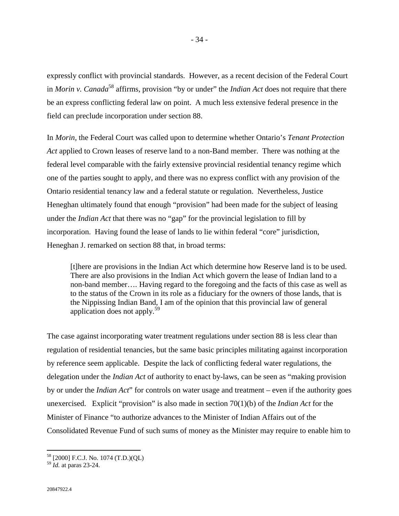expressly conflict with provincial standards. However, as a recent decision of the Federal Court in *Morin v. Canada*58 affirms, provision "by or under" the *Indian Act* does not require that there be an express conflicting federal law on point. A much less extensive federal presence in the field can preclude incorporation under section 88.

In *Morin,* the Federal Court was called upon to determine whether Ontario's *Tenant Protection Act* applied to Crown leases of reserve land to a non-Band member. There was nothing at the federal level comparable with the fairly extensive provincial residential tenancy regime which one of the parties sought to apply, and there was no express conflict with any provision of the Ontario residential tenancy law and a federal statute or regulation. Nevertheless, Justice Heneghan ultimately found that enough "provision" had been made for the subject of leasing under the *Indian Act* that there was no "gap" for the provincial legislation to fill by incorporation. Having found the lease of lands to lie within federal "core" jurisdiction, Heneghan J. remarked on section 88 that, in broad terms:

[t]here are provisions in the Indian Act which determine how Reserve land is to be used. There are also provisions in the Indian Act which govern the lease of Indian land to a non-band member…. Having regard to the foregoing and the facts of this case as well as to the status of the Crown in its role as a fiduciary for the owners of those lands, that is the Nippissing Indian Band, I am of the opinion that this provincial law of general application does not apply.<sup>59</sup>

The case against incorporating water treatment regulations under section 88 is less clear than regulation of residential tenancies, but the same basic principles militating against incorporation by reference seem applicable. Despite the lack of conflicting federal water regulations, the delegation under the *Indian Act* of authority to enact by-laws, can be seen as "making provision by or under the *Indian Act*" for controls on water usage and treatment *–* even if the authority goes unexercised. Explicit "provision" is also made in section 70(1)(b) of the *Indian Act* for the Minister of Finance "to authorize advances to the Minister of Indian Affairs out of the Consolidated Revenue Fund of such sums of money as the Minister may require to enable him to

<sup>58 [2000]</sup> F.C.J. No. 1074 (T.D.)(QL)

<sup>59</sup> *Id.* at paras 23-24.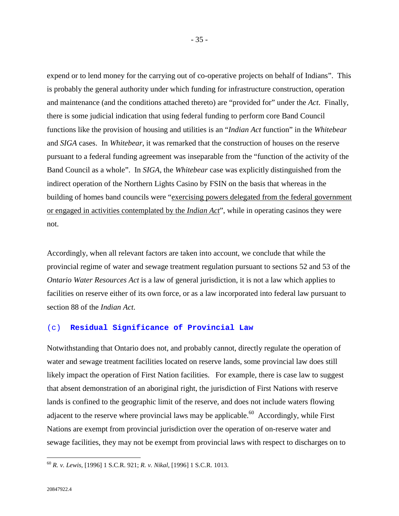expend or to lend money for the carrying out of co-operative projects on behalf of Indians". This is probably the general authority under which funding for infrastructure construction, operation and maintenance (and the conditions attached thereto) are "provided for" under the *Act*. Finally, there is some judicial indication that using federal funding to perform core Band Council functions like the provision of housing and utilities is an "*Indian Act* function" in the *Whitebear* and *SIGA* cases. In *Whitebear*, it was remarked that the construction of houses on the reserve pursuant to a federal funding agreement was inseparable from the "function of the activity of the Band Council as a whole". In *SIGA*, the *Whitebear* case was explicitly distinguished from the indirect operation of the Northern Lights Casino by FSIN on the basis that whereas in the building of homes band councils were "exercising powers delegated from the federal government or engaged in activities contemplated by the *Indian Act*", while in operating casinos they were not.

Accordingly, when all relevant factors are taken into account, we conclude that while the provincial regime of water and sewage treatment regulation pursuant to sections 52 and 53 of the *Ontario Water Resources Act* is a law of general jurisdiction, it is not a law which applies to facilities on reserve either of its own force, or as a law incorporated into federal law pursuant to section 88 of the *Indian Act*.

#### (c) **Residual Significance of Provincial Law**

Notwithstanding that Ontario does not, and probably cannot, directly regulate the operation of water and sewage treatment facilities located on reserve lands, some provincial law does still likely impact the operation of First Nation facilities. For example, there is case law to suggest that absent demonstration of an aboriginal right, the jurisdiction of First Nations with reserve lands is confined to the geographic limit of the reserve, and does not include waters flowing adjacent to the reserve where provincial laws may be applicable.<sup>60</sup> Accordingly, while First Nations are exempt from provincial jurisdiction over the operation of on-reserve water and sewage facilities, they may not be exempt from provincial laws with respect to discharges on to

<sup>60</sup> *R. v. Lewis,* [1996] 1 S.C.R. 921; *R. v. Nikal*, [1996] 1 S.C.R. 1013.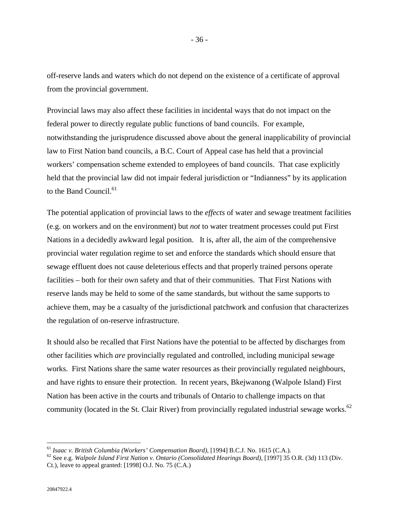off-reserve lands and waters which do not depend on the existence of a certificate of approval from the provincial government.

Provincial laws may also affect these facilities in incidental ways that do not impact on the federal power to directly regulate public functions of band councils. For example, notwithstanding the jurisprudence discussed above about the general inapplicability of provincial law to First Nation band councils, a B.C. Court of Appeal case has held that a provincial workers' compensation scheme extended to employees of band councils. That case explicitly held that the provincial law did not impair federal jurisdiction or "Indianness" by its application to the Band Council. $61$ 

The potential application of provincial laws to the *effects* of water and sewage treatment facilities (e.g. on workers and on the environment) but *not* to water treatment processes could put First Nations in a decidedly awkward legal position. It is, after all, the aim of the comprehensive provincial water regulation regime to set and enforce the standards which should ensure that sewage effluent does not cause deleterious effects and that properly trained persons operate facilities – both for their own safety and that of their communities. That First Nations with reserve lands may be held to some of the same standards, but without the same supports to achieve them, may be a casualty of the jurisdictional patchwork and confusion that characterizes the regulation of on-reserve infrastructure.

It should also be recalled that First Nations have the potential to be affected by discharges from other facilities which *are* provincially regulated and controlled, including municipal sewage works. First Nations share the same water resources as their provincially regulated neighbours, and have rights to ensure their protection. In recent years, Bkejwanong (Walpole Island) First Nation has been active in the courts and tribunals of Ontario to challenge impacts on that community (located in the St. Clair River) from provincially regulated industrial sewage works.<sup>62</sup>

20847922.4

<sup>&</sup>lt;sup>61</sup> *Isaac v. British Columbia (Workers' Compensation Board)*, [1994] B.C.J. No. 1615 (C.A.).<br><sup>62</sup> See e.g. *Walpole Island First Nation v. Ontario (Consolidated Hearings Board)*, [1997] 35 O.R. (3d) 113 (Div. Ct.), leave to appeal granted: [1998] O.J. No. 75 (C.A.)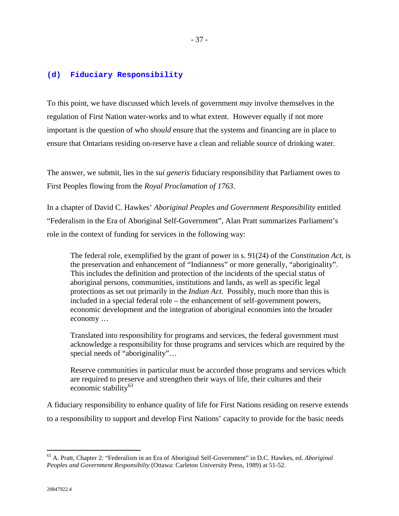#### **(d) Fiduciary Responsibility**

To this point, we have discussed which levels of government *may* involve themselves in the regulation of First Nation water-works and to what extent. However equally if not more important is the question of who *should* ensure that the systems and financing are in place to ensure that Ontarians residing on-reserve have a clean and reliable source of drinking water.

The answer, we submit, lies in the *sui generis* fiduciary responsibility that Parliament owes to First Peoples flowing from the *Royal Proclamation of 1763*.

In a chapter of David C. Hawkes' *Aboriginal Peoples and Government Responsibility* entitled "Federalism in the Era of Aboriginal Self-Government", Alan Pratt summarizes Parliament's role in the context of funding for services in the following way:

The federal role, exemplified by the grant of power in s. 91(24) of the *Constitution Act*, is the preservation and enhancement of "Indianness" or more generally, "aboriginality". This includes the definition and protection of the incidents of the special status of aboriginal persons, communities, institutions and lands, as well as specific legal protections as set out primarily in the *Indian Act*. Possibly, much more than this is included in a special federal role – the enhancement of self-government powers, economic development and the integration of aboriginal economies into the broader economy …

Translated into responsibility for programs and services, the federal government must acknowledge a responsibility for those programs and services which are required by the special needs of "aboriginality"...

Reserve communities in particular must be accorded those programs and services which are required to preserve and strengthen their ways of life, their cultures and their economic stability<sup>63</sup>

A fiduciary responsibility to enhance quality of life for First Nations residing on reserve extends to a responsibility to support and develop First Nations' capacity to provide for the basic needs

<sup>63</sup> A. Pratt, Chapter 2: "Federalism in an Era of Aboriginal Self-Government" in D.C. Hawkes, ed. *Aboriginal Peoples and Government Responsibilty* (Ottawa: Carleton University Press, 1989) at 51-52.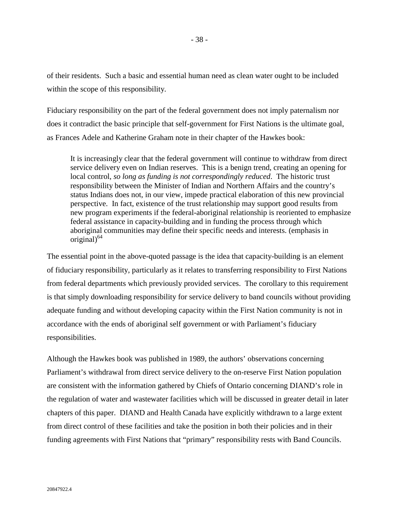of their residents. Such a basic and essential human need as clean water ought to be included within the scope of this responsibility.

Fiduciary responsibility on the part of the federal government does not imply paternalism nor does it contradict the basic principle that self-government for First Nations is the ultimate goal, as Frances Adele and Katherine Graham note in their chapter of the Hawkes book:

It is increasingly clear that the federal government will continue to withdraw from direct service delivery even on Indian reserves. This is a benign trend, creating an opening for local control, *so long as funding is not correspondingly reduced*. The historic trust responsibility between the Minister of Indian and Northern Affairs and the country's status Indians does not, in our view, impede practical elaboration of this new provincial perspective. In fact, existence of the trust relationship may support good results from new program experiments if the federal-aboriginal relationship is reoriented to emphasize federal assistance in capacity-building and in funding the process through which aboriginal communities may define their specific needs and interests. (emphasis in original $)$ <sup>64</sup>

The essential point in the above-quoted passage is the idea that capacity-building is an element of fiduciary responsibility, particularly as it relates to transferring responsibility to First Nations from federal departments which previously provided services. The corollary to this requirement is that simply downloading responsibility for service delivery to band councils without providing adequate funding and without developing capacity within the First Nation community is not in accordance with the ends of aboriginal self government or with Parliament's fiduciary responsibilities.

Although the Hawkes book was published in 1989, the authors' observations concerning Parliament's withdrawal from direct service delivery to the on-reserve First Nation population are consistent with the information gathered by Chiefs of Ontario concerning DIAND's role in the regulation of water and wastewater facilities which will be discussed in greater detail in later chapters of this paper. DIAND and Health Canada have explicitly withdrawn to a large extent from direct control of these facilities and take the position in both their policies and in their funding agreements with First Nations that "primary" responsibility rests with Band Councils.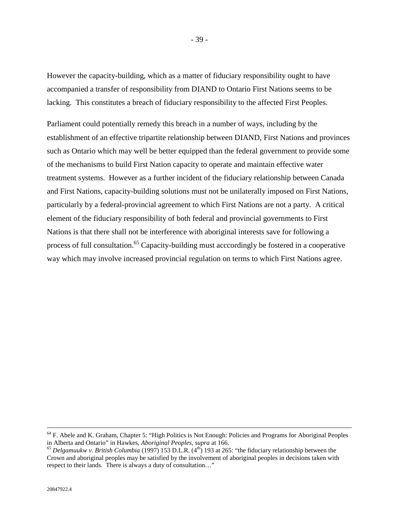However the capacity-building, which as a matter of fiduciary responsibility ought to have accompanied a transfer of responsibility from DIAND to Ontario First Nations seems to be lacking. This constitutes a breach of fiduciary responsibility to the affected First Peoples.

Parliament could potentially remedy this breach in a number of ways, including by the establishment of an effective tripartite relationship between DIAND, First Nations and provinces such as Ontario which may well be better equipped than the federal government to provide some of the mechanisms to build First Nation capacity to operate and maintain effective water treatment systems. However as a further incident of the fiduciary relationship between Canada and First Nations, capacity-building solutions must not be unilaterally imposed on First Nations, particularly by a federal-provincial agreement to which First Nations are not a party. A critical element of the fiduciary responsibility of both federal and provincial governments to First Nations is that there shall not be interference with aboriginal interests save for following a process of full consultation.<sup>65</sup> Capacity-building must acccordingly be fostered in a cooperative way which may involve increased provincial regulation on terms to which First Nations agree.

 $64$  F. Abele and K. Graham, Chapter 5: "High Politics is Not Enough: Policies and Programs for Aboriginal Peoples in Alberta and Ontario" in Hawkes, *Aboriginal Peoples*, *supra* at 166.<br><sup>65</sup> *Delgamuukw v. British Columbia* (1997) 153 D.L.R. (4<sup>th</sup>) 193 at 265: "the fiduciary relationship between the

Crown and aboriginal peoples may be satisfied by the involvement of aboriginal peoples in decisions taken with respect to their lands. There is always a duty of consultation…"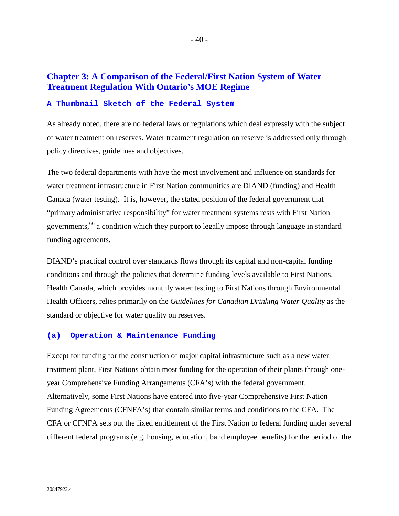# **Chapter 3: A Comparison of the Federal/First Nation System of Water Treatment Regulation With Ontario's MOE Regime**

## **A Thumbnail Sketch of the Federal System**

As already noted, there are no federal laws or regulations which deal expressly with the subject of water treatment on reserves. Water treatment regulation on reserve is addressed only through policy directives, guidelines and objectives.

The two federal departments with have the most involvement and influence on standards for water treatment infrastructure in First Nation communities are DIAND (funding) and Health Canada (water testing). It is, however, the stated position of the federal government that "primary administrative responsibility" for water treatment systems rests with First Nation governments,<sup>66</sup> a condition which they purport to legally impose through language in standard funding agreements.

DIAND's practical control over standards flows through its capital and non-capital funding conditions and through the policies that determine funding levels available to First Nations. Health Canada, which provides monthly water testing to First Nations through Environmental Health Officers, relies primarily on the *Guidelines for Canadian Drinking Water Quality* as the standard or objective for water quality on reserves.

#### **(a) Operation & Maintenance Funding**

Except for funding for the construction of major capital infrastructure such as a new water treatment plant, First Nations obtain most funding for the operation of their plants through oneyear Comprehensive Funding Arrangements (CFA's) with the federal government. Alternatively, some First Nations have entered into five-year Comprehensive First Nation Funding Agreements (CFNFA's) that contain similar terms and conditions to the CFA. The CFA or CFNFA sets out the fixed entitlement of the First Nation to federal funding under several different federal programs (e.g. housing, education, band employee benefits) for the period of the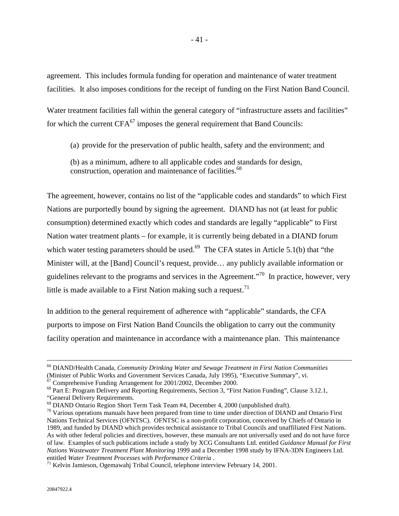agreement. This includes formula funding for operation and maintenance of water treatment facilities. It also imposes conditions for the receipt of funding on the First Nation Band Council.

Water treatment facilities fall within the general category of "infrastructure assets and facilities" for which the current  $CFA^{67}$  imposes the general requirement that Band Councils:

(a) provide for the preservation of public health, safety and the environment; and

(b) as a minimum, adhere to all applicable codes and standards for design, construction, operation and maintenance of facilities.<sup>68</sup>

The agreement, however, contains no list of the "applicable codes and standards" to which First Nations are purportedly bound by signing the agreement. DIAND has not (at least for public consumption) determined exactly which codes and standards are legally "applicable" to First Nation water treatment plants – for example, it is currently being debated in a DIAND forum which water testing parameters should be used.<sup>69</sup> The CFA states in Article 5.1(b) that "the Minister will, at the [Band] Council's request, provide… any publicly available information or guidelines relevant to the programs and services in the Agreement."70 In practice, however, very little is made available to a First Nation making such a request.<sup>71</sup>

In addition to the general requirement of adherence with "applicable" standards, the CFA purports to impose on First Nation Band Councils the obligation to carry out the community facility operation and maintenance in accordance with a maintenance plan. This maintenance

 $67$  Comprehensive Funding Arrangement for 2001/2002, December 2000.

 <sup>66</sup> DIAND/Health Canada, *Community Drinking Water and Sewage Treatment in First Nation Communities* (Minister of Public Works and Government Services Canada, July 1995), "Executive Summary", vi.

<sup>68</sup> Part E: Program Delivery and Reporting Requirements, Section 3, "First Nation Funding", Clause 3.12.1, "General Delivery Requirements.

<sup>69</sup> DIAND Ontario Region Short Term Task Team #4, December 4, 2000 (unpublished draft).

<sup>&</sup>lt;sup>70</sup> Various operations manuals have been prepared from time to time under direction of DIAND and Ontario First Nations Technical Services (OFNTSC). OFNTSC is a non-profit corporation, conceived by Chiefs of Ontario in 1989, and funded by DIAND which provides technical assistance to Tribal Councils and unaffiliated First Nations. As with other federal policies and directives, however, these manuals are not universally used and do not have force of law. Examples of such publications include a study by XCG Consultants Ltd. entitled *Guidance Manual for First Nations Wastewater Treatment Plant Monitoring* 1999 and a December 1998 study by IFNA-3DN Engineers Ltd. entitled *Water Treatment Processes with Performance Criteria* .<br><sup>71</sup> Kelvin Jamieson, Ogemawahj Tribal Council, telephone interview February 14, 2001.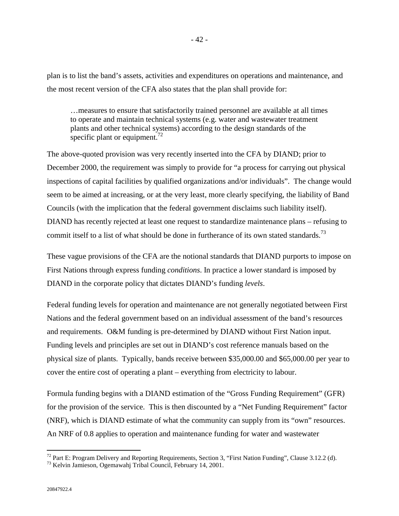plan is to list the band's assets, activities and expenditures on operations and maintenance, and the most recent version of the CFA also states that the plan shall provide for:

…measures to ensure that satisfactorily trained personnel are available at all times to operate and maintain technical systems (e.g. water and wastewater treatment plants and other technical systems) according to the design standards of the specific plant or equipment.<sup>72</sup>

The above-quoted provision was very recently inserted into the CFA by DIAND; prior to December 2000, the requirement was simply to provide for "a process for carrying out physical inspections of capital facilities by qualified organizations and/or individuals". The change would seem to be aimed at increasing, or at the very least, more clearly specifying, the liability of Band Councils (with the implication that the federal government disclaims such liability itself). DIAND has recently rejected at least one request to standardize maintenance plans – refusing to commit itself to a list of what should be done in furtherance of its own stated standards.<sup>73</sup>

These vague provisions of the CFA are the notional standards that DIAND purports to impose on First Nations through express funding *conditions*. In practice a lower standard is imposed by DIAND in the corporate policy that dictates DIAND's funding *levels*.

Federal funding levels for operation and maintenance are not generally negotiated between First Nations and the federal government based on an individual assessment of the band's resources and requirements. O&M funding is pre-determined by DIAND without First Nation input. Funding levels and principles are set out in DIAND's cost reference manuals based on the physical size of plants. Typically, bands receive between \$35,000.00 and \$65,000.00 per year to cover the entire cost of operating a plant – everything from electricity to labour.

Formula funding begins with a DIAND estimation of the "Gross Funding Requirement" (GFR) for the provision of the service. This is then discounted by a "Net Funding Requirement" factor (NRF), which is DIAND estimate of what the community can supply from its "own" resources. An NRF of 0.8 applies to operation and maintenance funding for water and wastewater

<sup>&</sup>lt;sup>72</sup> Part E: Program Delivery and Reporting Requirements, Section 3, "First Nation Funding", Clause 3.12.2 (d).

<sup>73</sup> Kelvin Jamieson, Ogemawahj Tribal Council, February 14, 2001.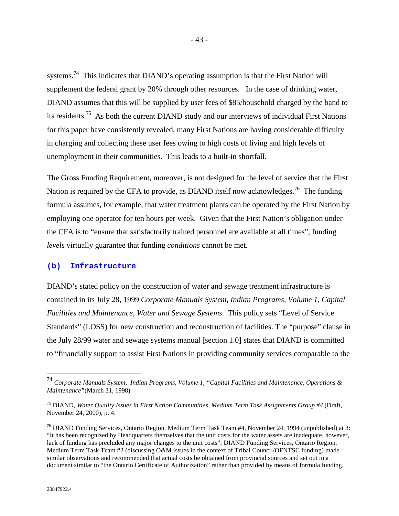systems.<sup>74</sup> This indicates that DIAND's operating assumption is that the First Nation will supplement the federal grant by 20% through other resources. In the case of drinking water, DIAND assumes that this will be supplied by user fees of \$85/household charged by the band to its residents.<sup>75</sup> As both the current DIAND study and our interviews of individual First Nations for this paper have consistently revealed, many First Nations are having considerable difficulty in charging and collecting these user fees owing to high costs of living and high levels of unemployment in their communities. This leads to a built-in shortfall.

The Gross Funding Requirement, moreover, is not designed for the level of service that the First Nation is required by the CFA to provide, as DIAND itself now acknowledges.<sup>76</sup> The funding formula assumes, for example, that water treatment plants can be operated by the First Nation by employing one operator for ten hours per week. Given that the First Nation's obligation under the CFA is to "ensure that satisfactorily trained personnel are available at all times", funding *levels* virtually guarantee that funding *conditions* cannot be met.

#### **(b) Infrastructure**

DIAND's stated policy on the construction of water and sewage treatment infrastructure is contained in its July 28, 1999 *Corporate Manuals System, Indian Programs, Volume 1, Capital Facilities and Maintenance, Water and Sewage Systems*. This policy sets "Level of Service Standards" (LOSS) for new construction and reconstruction of facilities. The "purpose" clause in the July 28/99 water and sewage systems manual [section 1.0] states that DIAND is committed to "financially support to assist First Nations in providing community services comparable to the

<sup>74</sup> *Corporate Manuals System, Indian Programs, Volume 1, "Capital Facilities and Maintenance, Operations & Maintenance"*(March 31, 1998)

<sup>75</sup> DIAND, *Water Quality Issues in First Nation Communities, Medium Term Task Assignments Group #4* (Draft, November 24, 2000), p. 4.

 $^{76}$  DIAND Funding Services, Ontario Region, Medium Term Task Team #4, November 24, 1994 (unpublished) at 3: "It has been recognized by Headquarters themselves that the unit costs for the water assets are inadequate, however, lack of funding has precluded any major changes to the unit costs"; DIAND Funding Services, Ontario Region, Medium Term Task Team #2 (discussing O&M issues in the context of Tribal Council/OFNTSC funding) made similar observations and recommended that actual costs be obtained from provincial sources and set out in a document similar to "the Ontario Certificate of Authorization" rather than provided by means of formula funding.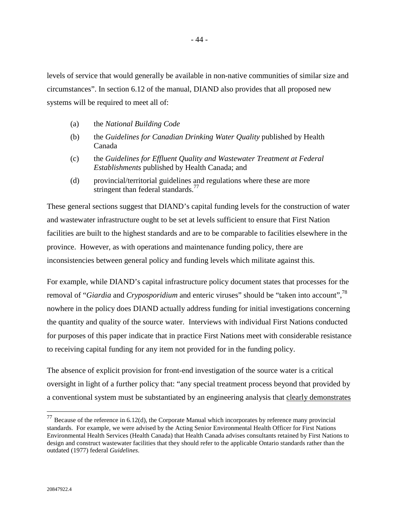levels of service that would generally be available in non-native communities of similar size and circumstances". In section 6.12 of the manual, DIAND also provides that all proposed new systems will be required to meet all of:

- (a) the *National Building Code*
- (b) the *Guidelines for Canadian Drinking Water Quality* published by Health Canada
- (c) the *Guidelines for Effluent Quality and Wastewater Treatment at Federal Establishments* published by Health Canada; and
- (d) provincial/territorial guidelines and regulations where these are more stringent than federal standards.<sup>77</sup>

These general sections suggest that DIAND's capital funding levels for the construction of water and wastewater infrastructure ought to be set at levels sufficient to ensure that First Nation facilities are built to the highest standards and are to be comparable to facilities elsewhere in the province. However, as with operations and maintenance funding policy, there are inconsistencies between general policy and funding levels which militate against this.

For example, while DIAND's capital infrastructure policy document states that processes for the removal of "*Giardia* and *Cryposporidium* and enteric viruses" should be "taken into account",<sup>78</sup> nowhere in the policy does DIAND actually address funding for initial investigations concerning the quantity and quality of the source water. Interviews with individual First Nations conducted for purposes of this paper indicate that in practice First Nations meet with considerable resistance to receiving capital funding for any item not provided for in the funding policy.

The absence of explicit provision for front-end investigation of the source water is a critical oversight in light of a further policy that: "any special treatment process beyond that provided by a conventional system must be substantiated by an engineering analysis that clearly demonstrates

 $77$  Because of the reference in 6.12(d), the Corporate Manual which incorporates by reference many provincial standards. For example, we were advised by the Acting Senior Environmental Health Officer for First Nations Environmental Health Services (Health Canada) that Health Canada advises consultants retained by First Nations to design and construct wastewater facilities that they should refer to the applicable Ontario standards rather than the outdated (1977) federal *Guidelines*.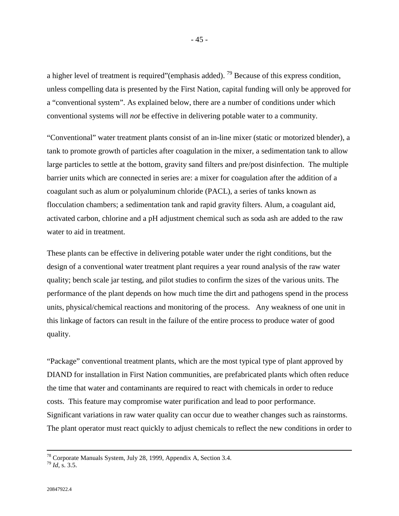a higher level of treatment is required"(emphasis added).<sup>79</sup> Because of this express condition, unless compelling data is presented by the First Nation, capital funding will only be approved for a "conventional system". As explained below, there are a number of conditions under which conventional systems will *not* be effective in delivering potable water to a community.

"Conventional" water treatment plants consist of an in-line mixer (static or motorized blender), a tank to promote growth of particles after coagulation in the mixer, a sedimentation tank to allow large particles to settle at the bottom, gravity sand filters and pre/post disinfection. The multiple barrier units which are connected in series are: a mixer for coagulation after the addition of a coagulant such as alum or polyaluminum chloride (PACL), a series of tanks known as flocculation chambers; a sedimentation tank and rapid gravity filters. Alum, a coagulant aid, activated carbon, chlorine and a pH adjustment chemical such as soda ash are added to the raw water to aid in treatment.

These plants can be effective in delivering potable water under the right conditions, but the design of a conventional water treatment plant requires a year round analysis of the raw water quality; bench scale jar testing, and pilot studies to confirm the sizes of the various units. The performance of the plant depends on how much time the dirt and pathogens spend in the process units, physical/chemical reactions and monitoring of the process. Any weakness of one unit in this linkage of factors can result in the failure of the entire process to produce water of good quality.

"Package" conventional treatment plants, which are the most typical type of plant approved by DIAND for installation in First Nation communities, are prefabricated plants which often reduce the time that water and contaminants are required to react with chemicals in order to reduce costs. This feature may compromise water purification and lead to poor performance. Significant variations in raw water quality can occur due to weather changes such as rainstorms. The plant operator must react quickly to adjust chemicals to reflect the new conditions in order to

 $78$  Corporate Manuals System, July 28, 1999, Appendix A, Section 3.4.

<sup>79</sup> *Id*, s. 3.5.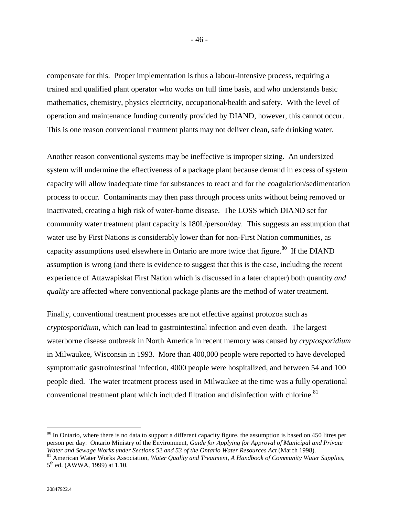compensate for this. Proper implementation is thus a labour-intensive process, requiring a trained and qualified plant operator who works on full time basis, and who understands basic mathematics, chemistry, physics electricity, occupational/health and safety. With the level of operation and maintenance funding currently provided by DIAND, however, this cannot occur. This is one reason conventional treatment plants may not deliver clean, safe drinking water.

Another reason conventional systems may be ineffective is improper sizing. An undersized system will undermine the effectiveness of a package plant because demand in excess of system capacity will allow inadequate time for substances to react and for the coagulation/sedimentation process to occur. Contaminants may then pass through process units without being removed or inactivated, creating a high risk of water-borne disease. The LOSS which DIAND set for community water treatment plant capacity is 180L/person/day. This suggests an assumption that water use by First Nations is considerably lower than for non-First Nation communities, as capacity assumptions used elsewhere in Ontario are more twice that figure.<sup>80</sup> If the DIAND assumption is wrong (and there is evidence to suggest that this is the case, including the recent experience of Attawapiskat First Nation which is discussed in a later chapter) both quantity *and quality* are affected where conventional package plants are the method of water treatment.

Finally, conventional treatment processes are not effective against protozoa such as *cryptosporidium,* which can lead to gastrointestinal infection and even death. The largest waterborne disease outbreak in North America in recent memory was caused by *cryptosporidium* in Milwaukee, Wisconsin in 1993. More than 400,000 people were reported to have developed symptomatic gastrointestinal infection, 4000 people were hospitalized, and between 54 and 100 people died. The water treatment process used in Milwaukee at the time was a fully operational conventional treatment plant which included filtration and disinfection with chlorine.<sup>81</sup>

 $80$  In Ontario, where there is no data to support a different capacity figure, the assumption is based on 450 litres per person per day: Ontario Ministry of the Environment, *Guide for Applying for Approval of Municipal and Private Water and Sewage Works under Sections 52 and 53 of the Ontario Water Resources Act* (March 1998).<br><sup>81</sup> American Water Works Association, *Water Quality and Treatment, A Handbook of Community Water Supplies*,

<sup>5&</sup>lt;sup>th</sup> ed. (AWWA, 1999) at 1.10.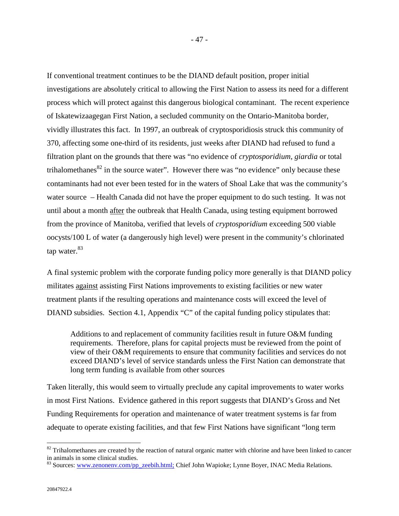If conventional treatment continues to be the DIAND default position, proper initial investigations are absolutely critical to allowing the First Nation to assess its need for a different process which will protect against this dangerous biological contaminant. The recent experience of Iskatewizaagegan First Nation, a secluded community on the Ontario-Manitoba border, vividly illustrates this fact. In 1997, an outbreak of cryptosporidiosis struck this community of 370, affecting some one-third of its residents, just weeks after DIAND had refused to fund a filtration plant on the grounds that there was "no evidence of *cryptosporidium*, *giardia* or total trihalomethanes $82$  in the source water". However there was "no evidence" only because these contaminants had not ever been tested for in the waters of Shoal Lake that was the community's water source – Health Canada did not have the proper equipment to do such testing. It was not until about a month after the outbreak that Health Canada, using testing equipment borrowed from the province of Manitoba, verified that levels of *cryptosporidium* exceeding 500 viable oocysts/100 L of water (a dangerously high level) were present in the community's chlorinated tap water.<sup>83</sup>

A final systemic problem with the corporate funding policy more generally is that DIAND policy militates against assisting First Nations improvements to existing facilities or new water treatment plants if the resulting operations and maintenance costs will exceed the level of DIAND subsidies. Section 4.1, Appendix "C" of the capital funding policy stipulates that:

Additions to and replacement of community facilities result in future O&M funding requirements. Therefore, plans for capital projects must be reviewed from the point of view of their O&M requirements to ensure that community facilities and services do not exceed DIAND's level of service standards unless the First Nation can demonstrate that long term funding is available from other sources

Taken literally, this would seem to virtually preclude any capital improvements to water works in most First Nations. Evidence gathered in this report suggests that DIAND's Gross and Net Funding Requirements for operation and maintenance of water treatment systems is far from adequate to operate existing facilities, and that few First Nations have significant "long term

 $82$  Trihalomethanes are created by the reaction of natural organic matter with chlorine and have been linked to cancer in animals in some clinical studies.

<sup>83</sup> Sources: www.zenonenv.com/pp\_zeebih.html; Chief John Wapioke; Lynne Boyer, INAC Media Relations.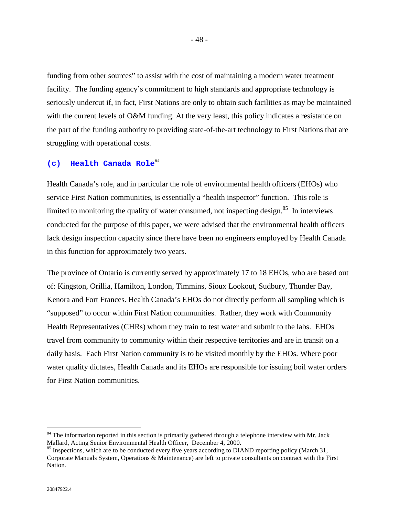funding from other sources" to assist with the cost of maintaining a modern water treatment facility. The funding agency's commitment to high standards and appropriate technology is seriously undercut if, in fact, First Nations are only to obtain such facilities as may be maintained with the current levels of O&M funding. At the very least, this policy indicates a resistance on the part of the funding authority to providing state-of-the-art technology to First Nations that are struggling with operational costs.

## **(c) Health Canada Role**<sup>84</sup>

Health Canada's role, and in particular the role of environmental health officers (EHOs) who service First Nation communities, is essentially a "health inspector" function. This role is limited to monitoring the quality of water consumed, not inspecting design. $85$  In interviews conducted for the purpose of this paper, we were advised that the environmental health officers lack design inspection capacity since there have been no engineers employed by Health Canada in this function for approximately two years.

The province of Ontario is currently served by approximately 17 to 18 EHOs, who are based out of: Kingston, Orillia, Hamilton, London, Timmins, Sioux Lookout, Sudbury, Thunder Bay, Kenora and Fort Frances. Health Canada's EHOs do not directly perform all sampling which is "supposed" to occur within First Nation communities. Rather, they work with Community Health Representatives (CHRs) whom they train to test water and submit to the labs. EHOs travel from community to community within their respective territories and are in transit on a daily basis. Each First Nation community is to be visited monthly by the EHOs. Where poor water quality dictates, Health Canada and its EHOs are responsible for issuing boil water orders for First Nation communities.

<sup>&</sup>lt;sup>84</sup> The information reported in this section is primarily gathered through a telephone interview with Mr. Jack Mallard, Acting Senior Environmental Health Officer, December 4, 2000.

<sup>&</sup>lt;sup>85</sup> Inspections, which are to be conducted every five years according to DIAND reporting policy (March 31, Corporate Manuals System, Operations & Maintenance) are left to private consultants on contract with the First Nation.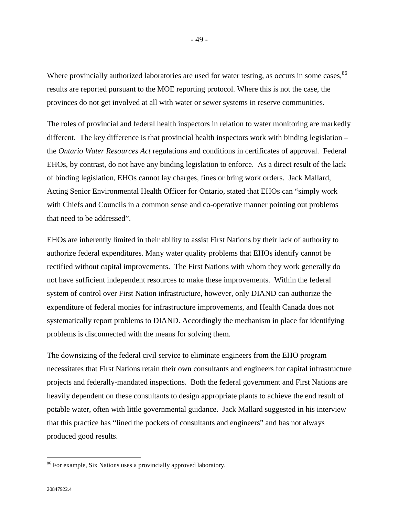Where provincially authorized laboratories are used for water testing, as occurs in some cases,  $86$ results are reported pursuant to the MOE reporting protocol. Where this is not the case, the provinces do not get involved at all with water or sewer systems in reserve communities.

The roles of provincial and federal health inspectors in relation to water monitoring are markedly different. The key difference is that provincial health inspectors work with binding legislation – the *Ontario Water Resources Act* regulations and conditions in certificates of approval. Federal EHOs, by contrast, do not have any binding legislation to enforce. As a direct result of the lack of binding legislation, EHOs cannot lay charges, fines or bring work orders. Jack Mallard, Acting Senior Environmental Health Officer for Ontario, stated that EHOs can "simply work with Chiefs and Councils in a common sense and co-operative manner pointing out problems that need to be addressed".

EHOs are inherently limited in their ability to assist First Nations by their lack of authority to authorize federal expenditures. Many water quality problems that EHOs identify cannot be rectified without capital improvements. The First Nations with whom they work generally do not have sufficient independent resources to make these improvements. Within the federal system of control over First Nation infrastructure, however, only DIAND can authorize the expenditure of federal monies for infrastructure improvements, and Health Canada does not systematically report problems to DIAND. Accordingly the mechanism in place for identifying problems is disconnected with the means for solving them.

The downsizing of the federal civil service to eliminate engineers from the EHO program necessitates that First Nations retain their own consultants and engineers for capital infrastructure projects and federally-mandated inspections. Both the federal government and First Nations are heavily dependent on these consultants to design appropriate plants to achieve the end result of potable water, often with little governmental guidance. Jack Mallard suggested in his interview that this practice has "lined the pockets of consultants and engineers" and has not always produced good results.

<sup>&</sup>lt;sup>86</sup> For example, Six Nations uses a provincially approved laboratory.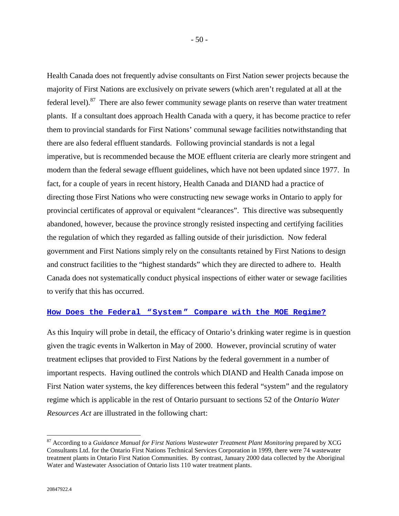Health Canada does not frequently advise consultants on First Nation sewer projects because the majority of First Nations are exclusively on private sewers (which aren't regulated at all at the federal level). $87$  There are also fewer community sewage plants on reserve than water treatment plants. If a consultant does approach Health Canada with a query, it has become practice to refer them to provincial standards for First Nations' communal sewage facilities notwithstanding that there are also federal effluent standards. Following provincial standards is not a legal imperative, but is recommended because the MOE effluent criteria are clearly more stringent and modern than the federal sewage effluent guidelines, which have not been updated since 1977. In fact, for a couple of years in recent history, Health Canada and DIAND had a practice of directing those First Nations who were constructing new sewage works in Ontario to apply for provincial certificates of approval or equivalent "clearances". This directive was subsequently abandoned, however, because the province strongly resisted inspecting and certifying facilities the regulation of which they regarded as falling outside of their jurisdiction. Now federal government and First Nations simply rely on the consultants retained by First Nations to design and construct facilities to the "highest standards" which they are directed to adhere to. Health Canada does not systematically conduct physical inspections of either water or sewage facilities to verify that this has occurred.

# **How Does the Federal "System " Compare with the MOE Regime?**

As this Inquiry will probe in detail, the efficacy of Ontario's drinking water regime is in question given the tragic events in Walkerton in May of 2000. However, provincial scrutiny of water treatment eclipses that provided to First Nations by the federal government in a number of important respects. Having outlined the controls which DIAND and Health Canada impose on First Nation water systems, the key differences between this federal "system" and the regulatory regime which is applicable in the rest of Ontario pursuant to sections 52 of the *Ontario Water Resources Act* are illustrated in the following chart:

<sup>87</sup> According to a *Guidance Manual for First Nations Wastewater Treatment Plant Monitoring* prepared by XCG Consultants Ltd. for the Ontario First Nations Technical Services Corporation in 1999, there were 74 wastewater treatment plants in Ontario First Nation Communities. By contrast, January 2000 data collected by the Aboriginal Water and Wastewater Association of Ontario lists 110 water treatment plants.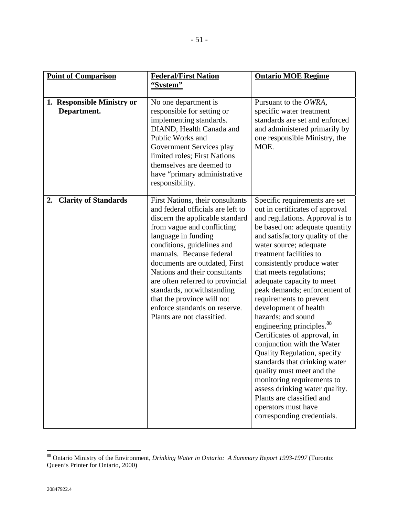| <b>Point of Comparison</b>                | <b>Federal/First Nation</b><br>"System"                                                                                                                                                                                                                                                                                                                                                                                                                  | <b>Ontario MOE Regime</b>                                                                                                                                                                                                                                                                                                                                                                                                                                                                                                                                                                                                                                                                                                                                                                  |
|-------------------------------------------|----------------------------------------------------------------------------------------------------------------------------------------------------------------------------------------------------------------------------------------------------------------------------------------------------------------------------------------------------------------------------------------------------------------------------------------------------------|--------------------------------------------------------------------------------------------------------------------------------------------------------------------------------------------------------------------------------------------------------------------------------------------------------------------------------------------------------------------------------------------------------------------------------------------------------------------------------------------------------------------------------------------------------------------------------------------------------------------------------------------------------------------------------------------------------------------------------------------------------------------------------------------|
| 1. Responsible Ministry or<br>Department. | No one department is<br>responsible for setting or<br>implementing standards.<br>DIAND, Health Canada and<br>Public Works and<br>Government Services play<br>limited roles; First Nations<br>themselves are deemed to<br>have "primary administrative"<br>responsibility.                                                                                                                                                                                | Pursuant to the OWRA,<br>specific water treatment<br>standards are set and enforced<br>and administered primarily by<br>one responsible Ministry, the<br>MOE.                                                                                                                                                                                                                                                                                                                                                                                                                                                                                                                                                                                                                              |
| <b>Clarity of Standards</b><br>2.         | First Nations, their consultants<br>and federal officials are left to<br>discern the applicable standard<br>from vague and conflicting<br>language in funding<br>conditions, guidelines and<br>manuals. Because federal<br>documents are outdated, First<br>Nations and their consultants<br>are often referred to provincial<br>standards, notwithstanding<br>that the province will not<br>enforce standards on reserve.<br>Plants are not classified. | Specific requirements are set<br>out in certificates of approval<br>and regulations. Approval is to<br>be based on: adequate quantity<br>and satisfactory quality of the<br>water source; adequate<br>treatment facilities to<br>consistently produce water<br>that meets regulations;<br>adequate capacity to meet<br>peak demands; enforcement of<br>requirements to prevent<br>development of health<br>hazards; and sound<br>engineering principles. <sup>88</sup><br>Certificates of approval, in<br>conjunction with the Water<br><b>Quality Regulation, specify</b><br>standards that drinking water<br>quality must meet and the<br>monitoring requirements to<br>assess drinking water quality.<br>Plants are classified and<br>operators must have<br>corresponding credentials. |

<sup>88</sup> Ontario Ministry of the Environment, *Drinking Water in Ontario: A Summary Report 1993-1997* (Toronto: Queen's Printer for Ontario, 2000)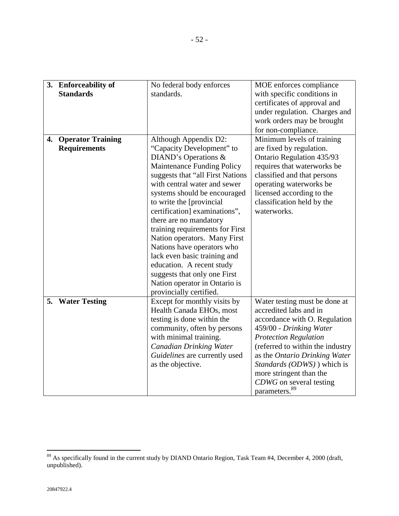|    | 3. Enforceability of     | No federal body enforces          | MOE enforces compliance          |
|----|--------------------------|-----------------------------------|----------------------------------|
|    | <b>Standards</b>         | standards.                        | with specific conditions in      |
|    |                          |                                   | certificates of approval and     |
|    |                          |                                   | under regulation. Charges and    |
|    |                          |                                   | work orders may be brought       |
|    |                          |                                   | for non-compliance.              |
| 4. | <b>Operator Training</b> | Although Appendix D2:             | Minimum levels of training       |
|    | <b>Requirements</b>      | "Capacity Development" to         | are fixed by regulation.         |
|    |                          | DIAND's Operations &              | Ontario Regulation 435/93        |
|    |                          | <b>Maintenance Funding Policy</b> | requires that waterworks be      |
|    |                          | suggests that "all First Nations  | classified and that persons      |
|    |                          | with central water and sewer      | operating waterworks be          |
|    |                          | systems should be encouraged      | licensed according to the        |
|    |                          | to write the [provincial]         | classification held by the       |
|    |                          | certification] examinations",     | waterworks.                      |
|    |                          | there are no mandatory            |                                  |
|    |                          | training requirements for First   |                                  |
|    |                          | Nation operators. Many First      |                                  |
|    |                          | Nations have operators who        |                                  |
|    |                          | lack even basic training and      |                                  |
|    |                          | education. A recent study         |                                  |
|    |                          | suggests that only one First      |                                  |
|    |                          | Nation operator in Ontario is     |                                  |
|    |                          | provincially certified.           |                                  |
|    | 5. Water Testing         | Except for monthly visits by      | Water testing must be done at    |
|    |                          | Health Canada EHOs, most          | accredited labs and in           |
|    |                          | testing is done within the        | accordance with O. Regulation    |
|    |                          | community, often by persons       | 459/00 - Drinking Water          |
|    |                          | with minimal training.            | <b>Protection Regulation</b>     |
|    |                          | <b>Canadian Drinking Water</b>    | (referred to within the industry |
|    |                          | Guidelines are currently used     | as the Ontario Drinking Water    |
|    |                          | as the objective.                 | Standards (ODWS)) which is       |
|    |                          |                                   | more stringent than the          |
|    |                          |                                   | CDWG on several testing          |
|    |                          |                                   | parameters. <sup>89</sup>        |
|    |                          |                                   |                                  |

 $89$  As specifically found in the current study by DIAND Ontario Region, Task Team #4, December 4, 2000 (draft, unpublished).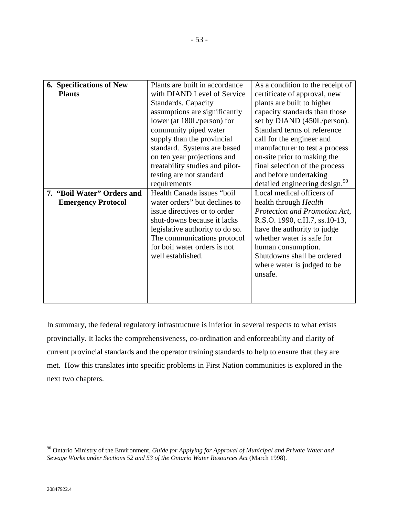| <b>6. Specifications of New</b> | Plants are built in accordance  | As a condition to the receipt of           |
|---------------------------------|---------------------------------|--------------------------------------------|
| <b>Plants</b>                   | with DIAND Level of Service     | certificate of approval, new               |
|                                 | Standards. Capacity             | plants are built to higher                 |
|                                 | assumptions are significantly   | capacity standards than those              |
|                                 | lower (at 180L/person) for      | set by DIAND (450L/person).                |
|                                 | community piped water           | Standard terms of reference                |
|                                 | supply than the provincial      | call for the engineer and                  |
|                                 | standard. Systems are based     | manufacturer to test a process             |
|                                 | on ten year projections and     | on-site prior to making the                |
|                                 | treatability studies and pilot- | final selection of the process             |
|                                 | testing are not standard        | and before undertaking                     |
|                                 | requirements                    | detailed engineering design. <sup>90</sup> |
| 7. "Boil Water" Orders and      | Health Canada issues "boil      | Local medical officers of                  |
| <b>Emergency Protocol</b>       | water orders" but declines to   | health through Health                      |
|                                 | issue directives or to order    | Protection and Promotion Act,              |
|                                 | shut-downs because it lacks     | R.S.O. 1990, c.H.7, ss.10-13,              |
|                                 | legislative authority to do so. | have the authority to judge                |
|                                 | The communications protocol     | whether water is safe for                  |
|                                 | for boil water orders is not    | human consumption.                         |
|                                 | well established.               | Shutdowns shall be ordered                 |
|                                 |                                 | where water is judged to be                |
|                                 |                                 | unsafe.                                    |
|                                 |                                 |                                            |
|                                 |                                 |                                            |
|                                 |                                 |                                            |

In summary, the federal regulatory infrastructure is inferior in several respects to what exists provincially. It lacks the comprehensiveness, co-ordination and enforceability and clarity of current provincial standards and the operator training standards to help to ensure that they are met. How this translates into specific problems in First Nation communities is explored in the next two chapters.

<sup>90</sup> Ontario Ministry of the Environment, *Guide for Applying for Approval of Municipal and Private Water and Sewage Works under Sections 52 and 53 of the Ontario Water Resources Act* (March 1998).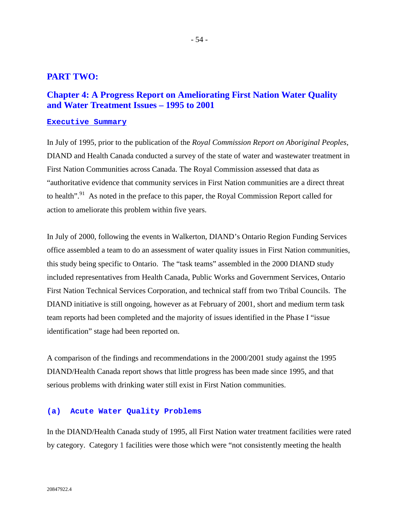# **PART TWO:**

# **Chapter 4: A Progress Report on Ameliorating First Nation Water Quality and Water Treatment Issues – 1995 to 2001**

#### **Executive Summary**

In July of 1995, prior to the publication of the *Royal Commission Report on Aboriginal Peoples*, DIAND and Health Canada conducted a survey of the state of water and wastewater treatment in First Nation Communities across Canada. The Royal Commission assessed that data as "authoritative evidence that community services in First Nation communities are a direct threat to health".<sup>91</sup> As noted in the preface to this paper, the Royal Commission Report called for action to ameliorate this problem within five years.

In July of 2000, following the events in Walkerton, DIAND's Ontario Region Funding Services office assembled a team to do an assessment of water quality issues in First Nation communities, this study being specific to Ontario. The "task teams" assembled in the 2000 DIAND study included representatives from Health Canada, Public Works and Government Services, Ontario First Nation Technical Services Corporation, and technical staff from two Tribal Councils. The DIAND initiative is still ongoing, however as at February of 2001, short and medium term task team reports had been completed and the majority of issues identified in the Phase I "issue identification" stage had been reported on.

A comparison of the findings and recommendations in the 2000/2001 study against the 1995 DIAND/Health Canada report shows that little progress has been made since 1995, and that serious problems with drinking water still exist in First Nation communities.

#### **(a) Acute Water Quality Problems**

In the DIAND/Health Canada study of 1995, all First Nation water treatment facilities were rated by category. Category 1 facilities were those which were "not consistently meeting the health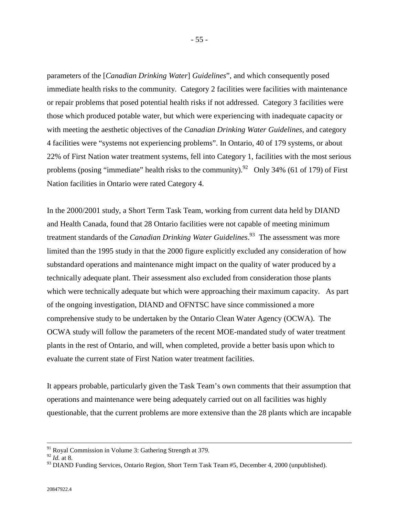parameters of the [*Canadian Drinking Water*] *Guidelines*", and which consequently posed immediate health risks to the community. Category 2 facilities were facilities with maintenance or repair problems that posed potential health risks if not addressed. Category 3 facilities were those which produced potable water, but which were experiencing with inadequate capacity or with meeting the aesthetic objectives of the *Canadian Drinking Water Guidelines*, and category 4 facilities were "systems not experiencing problems". In Ontario, 40 of 179 systems, or about 22% of First Nation water treatment systems, fell into Category 1, facilities with the most serious problems (posing "immediate" health risks to the community).<sup>92</sup> Only 34% (61 of 179) of First Nation facilities in Ontario were rated Category 4.

In the 2000/2001 study, a Short Term Task Team, working from current data held by DIAND and Health Canada, found that 28 Ontario facilities were not capable of meeting minimum treatment standards of the *Canadian Drinking Water Guidelines*. 93 The assessment was more limited than the 1995 study in that the 2000 figure explicitly excluded any consideration of how substandard operations and maintenance might impact on the quality of water produced by a technically adequate plant. Their assessment also excluded from consideration those plants which were technically adequate but which were approaching their maximum capacity. As part of the ongoing investigation, DIAND and OFNTSC have since commissioned a more comprehensive study to be undertaken by the Ontario Clean Water Agency (OCWA). The OCWA study will follow the parameters of the recent MOE-mandated study of water treatment plants in the rest of Ontario, and will, when completed, provide a better basis upon which to evaluate the current state of First Nation water treatment facilities.

It appears probable, particularly given the Task Team's own comments that their assumption that operations and maintenance were being adequately carried out on all facilities was highly questionable, that the current problems are more extensive than the 28 plants which are incapable

<sup>91</sup> Royal Commission in Volume 3: Gathering Strength at 379.

<sup>92</sup> *Id.* at 8.

<sup>&</sup>lt;sup>93</sup> DIAND Funding Services, Ontario Region, Short Term Task Team #5, December 4, 2000 (unpublished).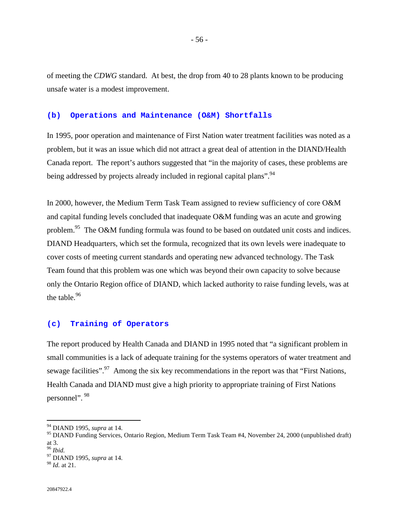of meeting the *CDWG* standard. At best, the drop from 40 to 28 plants known to be producing unsafe water is a modest improvement.

#### **(b) Operations and Maintenance (O&M) Shortfalls**

In 1995, poor operation and maintenance of First Nation water treatment facilities was noted as a problem, but it was an issue which did not attract a great deal of attention in the DIAND/Health Canada report. The report's authors suggested that "in the majority of cases, these problems are being addressed by projects already included in regional capital plans".<sup>94</sup>

In 2000, however, the Medium Term Task Team assigned to review sufficiency of core O&M and capital funding levels concluded that inadequate O&M funding was an acute and growing problem.<sup>95</sup> The O&M funding formula was found to be based on outdated unit costs and indices. DIAND Headquarters, which set the formula, recognized that its own levels were inadequate to cover costs of meeting current standards and operating new advanced technology. The Task Team found that this problem was one which was beyond their own capacity to solve because only the Ontario Region office of DIAND, which lacked authority to raise funding levels, was at the table. $96$ 

## **(c) Training of Operators**

The report produced by Health Canada and DIAND in 1995 noted that "a significant problem in small communities is a lack of adequate training for the systems operators of water treatment and sewage facilities".<sup>97</sup> Among the six key recommendations in the report was that "First Nations, Health Canada and DIAND must give a high priority to appropriate training of First Nations personnel". 98

<sup>94</sup> DIAND 1995, *supra* at 14.

<sup>95</sup> DIAND Funding Services, Ontario Region, Medium Term Task Team #4, November 24, 2000 (unpublished draft) at 3.<br><sup>96</sup> Ibid.

<sup>96</sup> *Ibid.* 97 DIAND 1995, *supra* at 14.

<sup>98</sup> *Id.* at 21.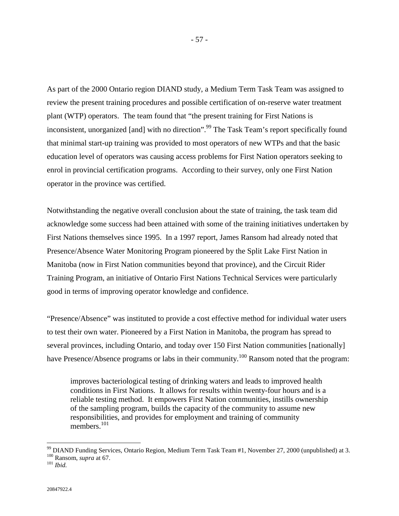As part of the 2000 Ontario region DIAND study, a Medium Term Task Team was assigned to review the present training procedures and possible certification of on-reserve water treatment plant (WTP) operators. The team found that "the present training for First Nations is inconsistent, unorganized [and] with no direction".<sup>99</sup> The Task Team's report specifically found that minimal start-up training was provided to most operators of new WTPs and that the basic education level of operators was causing access problems for First Nation operators seeking to enrol in provincial certification programs. According to their survey, only one First Nation operator in the province was certified.

Notwithstanding the negative overall conclusion about the state of training, the task team did acknowledge some success had been attained with some of the training initiatives undertaken by First Nations themselves since 1995. In a 1997 report, James Ransom had already noted that Presence/Absence Water Monitoring Program pioneered by the Split Lake First Nation in Manitoba (now in First Nation communities beyond that province), and the Circuit Rider Training Program, an initiative of Ontario First Nations Technical Services were particularly good in terms of improving operator knowledge and confidence.

"Presence/Absence" was instituted to provide a cost effective method for individual water users to test their own water. Pioneered by a First Nation in Manitoba, the program has spread to several provinces, including Ontario, and today over 150 First Nation communities [nationally] have Presence/Absence programs or labs in their community.<sup>100</sup> Ransom noted that the program:

improves bacteriological testing of drinking waters and leads to improved health conditions in First Nations. It allows for results within twenty-four hours and is a reliable testing method. It empowers First Nation communities, instills ownership of the sampling program, builds the capacity of the community to assume new responsibilities, and provides for employment and training of community members.<sup>101</sup>

<sup>99</sup> DIAND Funding Services, Ontario Region, Medium Term Task Team #1, November 27, 2000 (unpublished) at 3. 100 Ransom, *supra* at 67. 101 *Ibid.*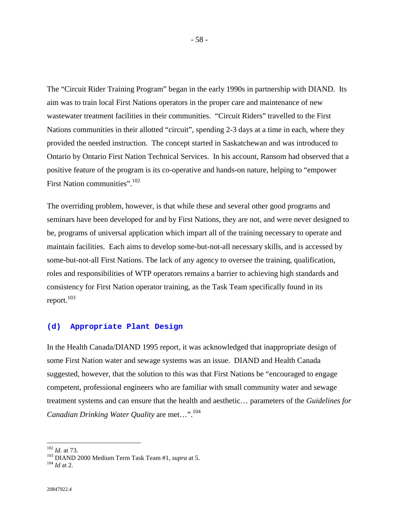The "Circuit Rider Training Program" began in the early 1990s in partnership with DIAND. Its aim was to train local First Nations operators in the proper care and maintenance of new wastewater treatment facilities in their communities. "Circuit Riders" travelled to the First Nations communities in their allotted "circuit", spending 2-3 days at a time in each, where they provided the needed instruction. The concept started in Saskatchewan and was introduced to Ontario by Ontario First Nation Technical Services. In his account, Ransom had observed that a positive feature of the program is its co-operative and hands-on nature, helping to "empower First Nation communities".<sup>102</sup>

The overriding problem, however, is that while these and several other good programs and seminars have been developed for and by First Nations, they are not, and were never designed to be, programs of universal application which impart all of the training necessary to operate and maintain facilities. Each aims to develop some-but-not-all necessary skills, and is accessed by some-but-not-all First Nations. The lack of any agency to oversee the training, qualification, roles and responsibilities of WTP operators remains a barrier to achieving high standards and consistency for First Nation operator training, as the Task Team specifically found in its report.<sup>103</sup>

#### **(d) Appropriate Plant Design**

In the Health Canada/DIAND 1995 report, it was acknowledged that inappropriate design of some First Nation water and sewage systems was an issue. DIAND and Health Canada suggested, however, that the solution to this was that First Nations be "encouraged to engage competent, professional engineers who are familiar with small community water and sewage treatment systems and can ensure that the health and aesthetic… parameters of the *Guidelines for Canadian Drinking Water Quality* are met…".104

 $102$  *Id.* at 73.

<sup>103</sup> DIAND 2000 Medium Term Task Team #1, *supra* at 5.<br><sup>104</sup> *Id* at 2.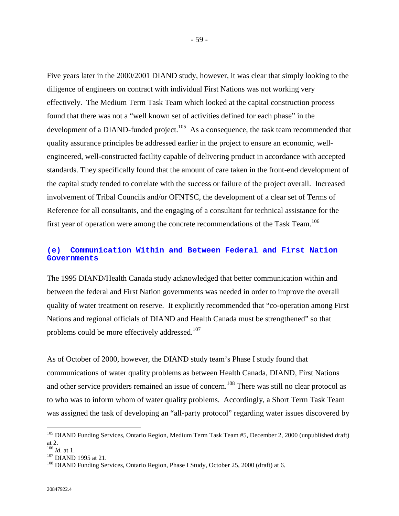Five years later in the 2000/2001 DIAND study, however, it was clear that simply looking to the diligence of engineers on contract with individual First Nations was not working very effectively. The Medium Term Task Team which looked at the capital construction process found that there was not a "well known set of activities defined for each phase" in the development of a DIAND-funded project.<sup>105</sup> As a consequence, the task team recommended that quality assurance principles be addressed earlier in the project to ensure an economic, wellengineered, well-constructed facility capable of delivering product in accordance with accepted standards. They specifically found that the amount of care taken in the front-end development of the capital study tended to correlate with the success or failure of the project overall. Increased involvement of Tribal Councils and/or OFNTSC, the development of a clear set of Terms of Reference for all consultants, and the engaging of a consultant for technical assistance for the first year of operation were among the concrete recommendations of the Task Team.<sup>106</sup>

# **(e) Communication Within and Between Federal and First Nation Governments**

The 1995 DIAND/Health Canada study acknowledged that better communication within and between the federal and First Nation governments was needed in order to improve the overall quality of water treatment on reserve. It explicitly recommended that "co-operation among First Nations and regional officials of DIAND and Health Canada must be strengthened" so that problems could be more effectively addressed.<sup>107</sup>

As of October of 2000, however, the DIAND study team's Phase I study found that communications of water quality problems as between Health Canada, DIAND, First Nations and other service providers remained an issue of concern.<sup>108</sup> There was still no clear protocol as to who was to inform whom of water quality problems. Accordingly, a Short Term Task Team was assigned the task of developing an "all-party protocol" regarding water issues discovered by

<sup>&</sup>lt;sup>105</sup> DIAND Funding Services, Ontario Region, Medium Term Task Team #5, December 2, 2000 (unpublished draft) at 2.<br> $\frac{106}{106}$  *Id.* at 1.

<sup>&</sup>lt;sup>107</sup> DIAND 1995 at 21.<br><sup>108</sup> DIAND Funding Services, Ontario Region, Phase I Study, October 25, 2000 (draft) at 6.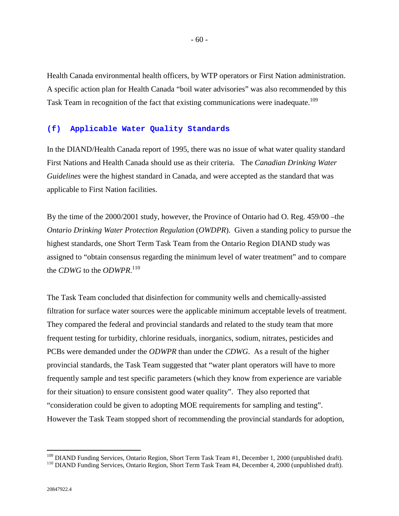Health Canada environmental health officers, by WTP operators or First Nation administration. A specific action plan for Health Canada "boil water advisories" was also recommended by this Task Team in recognition of the fact that existing communications were inadequate.<sup>109</sup>

#### **(f) Applicable Water Quality Standards**

In the DIAND/Health Canada report of 1995, there was no issue of what water quality standard First Nations and Health Canada should use as their criteria. The *Canadian Drinking Water Guidelines* were the highest standard in Canada, and were accepted as the standard that was applicable to First Nation facilities.

By the time of the 2000/2001 study, however, the Province of Ontario had O. Reg. 459/00 –the *Ontario Drinking Water Protection Regulation (OWDPR). Given a standing policy to pursue the* highest standards, one Short Term Task Team from the Ontario Region DIAND study was assigned to "obtain consensus regarding the minimum level of water treatment" and to compare the *CDWG* to the *ODWPR*. 110

The Task Team concluded that disinfection for community wells and chemically-assisted filtration for surface water sources were the applicable minimum acceptable levels of treatment. They compared the federal and provincial standards and related to the study team that more frequent testing for turbidity, chlorine residuals, inorganics, sodium, nitrates, pesticides and PCBs were demanded under the *ODWPR* than under the *CDWG*. As a result of the higher provincial standards, the Task Team suggested that "water plant operators will have to more frequently sample and test specific parameters (which they know from experience are variable for their situation) to ensure consistent good water quality". They also reported that "consideration could be given to adopting MOE requirements for sampling and testing". However the Task Team stopped short of recommending the provincial standards for adoption,

<sup>&</sup>lt;sup>109</sup> DIAND Funding Services, Ontario Region, Short Term Task Team #1, December 1, 2000 (unpublished draft).<br><sup>110</sup> DIAND Funding Services, Ontario Region, Short Term Task Team #4, December 4, 2000 (unpublished draft).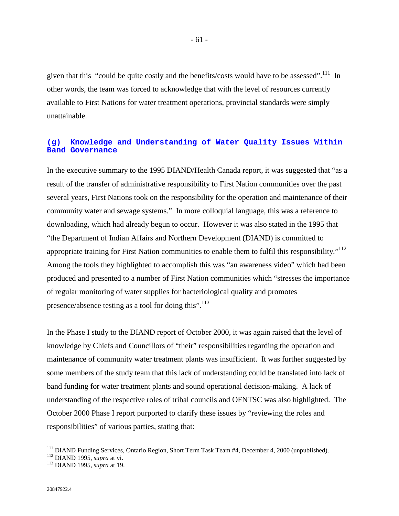given that this "could be quite costly and the benefits/costs would have to be assessed".<sup>111</sup> In other words, the team was forced to acknowledge that with the level of resources currently available to First Nations for water treatment operations, provincial standards were simply unattainable.

## **(g) Knowledge and Understanding of Water Quality Issues Within Band Governance**

In the executive summary to the 1995 DIAND/Health Canada report, it was suggested that "as a result of the transfer of administrative responsibility to First Nation communities over the past several years, First Nations took on the responsibility for the operation and maintenance of their community water and sewage systems." In more colloquial language, this was a reference to downloading, which had already begun to occur. However it was also stated in the 1995 that "the Department of Indian Affairs and Northern Development (DIAND) is committed to appropriate training for First Nation communities to enable them to fulfil this responsibility."<sup>112</sup> Among the tools they highlighted to accomplish this was "an awareness video" which had been produced and presented to a number of First Nation communities which "stresses the importance of regular monitoring of water supplies for bacteriological quality and promotes presence/absence testing as a tool for doing this".<sup>113</sup>

In the Phase I study to the DIAND report of October 2000, it was again raised that the level of knowledge by Chiefs and Councillors of "their" responsibilities regarding the operation and maintenance of community water treatment plants was insufficient. It was further suggested by some members of the study team that this lack of understanding could be translated into lack of band funding for water treatment plants and sound operational decision-making. A lack of understanding of the respective roles of tribal councils and OFNTSC was also highlighted. The October 2000 Phase I report purported to clarify these issues by "reviewing the roles and responsibilities" of various parties, stating that:

<sup>111</sup> DIAND Funding Services, Ontario Region, Short Term Task Team #4, December 4, 2000 (unpublished). 112 DIAND 1995, *supra* at vi. 113 DIAND 1995, *supra* at 19.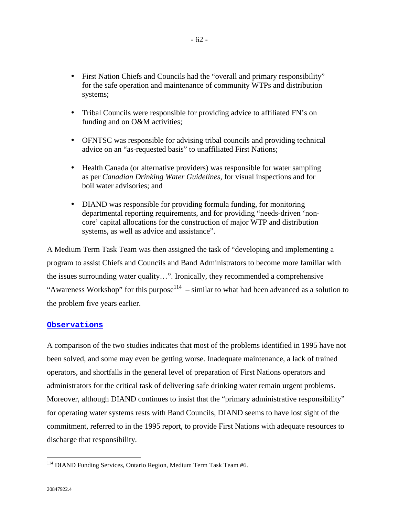- First Nation Chiefs and Councils had the "overall and primary responsibility" for the safe operation and maintenance of community WTPs and distribution systems;
- Tribal Councils were responsible for providing advice to affiliated FN's on funding and on O&M activities;
- OFNTSC was responsible for advising tribal councils and providing technical advice on an "as-requested basis" to unaffiliated First Nations;
- Health Canada (or alternative providers) was responsible for water sampling as per *Canadian Drinking Water Guidelines*, for visual inspections and for boil water advisories; and
- DIAND was responsible for providing formula funding, for monitoring departmental reporting requirements, and for providing "needs-driven 'noncore' capital allocations for the construction of major WTP and distribution systems, as well as advice and assistance".

A Medium Term Task Team was then assigned the task of "developing and implementing a program to assist Chiefs and Councils and Band Administrators to become more familiar with the issues surrounding water quality…". Ironically, they recommended a comprehensive "Awareness Workshop" for this purpose<sup>114</sup> – similar to what had been advanced as a solution to the problem five years earlier.

# **Observations**

A comparison of the two studies indicates that most of the problems identified in 1995 have not been solved, and some may even be getting worse. Inadequate maintenance, a lack of trained operators, and shortfalls in the general level of preparation of First Nations operators and administrators for the critical task of delivering safe drinking water remain urgent problems. Moreover, although DIAND continues to insist that the "primary administrative responsibility" for operating water systems rests with Band Councils, DIAND seems to have lost sight of the commitment, referred to in the 1995 report, to provide First Nations with adequate resources to discharge that responsibility.

<sup>&</sup>lt;sup>114</sup> DIAND Funding Services, Ontario Region, Medium Term Task Team #6.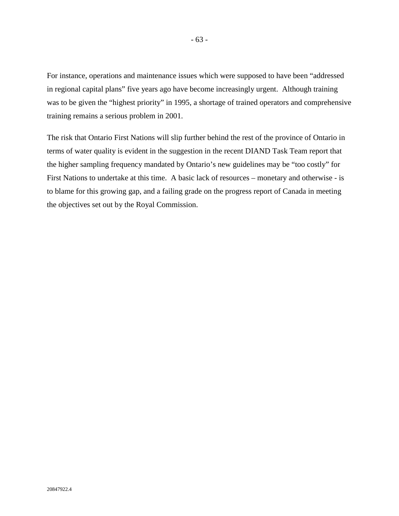For instance, operations and maintenance issues which were supposed to have been "addressed in regional capital plans" five years ago have become increasingly urgent. Although training was to be given the "highest priority" in 1995, a shortage of trained operators and comprehensive training remains a serious problem in 2001.

The risk that Ontario First Nations will slip further behind the rest of the province of Ontario in terms of water quality is evident in the suggestion in the recent DIAND Task Team report that the higher sampling frequency mandated by Ontario's new guidelines may be "too costly" for First Nations to undertake at this time. A basic lack of resources – monetary and otherwise - is to blame for this growing gap, and a failing grade on the progress report of Canada in meeting the objectives set out by the Royal Commission.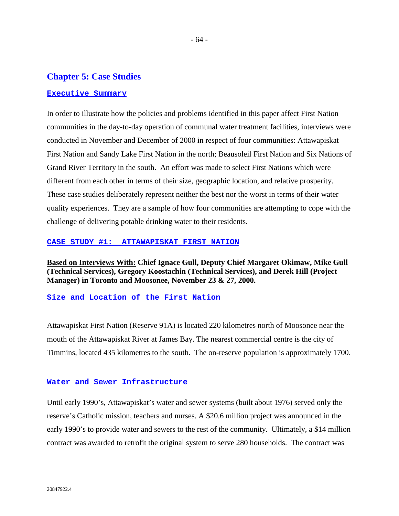# **Chapter 5: Case Studies**

#### **Executive Summary**

In order to illustrate how the policies and problems identified in this paper affect First Nation communities in the day-to-day operation of communal water treatment facilities, interviews were conducted in November and December of 2000 in respect of four communities: Attawapiskat First Nation and Sandy Lake First Nation in the north; Beausoleil First Nation and Six Nations of Grand River Territory in the south. An effort was made to select First Nations which were different from each other in terms of their size, geographic location, and relative prosperity. These case studies deliberately represent neither the best nor the worst in terms of their water quality experiences. They are a sample of how four communities are attempting to cope with the challenge of delivering potable drinking water to their residents.

#### **CASE STUDY #1: ATTAWAPISKAT FIRST NATION**

**Based on Interviews With: Chief Ignace Gull, Deputy Chief Margaret Okimaw, Mike Gull (Technical Services), Gregory Koostachin (Technical Services), and Derek Hill (Project Manager) in Toronto and Moosonee, November 23 & 27, 2000.** 

# **Size and Location of the First Nation**

Attawapiskat First Nation (Reserve 91A) is located 220 kilometres north of Moosonee near the mouth of the Attawapiskat River at James Bay. The nearest commercial centre is the city of Timmins, located 435 kilometres to the south. The on-reserve population is approximately 1700.

#### **Water and Sewer Infrastructure**

Until early 1990's, Attawapiskat's water and sewer systems (built about 1976) served only the reserve's Catholic mission, teachers and nurses. A \$20.6 million project was announced in the early 1990's to provide water and sewers to the rest of the community. Ultimately, a \$14 million contract was awarded to retrofit the original system to serve 280 households. The contract was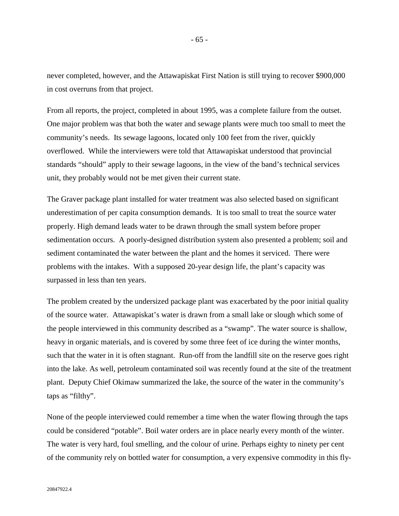never completed, however, and the Attawapiskat First Nation is still trying to recover \$900,000 in cost overruns from that project.

- 65 -

From all reports, the project, completed in about 1995, was a complete failure from the outset. One major problem was that both the water and sewage plants were much too small to meet the community's needs. Its sewage lagoons, located only 100 feet from the river, quickly overflowed. While the interviewers were told that Attawapiskat understood that provincial standards "should" apply to their sewage lagoons, in the view of the band's technical services unit, they probably would not be met given their current state.

The Graver package plant installed for water treatment was also selected based on significant underestimation of per capita consumption demands. It is too small to treat the source water properly. High demand leads water to be drawn through the small system before proper sedimentation occurs. A poorly-designed distribution system also presented a problem; soil and sediment contaminated the water between the plant and the homes it serviced. There were problems with the intakes. With a supposed 20-year design life, the plant's capacity was surpassed in less than ten years.

The problem created by the undersized package plant was exacerbated by the poor initial quality of the source water. Attawapiskat's water is drawn from a small lake or slough which some of the people interviewed in this community described as a "swamp". The water source is shallow, heavy in organic materials, and is covered by some three feet of ice during the winter months, such that the water in it is often stagnant. Run-off from the landfill site on the reserve goes right into the lake. As well, petroleum contaminated soil was recently found at the site of the treatment plant. Deputy Chief Okimaw summarized the lake, the source of the water in the community's taps as "filthy".

None of the people interviewed could remember a time when the water flowing through the taps could be considered "potable". Boil water orders are in place nearly every month of the winter. The water is very hard, foul smelling, and the colour of urine. Perhaps eighty to ninety per cent of the community rely on bottled water for consumption, a very expensive commodity in this fly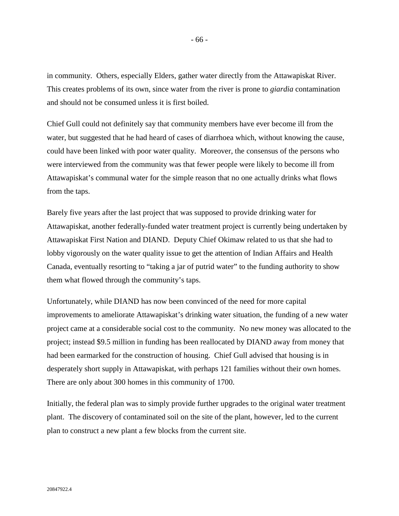in community. Others, especially Elders, gather water directly from the Attawapiskat River. This creates problems of its own, since water from the river is prone to *giardia* contamination and should not be consumed unless it is first boiled.

Chief Gull could not definitely say that community members have ever become ill from the water, but suggested that he had heard of cases of diarrhoea which, without knowing the cause, could have been linked with poor water quality. Moreover, the consensus of the persons who were interviewed from the community was that fewer people were likely to become ill from Attawapiskat's communal water for the simple reason that no one actually drinks what flows from the taps.

Barely five years after the last project that was supposed to provide drinking water for Attawapiskat, another federally-funded water treatment project is currently being undertaken by Attawapiskat First Nation and DIAND. Deputy Chief Okimaw related to us that she had to lobby vigorously on the water quality issue to get the attention of Indian Affairs and Health Canada, eventually resorting to "taking a jar of putrid water" to the funding authority to show them what flowed through the community's taps.

Unfortunately, while DIAND has now been convinced of the need for more capital improvements to ameliorate Attawapiskat's drinking water situation, the funding of a new water project came at a considerable social cost to the community. No new money was allocated to the project; instead \$9.5 million in funding has been reallocated by DIAND away from money that had been earmarked for the construction of housing. Chief Gull advised that housing is in desperately short supply in Attawapiskat, with perhaps 121 families without their own homes. There are only about 300 homes in this community of 1700.

Initially, the federal plan was to simply provide further upgrades to the original water treatment plant. The discovery of contaminated soil on the site of the plant, however, led to the current plan to construct a new plant a few blocks from the current site.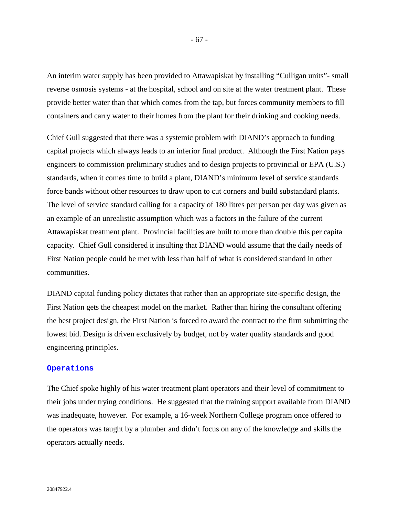An interim water supply has been provided to Attawapiskat by installing "Culligan units"- small reverse osmosis systems - at the hospital, school and on site at the water treatment plant. These provide better water than that which comes from the tap, but forces community members to fill containers and carry water to their homes from the plant for their drinking and cooking needs.

Chief Gull suggested that there was a systemic problem with DIAND's approach to funding capital projects which always leads to an inferior final product. Although the First Nation pays engineers to commission preliminary studies and to design projects to provincial or EPA (U.S.) standards, when it comes time to build a plant, DIAND's minimum level of service standards force bands without other resources to draw upon to cut corners and build substandard plants. The level of service standard calling for a capacity of 180 litres per person per day was given as an example of an unrealistic assumption which was a factors in the failure of the current Attawapiskat treatment plant. Provincial facilities are built to more than double this per capita capacity. Chief Gull considered it insulting that DIAND would assume that the daily needs of First Nation people could be met with less than half of what is considered standard in other communities.

DIAND capital funding policy dictates that rather than an appropriate site-specific design, the First Nation gets the cheapest model on the market. Rather than hiring the consultant offering the best project design, the First Nation is forced to award the contract to the firm submitting the lowest bid. Design is driven exclusively by budget, not by water quality standards and good engineering principles.

#### **Operations**

The Chief spoke highly of his water treatment plant operators and their level of commitment to their jobs under trying conditions. He suggested that the training support available from DIAND was inadequate, however. For example, a 16-week Northern College program once offered to the operators was taught by a plumber and didn't focus on any of the knowledge and skills the operators actually needs.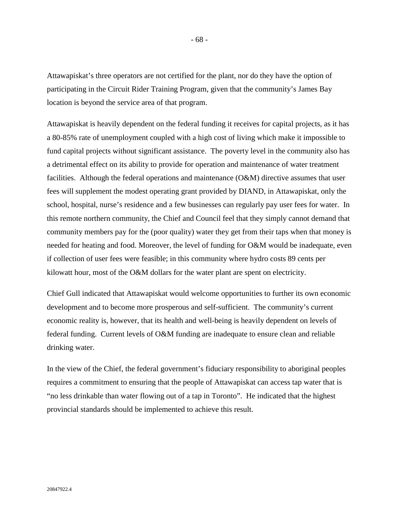Attawapiskat's three operators are not certified for the plant, nor do they have the option of participating in the Circuit Rider Training Program, given that the community's James Bay location is beyond the service area of that program.

Attawapiskat is heavily dependent on the federal funding it receives for capital projects, as it has a 80-85% rate of unemployment coupled with a high cost of living which make it impossible to fund capital projects without significant assistance. The poverty level in the community also has a detrimental effect on its ability to provide for operation and maintenance of water treatment facilities. Although the federal operations and maintenance (O&M) directive assumes that user fees will supplement the modest operating grant provided by DIAND, in Attawapiskat, only the school, hospital, nurse's residence and a few businesses can regularly pay user fees for water. In this remote northern community, the Chief and Council feel that they simply cannot demand that community members pay for the (poor quality) water they get from their taps when that money is needed for heating and food. Moreover, the level of funding for O&M would be inadequate, even if collection of user fees were feasible; in this community where hydro costs 89 cents per kilowatt hour, most of the O&M dollars for the water plant are spent on electricity.

Chief Gull indicated that Attawapiskat would welcome opportunities to further its own economic development and to become more prosperous and self-sufficient. The community's current economic reality is, however, that its health and well-being is heavily dependent on levels of federal funding. Current levels of O&M funding are inadequate to ensure clean and reliable drinking water.

In the view of the Chief, the federal government's fiduciary responsibility to aboriginal peoples requires a commitment to ensuring that the people of Attawapiskat can access tap water that is "no less drinkable than water flowing out of a tap in Toronto". He indicated that the highest provincial standards should be implemented to achieve this result.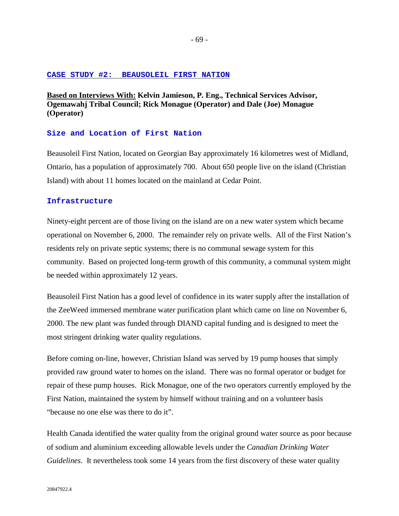#### **CASE STUDY #2: BEAUSOLEIL FIRST NATION**

**Based on Interviews With: Kelvin Jamieson, P. Eng., Technical Services Advisor, Ogemawahj Tribal Council; Rick Monague (Operator) and Dale (Joe) Monague (Operator)** 

# **Size and Location of First Nation**

Beausoleil First Nation, located on Georgian Bay approximately 16 kilometres west of Midland, Ontario, has a population of approximately 700. About 650 people live on the island (Christian Island) with about 11 homes located on the mainland at Cedar Point.

### **Infrastructure**

Ninety-eight percent are of those living on the island are on a new water system which became operational on November 6, 2000. The remainder rely on private wells. All of the First Nation's residents rely on private septic systems; there is no communal sewage system for this community. Based on projected long-term growth of this community, a communal system might be needed within approximately 12 years.

Beausoleil First Nation has a good level of confidence in its water supply after the installation of the ZeeWeed immersed membrane water purification plant which came on line on November 6, 2000. The new plant was funded through DIAND capital funding and is designed to meet the most stringent drinking water quality regulations.

Before coming on-line, however, Christian Island was served by 19 pump houses that simply provided raw ground water to homes on the island. There was no formal operator or budget for repair of these pump houses. Rick Monague, one of the two operators currently employed by the First Nation, maintained the system by himself without training and on a volunteer basis "because no one else was there to do it".

Health Canada identified the water quality from the original ground water source as poor because of sodium and aluminium exceeding allowable levels under the *Canadian Drinking Water Guidelines*. It nevertheless took some 14 years from the first discovery of these water quality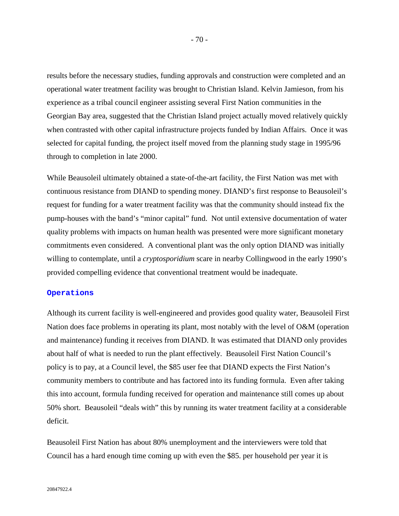results before the necessary studies, funding approvals and construction were completed and an operational water treatment facility was brought to Christian Island. Kelvin Jamieson, from his experience as a tribal council engineer assisting several First Nation communities in the Georgian Bay area, suggested that the Christian Island project actually moved relatively quickly when contrasted with other capital infrastructure projects funded by Indian Affairs. Once it was selected for capital funding, the project itself moved from the planning study stage in 1995/96 through to completion in late 2000.

While Beausoleil ultimately obtained a state-of-the-art facility, the First Nation was met with continuous resistance from DIAND to spending money. DIAND's first response to Beausoleil's request for funding for a water treatment facility was that the community should instead fix the pump-houses with the band's "minor capital" fund. Not until extensive documentation of water quality problems with impacts on human health was presented were more significant monetary commitments even considered. A conventional plant was the only option DIAND was initially willing to contemplate, until a *cryptosporidium* scare in nearby Collingwood in the early 1990's provided compelling evidence that conventional treatment would be inadequate.

#### **Operations**

Although its current facility is well-engineered and provides good quality water, Beausoleil First Nation does face problems in operating its plant, most notably with the level of O&M (operation and maintenance) funding it receives from DIAND. It was estimated that DIAND only provides about half of what is needed to run the plant effectively. Beausoleil First Nation Council's policy is to pay, at a Council level, the \$85 user fee that DIAND expects the First Nation's community members to contribute and has factored into its funding formula. Even after taking this into account, formula funding received for operation and maintenance still comes up about 50% short. Beausoleil "deals with" this by running its water treatment facility at a considerable deficit.

Beausoleil First Nation has about 80% unemployment and the interviewers were told that Council has a hard enough time coming up with even the \$85. per household per year it is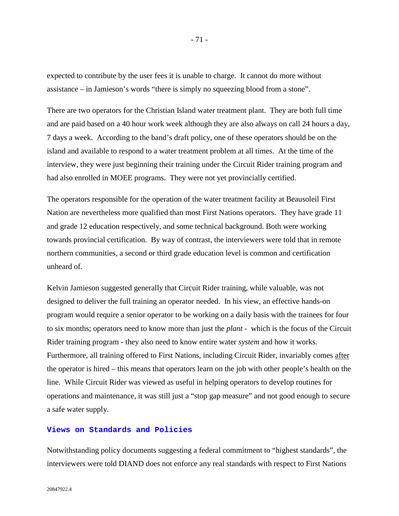expected to contribute by the user fees it is unable to charge. It cannot do more without assistance – in Jamieson's words "there is simply no squeezing blood from a stone".

There are two operators for the Christian Island water treatment plant. They are both full time and are paid based on a 40 hour work week although they are also always on call 24 hours a day, 7 days a week. According to the band's draft policy, one of these operators should be on the island and available to respond to a water treatment problem at all times. At the time of the interview, they were just beginning their training under the Circuit Rider training program and had also enrolled in MOEE programs. They were not yet provincially certified.

The operators responsible for the operation of the water treatment facility at Beausoleil First Nation are nevertheless more qualified than most First Nations operators. They have grade 11 and grade 12 education respectively, and some technical background. Both were working towards provincial certification. By way of contrast, the interviewers were told that in remote northern communities, a second or third grade education level is common and certification unheard of.

Kelvin Jamieson suggested generally that Circuit Rider training, while valuable, was not designed to deliver the full training an operator needed. In his view, an effective hands-on program would require a senior operator to be working on a daily basis with the trainees for four to six months; operators need to know more than just the *plant* - which is the focus of the Circuit Rider training program - they also need to know entire water *system* and how it works. Furthermore, all training offered to First Nations, including Circuit Rider, invariably comes after the operator is hired – this means that operators learn on the job with other people's health on the line. While Circuit Rider was viewed as useful in helping operators to develop routines for operations and maintenance, it was still just a "stop gap measure" and not good enough to secure a safe water supply.

## **Views on Standards and Policies**

Notwithstanding policy documents suggesting a federal commitment to "highest standards", the interviewers were told DIAND does not enforce any real standards with respect to First Nations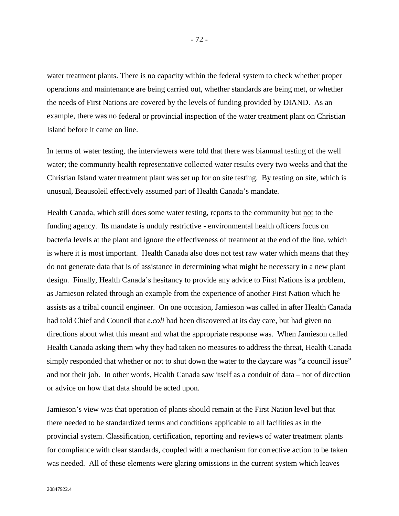water treatment plants. There is no capacity within the federal system to check whether proper operations and maintenance are being carried out, whether standards are being met, or whether the needs of First Nations are covered by the levels of funding provided by DIAND. As an example, there was no federal or provincial inspection of the water treatment plant on Christian Island before it came on line.

In terms of water testing, the interviewers were told that there was biannual testing of the well water; the community health representative collected water results every two weeks and that the Christian Island water treatment plant was set up for on site testing. By testing on site, which is unusual, Beausoleil effectively assumed part of Health Canada's mandate.

Health Canada, which still does some water testing, reports to the community but not to the funding agency. Its mandate is unduly restrictive - environmental health officers focus on bacteria levels at the plant and ignore the effectiveness of treatment at the end of the line, which is where it is most important. Health Canada also does not test raw water which means that they do not generate data that is of assistance in determining what might be necessary in a new plant design. Finally, Health Canada's hesitancy to provide any advice to First Nations is a problem, as Jamieson related through an example from the experience of another First Nation which he assists as a tribal council engineer. On one occasion, Jamieson was called in after Health Canada had told Chief and Council that *e.coli* had been discovered at its day care, but had given no directions about what this meant and what the appropriate response was. When Jamieson called Health Canada asking them why they had taken no measures to address the threat, Health Canada simply responded that whether or not to shut down the water to the daycare was "a council issue" and not their job. In other words, Health Canada saw itself as a conduit of data – not of direction or advice on how that data should be acted upon.

Jamieson's view was that operation of plants should remain at the First Nation level but that there needed to be standardized terms and conditions applicable to all facilities as in the provincial system. Classification, certification, reporting and reviews of water treatment plants for compliance with clear standards, coupled with a mechanism for corrective action to be taken was needed. All of these elements were glaring omissions in the current system which leaves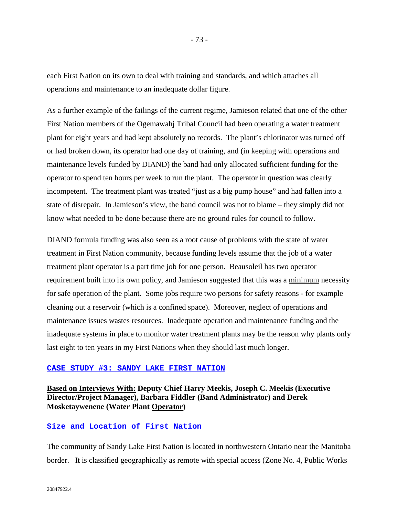each First Nation on its own to deal with training and standards, and which attaches all operations and maintenance to an inadequate dollar figure.

As a further example of the failings of the current regime, Jamieson related that one of the other First Nation members of the Ogemawahj Tribal Council had been operating a water treatment plant for eight years and had kept absolutely no records. The plant's chlorinator was turned off or had broken down, its operator had one day of training, and (in keeping with operations and maintenance levels funded by DIAND) the band had only allocated sufficient funding for the operator to spend ten hours per week to run the plant. The operator in question was clearly incompetent. The treatment plant was treated "just as a big pump house" and had fallen into a state of disrepair. In Jamieson's view, the band council was not to blame – they simply did not know what needed to be done because there are no ground rules for council to follow.

DIAND formula funding was also seen as a root cause of problems with the state of water treatment in First Nation community, because funding levels assume that the job of a water treatment plant operator is a part time job for one person. Beausoleil has two operator requirement built into its own policy, and Jamieson suggested that this was a minimum necessity for safe operation of the plant. Some jobs require two persons for safety reasons - for example cleaning out a reservoir (which is a confined space). Moreover, neglect of operations and maintenance issues wastes resources. Inadequate operation and maintenance funding and the inadequate systems in place to monitor water treatment plants may be the reason why plants only last eight to ten years in my First Nations when they should last much longer.

### **CASE STUDY #3: SANDY LAKE FIRST NATION**

## **Based on Interviews With: Deputy Chief Harry Meekis, Joseph C. Meekis (Executive Director/Project Manager), Barbara Fiddler (Band Administrator) and Derek Mosketaywenene (Water Plant Operator)**

## **Size and Location of First Nation**

The community of Sandy Lake First Nation is located in northwestern Ontario near the Manitoba border. It is classified geographically as remote with special access (Zone No. 4, Public Works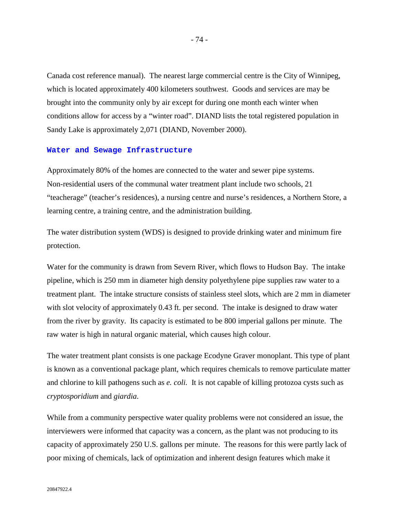Canada cost reference manual). The nearest large commercial centre is the City of Winnipeg, which is located approximately 400 kilometers southwest. Goods and services are may be brought into the community only by air except for during one month each winter when conditions allow for access by a "winter road". DIAND lists the total registered population in Sandy Lake is approximately 2,071 (DIAND, November 2000).

### **Water and Sewage Infrastructure**

Approximately 80% of the homes are connected to the water and sewer pipe systems. Non-residential users of the communal water treatment plant include two schools, 21 "teacherage" (teacher's residences), a nursing centre and nurse's residences, a Northern Store, a learning centre, a training centre, and the administration building.

The water distribution system (WDS) is designed to provide drinking water and minimum fire protection.

Water for the community is drawn from Severn River, which flows to Hudson Bay. The intake pipeline, which is 250 mm in diameter high density polyethylene pipe supplies raw water to a treatment plant. The intake structure consists of stainless steel slots, which are 2 mm in diameter with slot velocity of approximately 0.43 ft. per second. The intake is designed to draw water from the river by gravity. Its capacity is estimated to be 800 imperial gallons per minute. The raw water is high in natural organic material, which causes high colour.

The water treatment plant consists is one package Ecodyne Graver monoplant. This type of plant is known as a conventional package plant, which requires chemicals to remove particulate matter and chlorine to kill pathogens such as *e. coli.* It is not capable of killing protozoa cysts such as *cryptosporidium* and *giardia*.

While from a community perspective water quality problems were not considered an issue, the interviewers were informed that capacity was a concern, as the plant was not producing to its capacity of approximately 250 U.S. gallons per minute. The reasons for this were partly lack of poor mixing of chemicals, lack of optimization and inherent design features which make it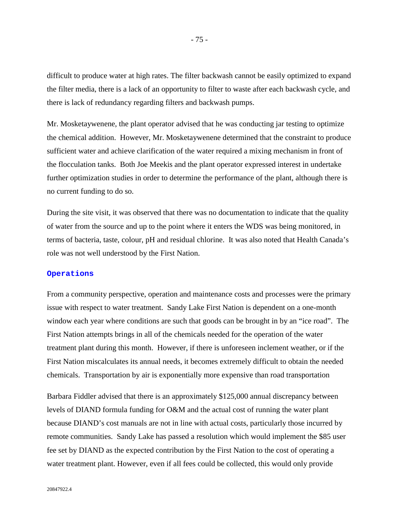difficult to produce water at high rates. The filter backwash cannot be easily optimized to expand the filter media, there is a lack of an opportunity to filter to waste after each backwash cycle, and there is lack of redundancy regarding filters and backwash pumps.

Mr. Mosketaywenene, the plant operator advised that he was conducting jar testing to optimize the chemical addition. However, Mr. Mosketaywenene determined that the constraint to produce sufficient water and achieve clarification of the water required a mixing mechanism in front of the flocculation tanks. Both Joe Meekis and the plant operator expressed interest in undertake further optimization studies in order to determine the performance of the plant, although there is no current funding to do so.

During the site visit, it was observed that there was no documentation to indicate that the quality of water from the source and up to the point where it enters the WDS was being monitored, in terms of bacteria, taste, colour, pH and residual chlorine. It was also noted that Health Canada's role was not well understood by the First Nation.

### **Operations**

From a community perspective, operation and maintenance costs and processes were the primary issue with respect to water treatment. Sandy Lake First Nation is dependent on a one-month window each year where conditions are such that goods can be brought in by an "ice road". The First Nation attempts brings in all of the chemicals needed for the operation of the water treatment plant during this month. However, if there is unforeseen inclement weather, or if the First Nation miscalculates its annual needs, it becomes extremely difficult to obtain the needed chemicals. Transportation by air is exponentially more expensive than road transportation

Barbara Fiddler advised that there is an approximately \$125,000 annual discrepancy between levels of DIAND formula funding for O&M and the actual cost of running the water plant because DIAND's cost manuals are not in line with actual costs, particularly those incurred by remote communities. Sandy Lake has passed a resolution which would implement the \$85 user fee set by DIAND as the expected contribution by the First Nation to the cost of operating a water treatment plant. However, even if all fees could be collected, this would only provide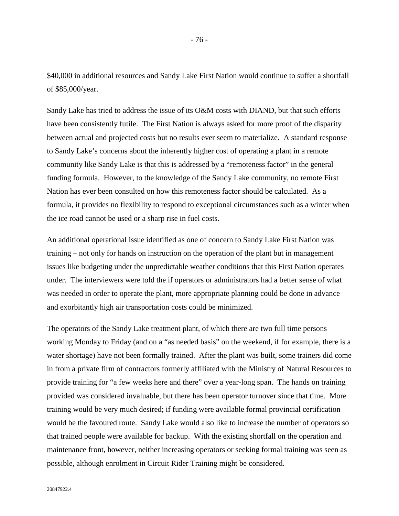\$40,000 in additional resources and Sandy Lake First Nation would continue to suffer a shortfall of \$85,000/year.

Sandy Lake has tried to address the issue of its O&M costs with DIAND, but that such efforts have been consistently futile. The First Nation is always asked for more proof of the disparity between actual and projected costs but no results ever seem to materialize. A standard response to Sandy Lake's concerns about the inherently higher cost of operating a plant in a remote community like Sandy Lake is that this is addressed by a "remoteness factor" in the general funding formula. However, to the knowledge of the Sandy Lake community, no remote First Nation has ever been consulted on how this remoteness factor should be calculated. As a formula, it provides no flexibility to respond to exceptional circumstances such as a winter when the ice road cannot be used or a sharp rise in fuel costs.

An additional operational issue identified as one of concern to Sandy Lake First Nation was training – not only for hands on instruction on the operation of the plant but in management issues like budgeting under the unpredictable weather conditions that this First Nation operates under. The interviewers were told the if operators or administrators had a better sense of what was needed in order to operate the plant, more appropriate planning could be done in advance and exorbitantly high air transportation costs could be minimized.

The operators of the Sandy Lake treatment plant, of which there are two full time persons working Monday to Friday (and on a "as needed basis" on the weekend, if for example, there is a water shortage) have not been formally trained. After the plant was built, some trainers did come in from a private firm of contractors formerly affiliated with the Ministry of Natural Resources to provide training for "a few weeks here and there" over a year-long span. The hands on training provided was considered invaluable, but there has been operator turnover since that time. More training would be very much desired; if funding were available formal provincial certification would be the favoured route. Sandy Lake would also like to increase the number of operators so that trained people were available for backup. With the existing shortfall on the operation and maintenance front, however, neither increasing operators or seeking formal training was seen as possible, although enrolment in Circuit Rider Training might be considered.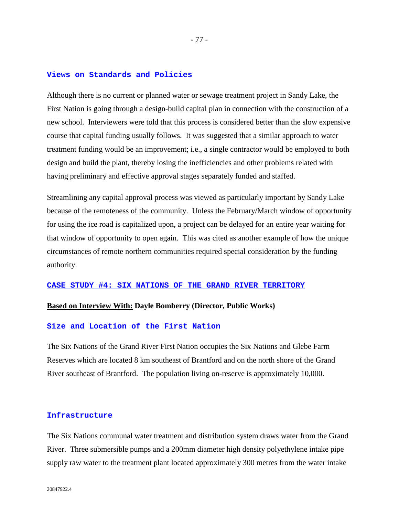### **Views on Standards and Policies**

Although there is no current or planned water or sewage treatment project in Sandy Lake, the First Nation is going through a design-build capital plan in connection with the construction of a new school. Interviewers were told that this process is considered better than the slow expensive course that capital funding usually follows. It was suggested that a similar approach to water treatment funding would be an improvement; i.e., a single contractor would be employed to both design and build the plant, thereby losing the inefficiencies and other problems related with having preliminary and effective approval stages separately funded and staffed.

Streamlining any capital approval process was viewed as particularly important by Sandy Lake because of the remoteness of the community. Unless the February/March window of opportunity for using the ice road is capitalized upon, a project can be delayed for an entire year waiting for that window of opportunity to open again. This was cited as another example of how the unique circumstances of remote northern communities required special consideration by the funding authority.

#### **CASE STUDY #4: SIX NATIONS OF THE GRAND RIVER TERRITORY**

### **Based on Interview With: Dayle Bomberry (Director, Public Works)**

#### **Size and Location of the First Nation**

The Six Nations of the Grand River First Nation occupies the Six Nations and Glebe Farm Reserves which are located 8 km southeast of Brantford and on the north shore of the Grand River southeast of Brantford. The population living on-reserve is approximately 10,000.

### **Infrastructure**

The Six Nations communal water treatment and distribution system draws water from the Grand River. Three submersible pumps and a 200mm diameter high density polyethylene intake pipe supply raw water to the treatment plant located approximately 300 metres from the water intake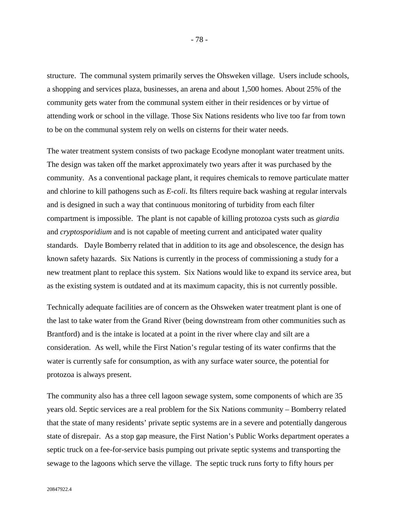structure. The communal system primarily serves the Ohsweken village. Users include schools, a shopping and services plaza, businesses, an arena and about 1,500 homes. About 25% of the community gets water from the communal system either in their residences or by virtue of attending work or school in the village. Those Six Nations residents who live too far from town to be on the communal system rely on wells on cisterns for their water needs.

The water treatment system consists of two package Ecodyne monoplant water treatment units. The design was taken off the market approximately two years after it was purchased by the community. As a conventional package plant, it requires chemicals to remove particulate matter and chlorine to kill pathogens such as *E-coli*. Its filters require back washing at regular intervals and is designed in such a way that continuous monitoring of turbidity from each filter compartment is impossible. The plant is not capable of killing protozoa cysts such as *giardia*  and *cryptosporidium* and is not capable of meeting current and anticipated water quality standards. Dayle Bomberry related that in addition to its age and obsolescence, the design has known safety hazards. Six Nations is currently in the process of commissioning a study for a new treatment plant to replace this system. Six Nations would like to expand its service area, but as the existing system is outdated and at its maximum capacity, this is not currently possible.

Technically adequate facilities are of concern as the Ohsweken water treatment plant is one of the last to take water from the Grand River (being downstream from other communities such as Brantford) and is the intake is located at a point in the river where clay and silt are a consideration. As well, while the First Nation's regular testing of its water confirms that the water is currently safe for consumption, as with any surface water source, the potential for protozoa is always present.

The community also has a three cell lagoon sewage system, some components of which are 35 years old. Septic services are a real problem for the Six Nations community – Bomberry related that the state of many residents' private septic systems are in a severe and potentially dangerous state of disrepair. As a stop gap measure, the First Nation's Public Works department operates a septic truck on a fee-for-service basis pumping out private septic systems and transporting the sewage to the lagoons which serve the village. The septic truck runs forty to fifty hours per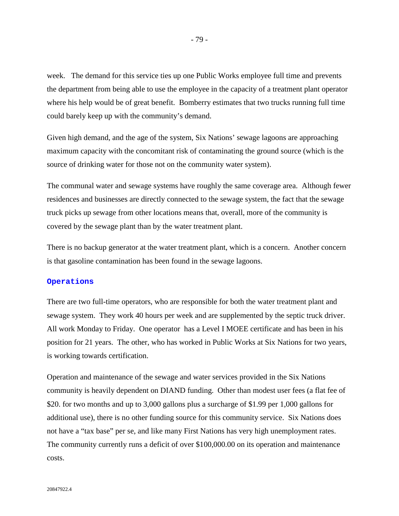week. The demand for this service ties up one Public Works employee full time and prevents the department from being able to use the employee in the capacity of a treatment plant operator where his help would be of great benefit. Bomberry estimates that two trucks running full time could barely keep up with the community's demand.

Given high demand, and the age of the system, Six Nations' sewage lagoons are approaching maximum capacity with the concomitant risk of contaminating the ground source (which is the source of drinking water for those not on the community water system).

The communal water and sewage systems have roughly the same coverage area. Although fewer residences and businesses are directly connected to the sewage system, the fact that the sewage truck picks up sewage from other locations means that, overall, more of the community is covered by the sewage plant than by the water treatment plant.

There is no backup generator at the water treatment plant, which is a concern. Another concern is that gasoline contamination has been found in the sewage lagoons.

#### **Operations**

There are two full-time operators, who are responsible for both the water treatment plant and sewage system. They work 40 hours per week and are supplemented by the septic truck driver. All work Monday to Friday. One operator has a Level I MOEE certificate and has been in his position for 21 years. The other, who has worked in Public Works at Six Nations for two years, is working towards certification.

Operation and maintenance of the sewage and water services provided in the Six Nations community is heavily dependent on DIAND funding. Other than modest user fees (a flat fee of \$20. for two months and up to 3,000 gallons plus a surcharge of \$1.99 per 1,000 gallons for additional use), there is no other funding source for this community service. Six Nations does not have a "tax base" per se, and like many First Nations has very high unemployment rates. The community currently runs a deficit of over \$100,000.00 on its operation and maintenance costs.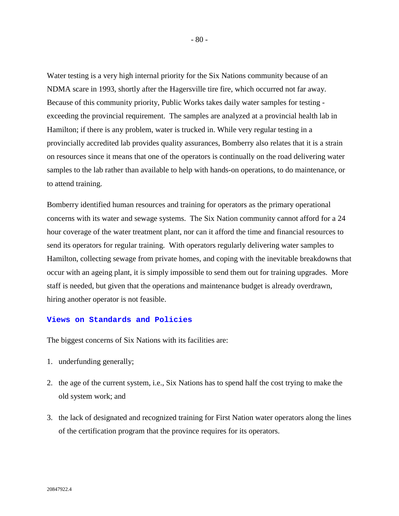Water testing is a very high internal priority for the Six Nations community because of an NDMA scare in 1993, shortly after the Hagersville tire fire, which occurred not far away. Because of this community priority, Public Works takes daily water samples for testing exceeding the provincial requirement. The samples are analyzed at a provincial health lab in Hamilton; if there is any problem, water is trucked in. While very regular testing in a provincially accredited lab provides quality assurances, Bomberry also relates that it is a strain on resources since it means that one of the operators is continually on the road delivering water samples to the lab rather than available to help with hands-on operations, to do maintenance, or to attend training.

Bomberry identified human resources and training for operators as the primary operational concerns with its water and sewage systems. The Six Nation community cannot afford for a 24 hour coverage of the water treatment plant, nor can it afford the time and financial resources to send its operators for regular training. With operators regularly delivering water samples to Hamilton, collecting sewage from private homes, and coping with the inevitable breakdowns that occur with an ageing plant, it is simply impossible to send them out for training upgrades. More staff is needed, but given that the operations and maintenance budget is already overdrawn, hiring another operator is not feasible.

## **Views on Standards and Policies**

The biggest concerns of Six Nations with its facilities are:

- 1. underfunding generally;
- 2. the age of the current system, i.e., Six Nations has to spend half the cost trying to make the old system work; and
- 3. the lack of designated and recognized training for First Nation water operators along the lines of the certification program that the province requires for its operators.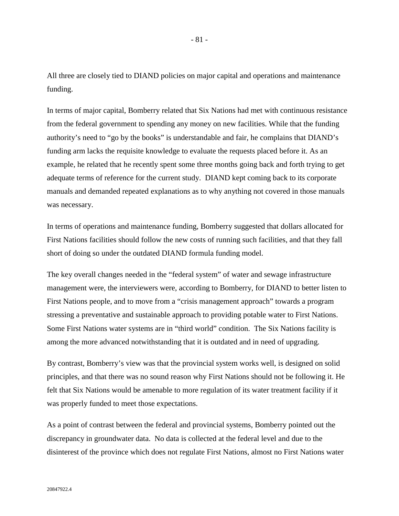All three are closely tied to DIAND policies on major capital and operations and maintenance funding.

In terms of major capital, Bomberry related that Six Nations had met with continuous resistance from the federal government to spending any money on new facilities. While that the funding authority's need to "go by the books" is understandable and fair, he complains that DIAND's funding arm lacks the requisite knowledge to evaluate the requests placed before it. As an example, he related that he recently spent some three months going back and forth trying to get adequate terms of reference for the current study. DIAND kept coming back to its corporate manuals and demanded repeated explanations as to why anything not covered in those manuals was necessary.

In terms of operations and maintenance funding, Bomberry suggested that dollars allocated for First Nations facilities should follow the new costs of running such facilities, and that they fall short of doing so under the outdated DIAND formula funding model.

The key overall changes needed in the "federal system" of water and sewage infrastructure management were, the interviewers were, according to Bomberry, for DIAND to better listen to First Nations people, and to move from a "crisis management approach" towards a program stressing a preventative and sustainable approach to providing potable water to First Nations. Some First Nations water systems are in "third world" condition. The Six Nations facility is among the more advanced notwithstanding that it is outdated and in need of upgrading.

By contrast, Bomberry's view was that the provincial system works well, is designed on solid principles, and that there was no sound reason why First Nations should not be following it. He felt that Six Nations would be amenable to more regulation of its water treatment facility if it was properly funded to meet those expectations.

As a point of contrast between the federal and provincial systems, Bomberry pointed out the discrepancy in groundwater data. No data is collected at the federal level and due to the disinterest of the province which does not regulate First Nations, almost no First Nations water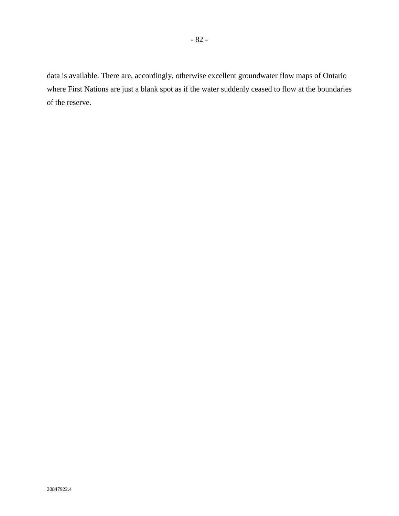data is available. There are, accordingly, otherwise excellent groundwater flow maps of Ontario where First Nations are just a blank spot as if the water suddenly ceased to flow at the boundaries of the reserve.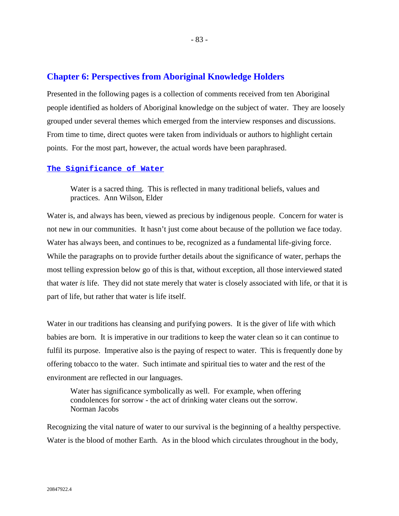# **Chapter 6: Perspectives from Aboriginal Knowledge Holders**

Presented in the following pages is a collection of comments received from ten Aboriginal people identified as holders of Aboriginal knowledge on the subject of water. They are loosely grouped under several themes which emerged from the interview responses and discussions. From time to time, direct quotes were taken from individuals or authors to highlight certain points. For the most part, however, the actual words have been paraphrased.

### **The Significance of Water**

Water is a sacred thing. This is reflected in many traditional beliefs, values and practices. Ann Wilson, Elder

Water is, and always has been, viewed as precious by indigenous people. Concern for water is not new in our communities. It hasn't just come about because of the pollution we face today. Water has always been, and continues to be, recognized as a fundamental life-giving force. While the paragraphs on to provide further details about the significance of water, perhaps the most telling expression below go of this is that, without exception, all those interviewed stated that water *is* life. They did not state merely that water is closely associated with life, or that it is part of life, but rather that water is life itself.

Water in our traditions has cleansing and purifying powers. It is the giver of life with which babies are born. It is imperative in our traditions to keep the water clean so it can continue to fulfil its purpose. Imperative also is the paying of respect to water. This is frequently done by offering tobacco to the water. Such intimate and spiritual ties to water and the rest of the environment are reflected in our languages.

Water has significance symbolically as well. For example, when offering condolences for sorrow - the act of drinking water cleans out the sorrow. Norman Jacobs

Recognizing the vital nature of water to our survival is the beginning of a healthy perspective. Water is the blood of mother Earth. As in the blood which circulates throughout in the body,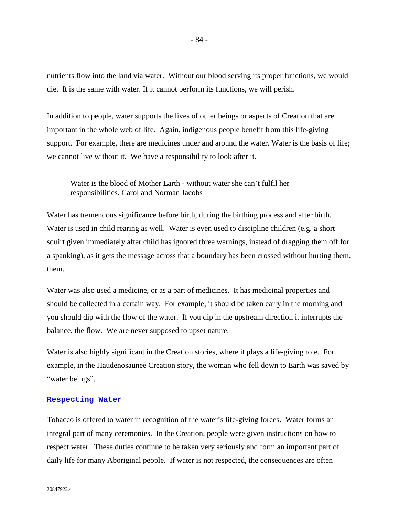nutrients flow into the land via water. Without our blood serving its proper functions, we would die. It is the same with water. If it cannot perform its functions, we will perish.

In addition to people, water supports the lives of other beings or aspects of Creation that are important in the whole web of life. Again, indigenous people benefit from this life-giving support. For example, there are medicines under and around the water. Water is the basis of life; we cannot live without it. We have a responsibility to look after it.

Water is the blood of Mother Earth - without water she can't fulfil her responsibilities. Carol and Norman Jacobs

Water has tremendous significance before birth, during the birthing process and after birth. Water is used in child rearing as well. Water is even used to discipline children (e.g. a short squirt given immediately after child has ignored three warnings, instead of dragging them off for a spanking), as it gets the message across that a boundary has been crossed without hurting them. them.

Water was also used a medicine, or as a part of medicines. It has medicinal properties and should be collected in a certain way. For example, it should be taken early in the morning and you should dip with the flow of the water. If you dip in the upstream direction it interrupts the balance, the flow. We are never supposed to upset nature.

Water is also highly significant in the Creation stories, where it plays a life-giving role. For example, in the Haudenosaunee Creation story, the woman who fell down to Earth was saved by "water beings".

### **Respecting Water**

Tobacco is offered to water in recognition of the water's life-giving forces. Water forms an integral part of many ceremonies. In the Creation, people were given instructions on how to respect water. These duties continue to be taken very seriously and form an important part of daily life for many Aboriginal people. If water is not respected, the consequences are often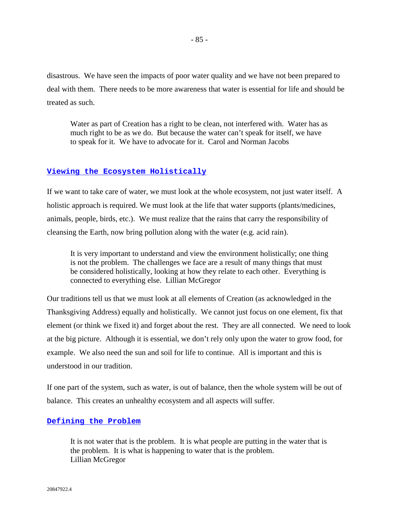disastrous. We have seen the impacts of poor water quality and we have not been prepared to deal with them. There needs to be more awareness that water is essential for life and should be treated as such.

Water as part of Creation has a right to be clean, not interfered with. Water has as much right to be as we do. But because the water can't speak for itself, we have to speak for it. We have to advocate for it. Carol and Norman Jacobs

### **Viewing the Ecosystem Holistically**

If we want to take care of water, we must look at the whole ecosystem, not just water itself. A holistic approach is required. We must look at the life that water supports (plants/medicines, animals, people, birds, etc.). We must realize that the rains that carry the responsibility of cleansing the Earth, now bring pollution along with the water (e.g. acid rain).

It is very important to understand and view the environment holistically; one thing is not the problem. The challenges we face are a result of many things that must be considered holistically, looking at how they relate to each other. Everything is connected to everything else. Lillian McGregor

Our traditions tell us that we must look at all elements of Creation (as acknowledged in the Thanksgiving Address) equally and holistically. We cannot just focus on one element, fix that element (or think we fixed it) and forget about the rest. They are all connected. We need to look at the big picture. Although it is essential, we don't rely only upon the water to grow food, for example. We also need the sun and soil for life to continue. All is important and this is understood in our tradition.

If one part of the system, such as water, is out of balance, then the whole system will be out of balance. This creates an unhealthy ecosystem and all aspects will suffer.

### **Defining the Problem**

It is not water that is the problem. It is what people are putting in the water that is the problem. It is what is happening to water that is the problem. Lillian McGregor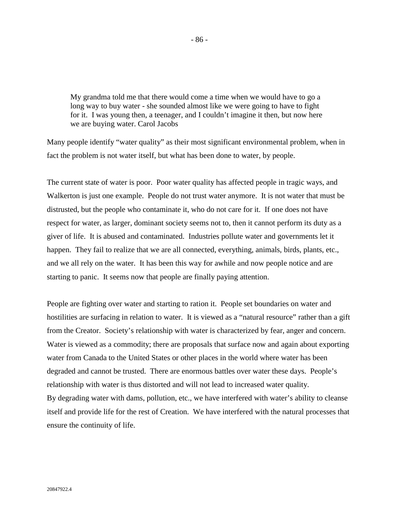My grandma told me that there would come a time when we would have to go a long way to buy water - she sounded almost like we were going to have to fight for it. I was young then, a teenager, and I couldn't imagine it then, but now here we are buying water. Carol Jacobs

Many people identify "water quality" as their most significant environmental problem, when in fact the problem is not water itself, but what has been done to water, by people.

The current state of water is poor. Poor water quality has affected people in tragic ways, and Walkerton is just one example. People do not trust water anymore. It is not water that must be distrusted, but the people who contaminate it, who do not care for it. If one does not have respect for water, as larger, dominant society seems not to, then it cannot perform its duty as a giver of life. It is abused and contaminated. Industries pollute water and governments let it happen. They fail to realize that we are all connected, everything, animals, birds, plants, etc., and we all rely on the water. It has been this way for awhile and now people notice and are starting to panic. It seems now that people are finally paying attention.

People are fighting over water and starting to ration it. People set boundaries on water and hostilities are surfacing in relation to water. It is viewed as a "natural resource" rather than a gift from the Creator. Society's relationship with water is characterized by fear, anger and concern. Water is viewed as a commodity; there are proposals that surface now and again about exporting water from Canada to the United States or other places in the world where water has been degraded and cannot be trusted. There are enormous battles over water these days. People's relationship with water is thus distorted and will not lead to increased water quality. By degrading water with dams, pollution, etc., we have interfered with water's ability to cleanse itself and provide life for the rest of Creation. We have interfered with the natural processes that ensure the continuity of life.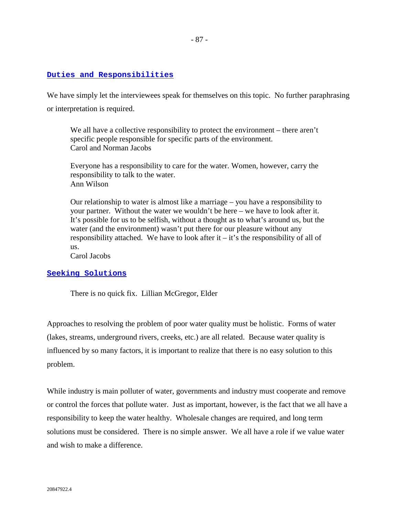## **Duties and Responsibilities**

We have simply let the interviewees speak for themselves on this topic. No further paraphrasing or interpretation is required.

We all have a collective responsibility to protect the environment – there aren't specific people responsible for specific parts of the environment. Carol and Norman Jacobs

Everyone has a responsibility to care for the water. Women, however, carry the responsibility to talk to the water. Ann Wilson

Our relationship to water is almost like a marriage – you have a responsibility to your partner. Without the water we wouldn't be here – we have to look after it. It's possible for us to be selfish, without a thought as to what's around us, but the water (and the environment) wasn't put there for our pleasure without any responsibility attached. We have to look after it  $-$  it's the responsibility of all of us.

Carol Jacobs

## **Seeking Solutions**

There is no quick fix. Lillian McGregor, Elder

Approaches to resolving the problem of poor water quality must be holistic. Forms of water (lakes, streams, underground rivers, creeks, etc.) are all related. Because water quality is influenced by so many factors, it is important to realize that there is no easy solution to this problem.

While industry is main polluter of water, governments and industry must cooperate and remove or control the forces that pollute water. Just as important, however, is the fact that we all have a responsibility to keep the water healthy. Wholesale changes are required, and long term solutions must be considered. There is no simple answer. We all have a role if we value water and wish to make a difference.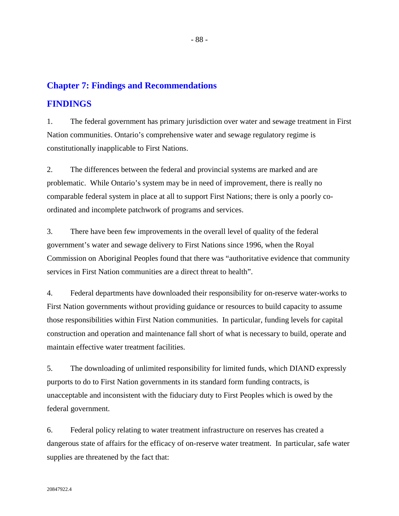# **Chapter 7: Findings and Recommendations**

# **FINDINGS**

1. The federal government has primary jurisdiction over water and sewage treatment in First Nation communities. Ontario's comprehensive water and sewage regulatory regime is constitutionally inapplicable to First Nations.

2. The differences between the federal and provincial systems are marked and are problematic. While Ontario's system may be in need of improvement, there is really no comparable federal system in place at all to support First Nations; there is only a poorly coordinated and incomplete patchwork of programs and services.

3. There have been few improvements in the overall level of quality of the federal government's water and sewage delivery to First Nations since 1996, when the Royal Commission on Aboriginal Peoples found that there was "authoritative evidence that community services in First Nation communities are a direct threat to health".

4. Federal departments have downloaded their responsibility for on-reserve water-works to First Nation governments without providing guidance or resources to build capacity to assume those responsibilities within First Nation communities. In particular, funding levels for capital construction and operation and maintenance fall short of what is necessary to build, operate and maintain effective water treatment facilities.

5. The downloading of unlimited responsibility for limited funds, which DIAND expressly purports to do to First Nation governments in its standard form funding contracts, is unacceptable and inconsistent with the fiduciary duty to First Peoples which is owed by the federal government.

6. Federal policy relating to water treatment infrastructure on reserves has created a dangerous state of affairs for the efficacy of on-reserve water treatment. In particular, safe water supplies are threatened by the fact that: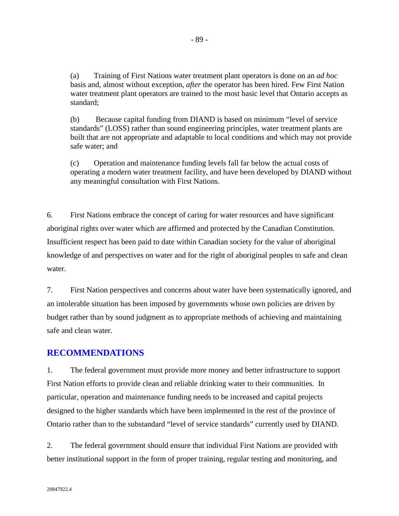(a) Training of First Nations water treatment plant operators is done on an *ad hoc* basis and, almost without exception, *after* the operator has been hired. Few First Nation water treatment plant operators are trained to the most basic level that Ontario accepts as standard;

(b) Because capital funding from DIAND is based on minimum "level of service standards" (LOSS) rather than sound engineering principles, water treatment plants are built that are not appropriate and adaptable to local conditions and which may not provide safe water; and

(c) Operation and maintenance funding levels fall far below the actual costs of operating a modern water treatment facility, and have been developed by DIAND without any meaningful consultation with First Nations.

6. First Nations embrace the concept of caring for water resources and have significant aboriginal rights over water which are affirmed and protected by the Canadian Constitution. Insufficient respect has been paid to date within Canadian society for the value of aboriginal knowledge of and perspectives on water and for the right of aboriginal peoples to safe and clean water.

7. First Nation perspectives and concerns about water have been systematically ignored, and an intolerable situation has been imposed by governments whose own policies are driven by budget rather than by sound judgment as to appropriate methods of achieving and maintaining safe and clean water.

## **RECOMMENDATIONS**

1. The federal government must provide more money and better infrastructure to support First Nation efforts to provide clean and reliable drinking water to their communities. In particular, operation and maintenance funding needs to be increased and capital projects designed to the higher standards which have been implemented in the rest of the province of Ontario rather than to the substandard "level of service standards" currently used by DIAND.

2. The federal government should ensure that individual First Nations are provided with better institutional support in the form of proper training, regular testing and monitoring, and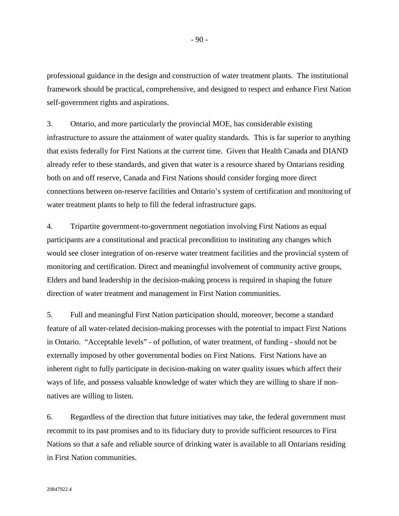professional guidance in the design and construction of water treatment plants. The institutional framework should be practical, comprehensive, and designed to respect and enhance First Nation self-government rights and aspirations.

3. Ontario, and more particularly the provincial MOE, has considerable existing infrastructure to assure the attainment of water quality standards. This is far superior to anything that exists federally for First Nations at the current time. Given that Health Canada and DIAND already refer to these standards, and given that water is a resource shared by Ontarians residing both on and off reserve, Canada and First Nations should consider forging more direct connections between on-reserve facilities and Ontario's system of certification and monitoring of water treatment plants to help to fill the federal infrastructure gaps.

4. Tripartite government-to-government negotiation involving First Nations as equal participants are a constitutional and practical precondition to instituting any changes which would see closer integration of on-reserve water treatment facilities and the provincial system of monitoring and certification. Direct and meaningful involvement of community active groups, Elders and band leadership in the decision-making process is required in shaping the future direction of water treatment and management in First Nation communities.

5. Full and meaningful First Nation participation should, moreover, become a standard feature of all water-related decision-making processes with the potential to impact First Nations in Ontario. "Acceptable levels" - of pollution, of water treatment, of funding - should not be externally imposed by other governmental bodies on First Nations. First Nations have an inherent right to fully participate in decision-making on water quality issues which affect their ways of life, and possess valuable knowledge of water which they are willing to share if nonnatives are willing to listen.

6. Regardless of the direction that future initiatives may take, the federal government must recommit to its past promises and to its fiduciary duty to provide sufficient resources to First Nations so that a safe and reliable source of drinking water is available to all Ontarians residing in First Nation communities.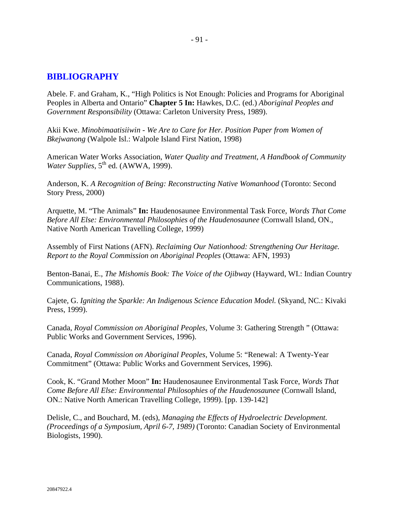# **BIBLIOGRAPHY**

Abele. F. and Graham, K., "High Politics is Not Enough: Policies and Programs for Aboriginal Peoples in Alberta and Ontario" **Chapter 5 In:** Hawkes, D.C. (ed.) *Aboriginal Peoples and Government Responsibility* (Ottawa: Carleton University Press, 1989).

Akii Kwe. *Minobimaatisiiwin - We Are to Care for Her. Position Paper from Women of Bkejwanong* (Walpole Isl.: Walpole Island First Nation, 1998)

American Water Works Association, *Water Quality and Treatment, A Handbook of Community Water Supplies*, 5<sup>th</sup> ed. (AWWA, 1999).

Anderson, K. *A Recognition of Being: Reconstructing Native Womanhood* (Toronto: Second Story Press, 2000)

Arquette, M. "The Animals" **In:** Haudenosaunee Environmental Task Force, *Words That Come Before All Else: Environmental Philosophies of the Haudenosaunee* (Cornwall Island, ON., Native North American Travelling College, 1999)

Assembly of First Nations (AFN). *Reclaiming Our Nationhood: Strengthening Our Heritage. Report to the Royal Commission on Aboriginal Peoples* (Ottawa: AFN, 1993)

Benton-Banai, E., *The Mishomis Book: The Voice of the Ojibway* (Hayward, WI.: Indian Country Communications, 1988).

Cajete, G. *Igniting the Sparkle: An Indigenous Science Education Model.* (Skyand, NC.: Kivaki Press, 1999).

Canada, *Royal Commission on Aboriginal Peoples*, Volume 3: Gathering Strength " (Ottawa: Public Works and Government Services, 1996).

Canada, *Royal Commission on Aboriginal Peoples*, Volume 5: "Renewal: A Twenty-Year Commitment" (Ottawa: Public Works and Government Services, 1996).

Cook, K. "Grand Mother Moon" **In:** Haudenosaunee Environmental Task Force, *Words That Come Before All Else: Environmental Philosophies of the Haudenosaunee* (Cornwall Island, ON.: Native North American Travelling College, 1999). [pp. 139-142]

Delisle, C., and Bouchard, M. (eds), *Managing the Effects of Hydroelectric Development. (Proceedings of a Symposium, April 6-7, 1989)* (Toronto: Canadian Society of Environmental Biologists, 1990).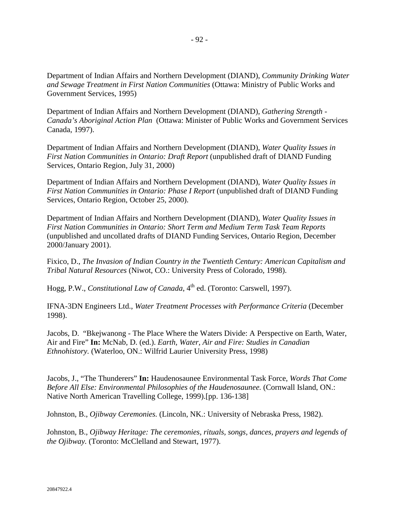Department of Indian Affairs and Northern Development (DIAND), *Community Drinking Water and Sewage Treatment in First Nation Communities* (Ottawa: Ministry of Public Works and Government Services, 1995)

Department of Indian Affairs and Northern Development (DIAND), *Gathering Strength - Canada's Aboriginal Action Plan* (Ottawa: Minister of Public Works and Government Services Canada, 1997).

Department of Indian Affairs and Northern Development (DIAND), *Water Quality Issues in First Nation Communities in Ontario: Draft Report* (unpublished draft of DIAND Funding Services, Ontario Region, July 31, 2000)

Department of Indian Affairs and Northern Development (DIAND), *Water Quality Issues in First Nation Communities in Ontario: Phase I Report* (unpublished draft of DIAND Funding Services, Ontario Region, October 25, 2000).

Department of Indian Affairs and Northern Development (DIAND), *Water Quality Issues in First Nation Communities in Ontario: Short Term and Medium Term Task Team Reports* (unpublished and uncollated drafts of DIAND Funding Services, Ontario Region, December 2000/January 2001).

Fixico, D., *The Invasion of Indian Country in the Twentieth Century: American Capitalism and Tribal Natural Resources* (Niwot, CO.: University Press of Colorado, 1998).

Hogg, P.W., *Constitutional Law of Canada*, 4<sup>th</sup> ed. (Toronto: Carswell, 1997).

IFNA-3DN Engineers Ltd., *Water Treatment Processes with Performance Criteria* (December 1998).

Jacobs, D. "Bkejwanong - The Place Where the Waters Divide: A Perspective on Earth, Water, Air and Fire" **In:** McNab, D. (ed.). *Earth, Water, Air and Fire: Studies in Canadian Ethnohistory.* (Waterloo, ON.: Wilfrid Laurier University Press, 1998)

Jacobs, J., "The Thunderers" **In:** Haudenosaunee Environmental Task Force, *Words That Come Before All Else: Environmental Philosophies of the Haudenosaunee.* (Cornwall Island, ON.: Native North American Travelling College, 1999).[pp. 136-138]

Johnston, B., *Ojibway Ceremonies.* (Lincoln, NK.: University of Nebraska Press, 1982).

Johnston, B., *Ojibway Heritage: The ceremonies, rituals, songs, dances, prayers and legends of the Ojibway.* (Toronto: McClelland and Stewart, 1977).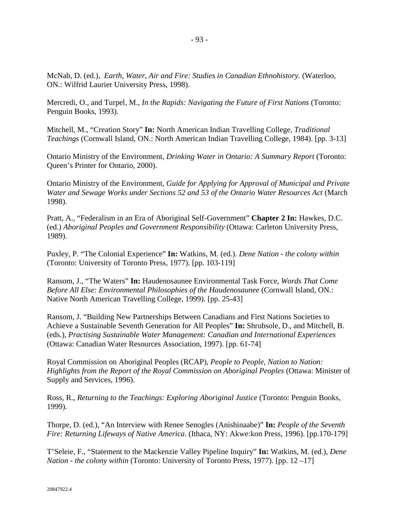McNab, D. (ed.), *Earth, Water, Air and Fire: Studies in Canadian Ethnohistory.* (Waterloo, ON.: Wilfrid Laurier University Press, 1998).

Mercredi, O., and Turpel, M., *In the Rapids: Navigating the Future of First Nations* (Toronto: Penguin Books, 1993).

Mitchell, M., "Creation Story" **In:** North American Indian Travelling College, *Traditional Teachings* (Cornwall Island, ON.: North American Indian Travelling College, 1984). [pp. 3-13]

Ontario Ministry of the Environment, *Drinking Water in Ontario: A Summary Report* (Toronto: Queen's Printer for Ontario, 2000).

Ontario Ministry of the Environment, *Guide for Applying for Approval of Municipal and Private Water and Sewage Works under Sections 52 and 53 of the Ontario Water Resources Act* (March 1998).

Pratt, A., "Federalism in an Era of Aboriginal Self-Government" **Chapter 2 In:** Hawkes, D.C. (ed.) *Aboriginal Peoples and Government Responsibility* (Ottawa: Carleton University Press, 1989).

Puxley, P. "The Colonial Experience" **In:** Watkins, M. (ed.). *Dene Nation - the colony within* (Toronto: University of Toronto Press, 1977). [pp. 103-119]

Ransom, J., "The Waters" **In:** Haudenosaunee Environmental Task Force, *Words That Come Before All Else: Environmental Philosophies of the Haudenosaunee* (Cornwall Island, ON.: Native North American Travelling College, 1999). [pp. 25-43]

Ransom, J. "Building New Partnerships Between Canadians and First Nations Societies to Achieve a Sustainable Seventh Generation for All Peoples" **In:** Shrubsole, D., and Mitchell, B. (eds.), *Practising Sustainable Water Management: Canadian and International Experiences* (Ottawa: Canadian Water Resources Association, 1997). [pp. 61-74]

Royal Commission on Aboriginal Peoples (RCAP), *People to People, Nation to Nation: Highlights from the Report of the Royal Commission on Aboriginal Peoples* (Ottawa: Minister of Supply and Services, 1996).

Ross, R., *Returning to the Teachings: Exploring Aboriginal Justice* (Toronto: Penguin Books, 1999).

Thorpe, D. (ed.), "An Interview with Renee Senogles (Anishinaabe)" **In:** *People of the Seventh Fire: Returning Lifeways of Native America*. (Ithaca, NY: Akwe:kon Press, 1996). [pp.170-179]

T'Seleie, F., "Statement to the Mackenzie Valley Pipeline Inquiry" **In:** Watkins, M. (ed.), *Dene Nation - the colony within* (Toronto: University of Toronto Press, 1977). [pp. 12 –17]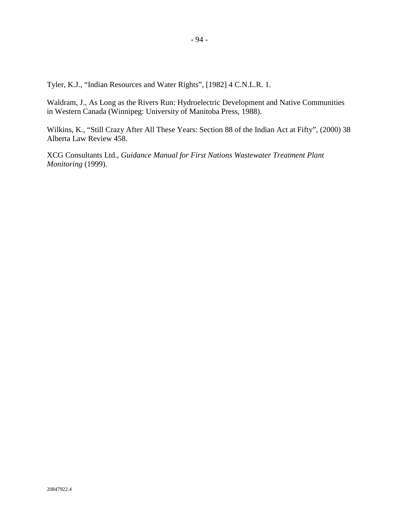Tyler, K.J., "Indian Resources and Water Rights", [1982] 4 C.N.L.R. 1.

Waldram, J., As Long as the Rivers Run: Hydroelectric Development and Native Communities in Western Canada (Winnipeg: University of Manitoba Press, 1988).

Wilkins, K., "Still Crazy After All These Years: Section 88 of the Indian Act at Fifty", (2000) 38 Alberta Law Review 458.

XCG Consultants Ltd., *Guidance Manual for First Nations Wastewater Treatment Plant Monitoring* (1999).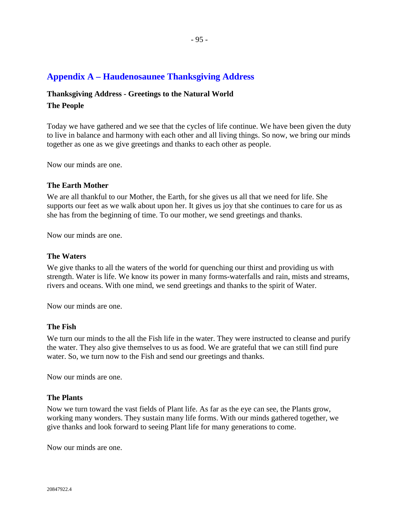# **Appendix A – Haudenosaunee Thanksgiving Address**

# **Thanksgiving Address - Greetings to the Natural World The People**

Today we have gathered and we see that the cycles of life continue. We have been given the duty to live in balance and harmony with each other and all living things. So now, we bring our minds together as one as we give greetings and thanks to each other as people.

Now our minds are one.

### **The Earth Mother**

We are all thankful to our Mother, the Earth, for she gives us all that we need for life. She supports our feet as we walk about upon her. It gives us joy that she continues to care for us as she has from the beginning of time. To our mother, we send greetings and thanks.

Now our minds are one.

### **The Waters**

We give thanks to all the waters of the world for quenching our thirst and providing us with strength. Water is life. We know its power in many forms-waterfalls and rain, mists and streams, rivers and oceans. With one mind, we send greetings and thanks to the spirit of Water.

Now our minds are one.

### **The Fish**

We turn our minds to the all the Fish life in the water. They were instructed to cleanse and purify the water. They also give themselves to us as food. We are grateful that we can still find pure water. So, we turn now to the Fish and send our greetings and thanks.

Now our minds are one.

### **The Plants**

Now we turn toward the vast fields of Plant life. As far as the eye can see, the Plants grow, working many wonders. They sustain many life forms. With our minds gathered together, we give thanks and look forward to seeing Plant life for many generations to come.

Now our minds are one.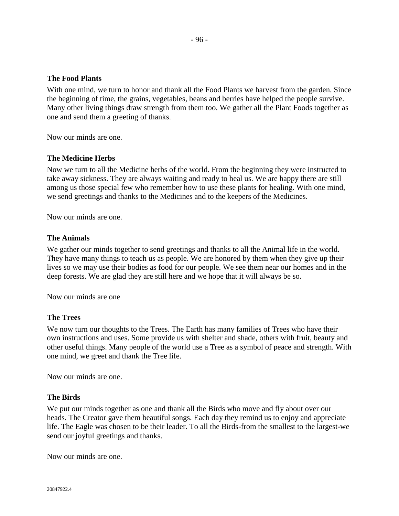## **The Food Plants**

With one mind, we turn to honor and thank all the Food Plants we harvest from the garden. Since the beginning of time, the grains, vegetables, beans and berries have helped the people survive. Many other living things draw strength from them too. We gather all the Plant Foods together as one and send them a greeting of thanks.

Now our minds are one.

## **The Medicine Herbs**

Now we turn to all the Medicine herbs of the world. From the beginning they were instructed to take away sickness. They are always waiting and ready to heal us. We are happy there are still among us those special few who remember how to use these plants for healing. With one mind, we send greetings and thanks to the Medicines and to the keepers of the Medicines.

Now our minds are one.

### **The Animals**

We gather our minds together to send greetings and thanks to all the Animal life in the world. They have many things to teach us as people. We are honored by them when they give up their lives so we may use their bodies as food for our people. We see them near our homes and in the deep forests. We are glad they are still here and we hope that it will always be so.

Now our minds are one

### **The Trees**

We now turn our thoughts to the Trees. The Earth has many families of Trees who have their own instructions and uses. Some provide us with shelter and shade, others with fruit, beauty and other useful things. Many people of the world use a Tree as a symbol of peace and strength. With one mind, we greet and thank the Tree life.

Now our minds are one.

### **The Birds**

We put our minds together as one and thank all the Birds who move and fly about over our heads. The Creator gave them beautiful songs. Each day they remind us to enjoy and appreciate life. The Eagle was chosen to be their leader. To all the Birds-from the smallest to the largest-we send our joyful greetings and thanks.

Now our minds are one.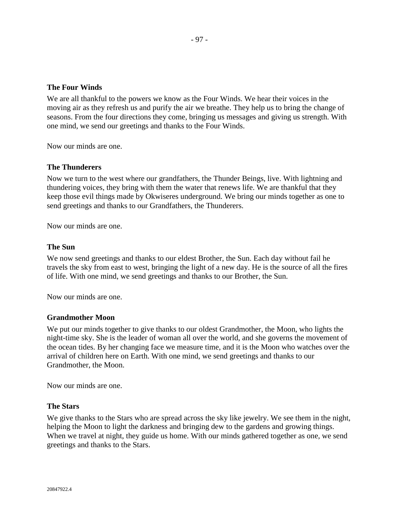## **The Four Winds**

We are all thankful to the powers we know as the Four Winds. We hear their voices in the moving air as they refresh us and purify the air we breathe. They help us to bring the change of seasons. From the four directions they come, bringing us messages and giving us strength. With one mind, we send our greetings and thanks to the Four Winds.

Now our minds are one.

### **The Thunderers**

Now we turn to the west where our grandfathers, the Thunder Beings, live. With lightning and thundering voices, they bring with them the water that renews life. We are thankful that they keep those evil things made by Okwiseres underground. We bring our minds together as one to send greetings and thanks to our Grandfathers, the Thunderers.

Now our minds are one.

## **The Sun**

We now send greetings and thanks to our eldest Brother, the Sun. Each day without fail he travels the sky from east to west, bringing the light of a new day. He is the source of all the fires of life. With one mind, we send greetings and thanks to our Brother, the Sun.

Now our minds are one.

#### **Grandmother Moon**

We put our minds together to give thanks to our oldest Grandmother, the Moon, who lights the night-time sky. She is the leader of woman all over the world, and she governs the movement of the ocean tides. By her changing face we measure time, and it is the Moon who watches over the arrival of children here on Earth. With one mind, we send greetings and thanks to our Grandmother, the Moon.

Now our minds are one.

### **The Stars**

We give thanks to the Stars who are spread across the sky like jewelry. We see them in the night, helping the Moon to light the darkness and bringing dew to the gardens and growing things. When we travel at night, they guide us home. With our minds gathered together as one, we send greetings and thanks to the Stars.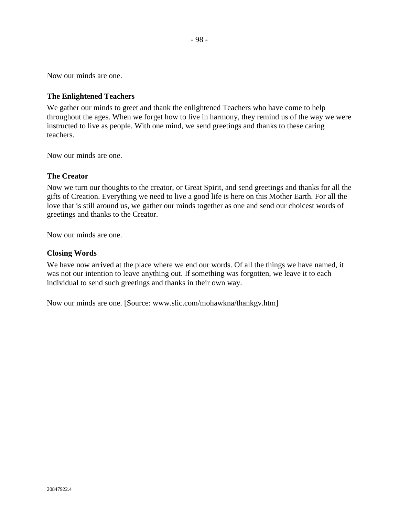Now our minds are one.

## **The Enlightened Teachers**

We gather our minds to greet and thank the enlightened Teachers who have come to help throughout the ages. When we forget how to live in harmony, they remind us of the way we were instructed to live as people. With one mind, we send greetings and thanks to these caring teachers.

Now our minds are one.

## **The Creator**

Now we turn our thoughts to the creator, or Great Spirit, and send greetings and thanks for all the gifts of Creation. Everything we need to live a good life is here on this Mother Earth. For all the love that is still around us, we gather our minds together as one and send our choicest words of greetings and thanks to the Creator.

Now our minds are one.

### **Closing Words**

We have now arrived at the place where we end our words. Of all the things we have named, it was not our intention to leave anything out. If something was forgotten, we leave it to each individual to send such greetings and thanks in their own way.

Now our minds are one. [Source: www.slic.com/mohawkna/thankgv.htm]